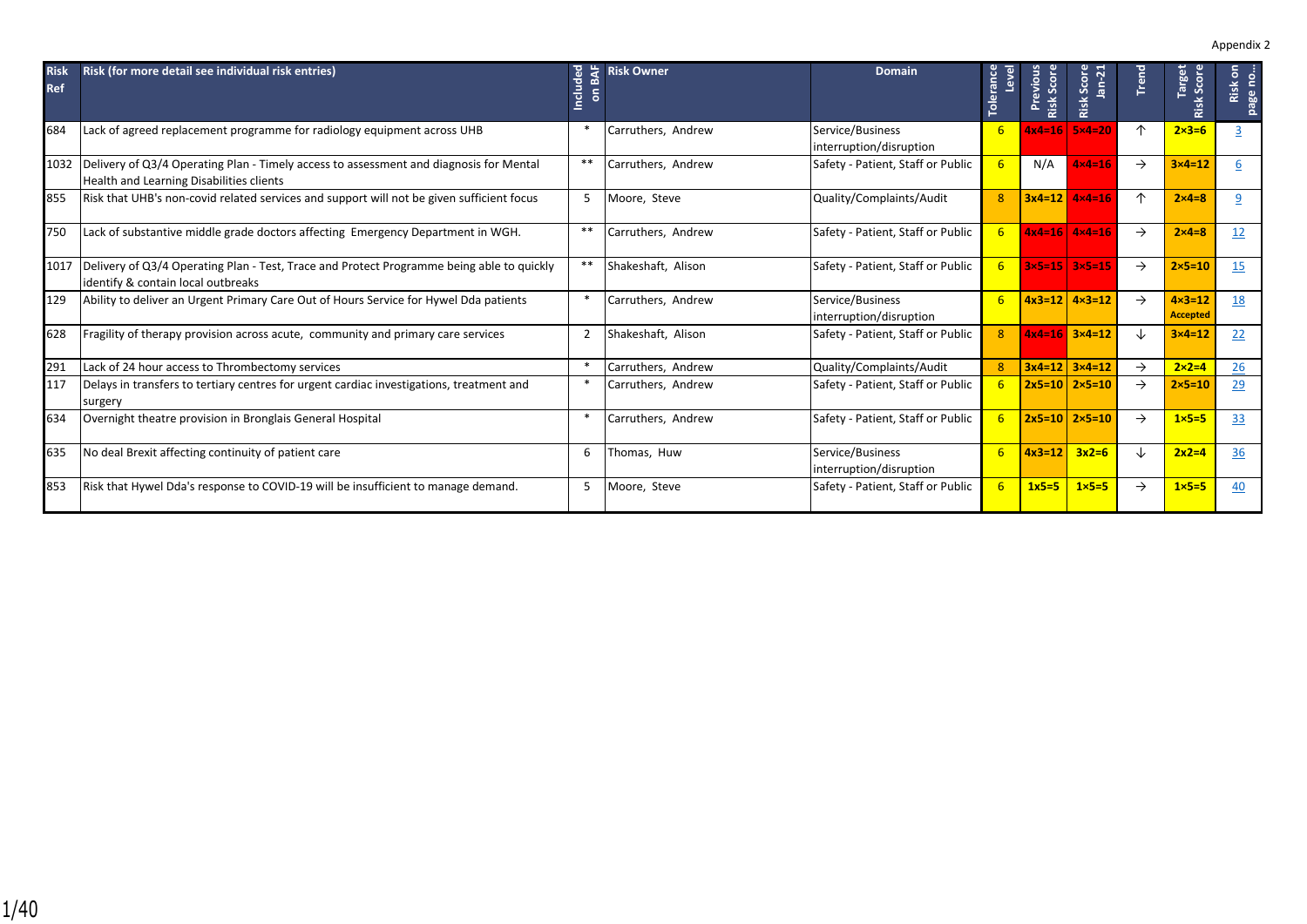| <b>Risk</b><br><b>Ref</b> | Risk (for more detail see individual risk entries)                                                                                 | ᄝ<br>Include   | <b>Risk Owner</b>  | <b>Domain</b>                               | <b>Tolerance</b><br>level | Previous<br>Scor<br>Risk | Score<br>$an-21$<br>Risk | Trend         | Target<br>Scor<br>Risk               | $\epsilon$<br>no<br>Risk<br>page |
|---------------------------|------------------------------------------------------------------------------------------------------------------------------------|----------------|--------------------|---------------------------------------------|---------------------------|--------------------------|--------------------------|---------------|--------------------------------------|----------------------------------|
| 684                       | Lack of agreed replacement programme for radiology equipment across UHB                                                            |                | Carruthers, Andrew | Service/Business<br>interruption/disruption | 6                         | $4x4=16$                 | $5\times 4=20$           | 个             | $2\times3=6$                         |                                  |
| 1032                      | Delivery of Q3/4 Operating Plan - Timely access to assessment and diagnosis for Mental<br>Health and Learning Disabilities clients | $* *$          | Carruthers, Andrew | Safety - Patient, Staff or Public           | 6                         | N/A                      | $4x4=16$                 | $\rightarrow$ | $3 \times 4 = 12$                    | 6                                |
| 855                       | Risk that UHB's non-covid related services and support will not be given sufficient focus                                          | 5              | Moore, Steve       | Quality/Complaints/Audit                    | 8                         | $3x4=12$                 | $4x4=16$                 | 个             | $2\times 4=8$                        | 9                                |
| 750                       | Lack of substantive middle grade doctors affecting Emergency Department in WGH.                                                    | $**$           | Carruthers, Andrew | Safety - Patient, Staff or Public           | 6                         |                          | $4x4=16$ $4x4=16$        | $\rightarrow$ | $2\times 4=8$                        | 12                               |
| 1017                      | Delivery of Q3/4 Operating Plan - Test, Trace and Protect Programme being able to quickly<br>identify & contain local outbreaks    | $***$          | Shakeshaft, Alison | Safety - Patient, Staff or Public           | $6 \overline{6}$          |                          | $3x5=15$ $3x5=15$        | $\rightarrow$ | $2 \times 5 = 10$                    | 15                               |
| 129                       | Ability to deliver an Urgent Primary Care Out of Hours Service for Hywel Dda patients                                              |                | Carruthers, Andrew | Service/Business<br>interruption/disruption | 6                         |                          | $4x3=12$ $4x3=12$        | $\rightarrow$ | $4 \times 3 = 12$<br><b>Accepted</b> | 18                               |
| 628                       | Fragility of therapy provision across acute, community and primary care services                                                   | $\overline{2}$ | Shakeshaft, Alison | Safety - Patient, Staff or Public           | 8                         |                          | $4x4=16$ $3x4=12$        | ↓             | $3 \times 4 = 12$                    | 22                               |
| 291                       | Lack of 24 hour access to Thrombectomy services                                                                                    |                | Carruthers, Andrew | Quality/Complaints/Audit                    | 8                         |                          | $3x4=12$ $3x4=12$        | $\rightarrow$ | $2 \times 2 = 4$                     | 26                               |
| 117                       | Delays in transfers to tertiary centres for urgent cardiac investigations, treatment and<br>surgery                                |                | Carruthers, Andrew | Safety - Patient, Staff or Public           | 6                         |                          | $2x5=10$ $2\times5=10$   | $\rightarrow$ | $2 \times 5 = 10$                    | 29                               |
| 634                       | Overnight theatre provision in Bronglais General Hospital                                                                          | $\ast$         | Carruthers, Andrew | Safety - Patient, Staff or Public           | 6                         |                          | $2x5=10$ $2\times5=10$   | $\rightarrow$ | $1 \times 5 = 5$                     | 33                               |
| 635                       | No deal Brexit affecting continuity of patient care                                                                                | 6              | Thomas, Huw        | Service/Business<br>interruption/disruption | 6                         | $4x3=12$                 | $3x2=6$                  | ↓             | $2x2=4$                              | 36                               |
| 853                       | Risk that Hywel Dda's response to COVID-19 will be insufficient to manage demand.                                                  | 5              | Moore, Steve       | Safety - Patient, Staff or Public           | 6                         | $1x5=5$                  | $1 \times 5 = 5$         | $\rightarrow$ | $1\times 5=5$                        | 40                               |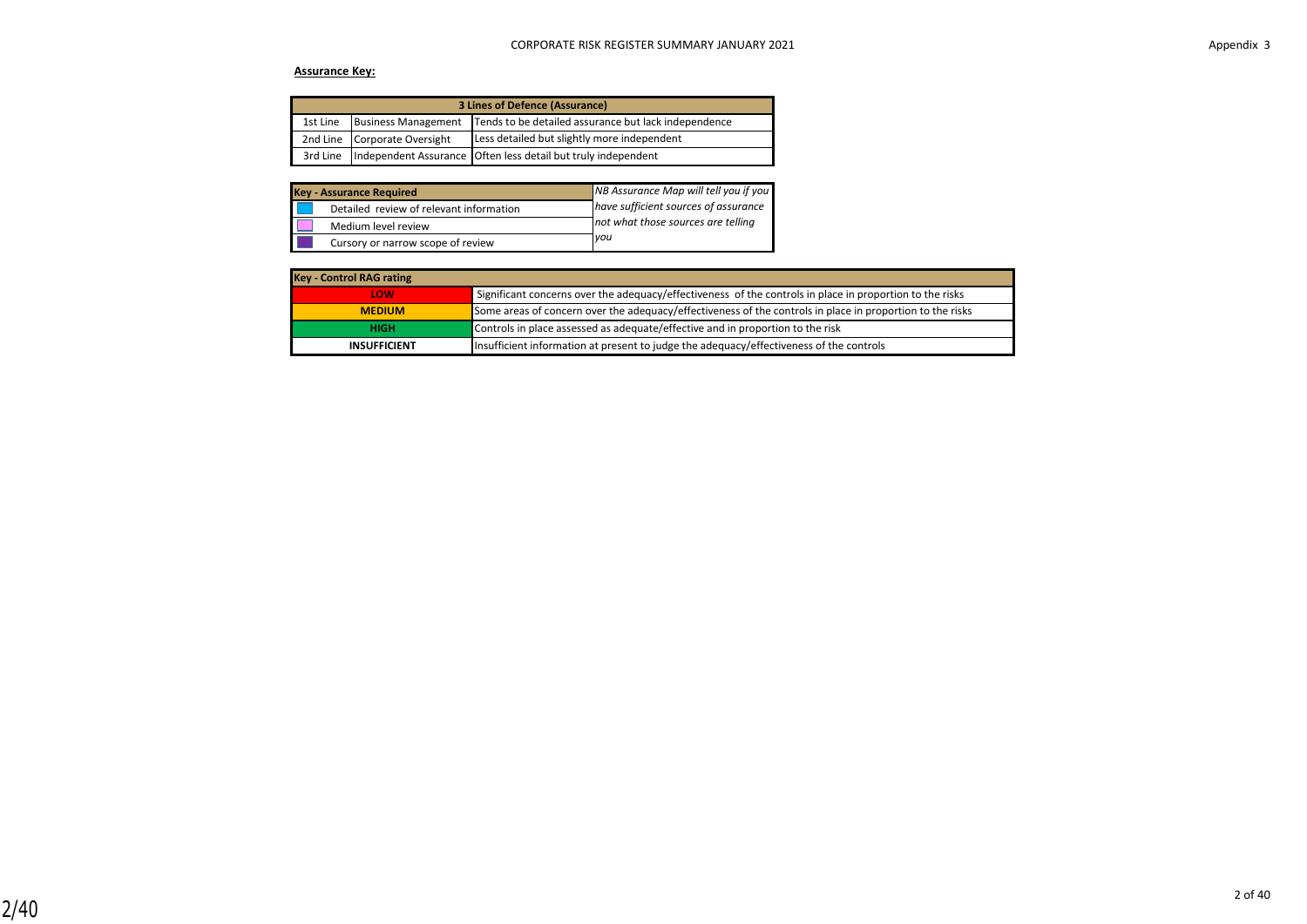### **Assurance Key:**

| <b>3 Lines of Defence (Assurance)</b> |                              |                                                               |  |  |  |  |
|---------------------------------------|------------------------------|---------------------------------------------------------------|--|--|--|--|
| 1st Line                              | <b>Business Management</b>   | Tends to be detailed assurance but lack independence          |  |  |  |  |
|                                       | 2nd Line Corporate Oversight | Less detailed but slightly more independent                   |  |  |  |  |
| 3rd Line                              |                              | Independent Assurance Often less detail but truly independent |  |  |  |  |

| <b>Key - Assurance Required</b>         | NB Assurance Map will tell you if you |
|-----------------------------------------|---------------------------------------|
| Detailed review of relevant information | have sufficient sources of assurance  |
| Medium level review                     | not what those sources are telling    |
| Cursory or narrow scope of review       | you                                   |

| <b>Key - Control RAG rating</b> |                                                                                                           |
|---------------------------------|-----------------------------------------------------------------------------------------------------------|
| <b>LOW</b>                      | Significant concerns over the adequacy/effectiveness of the controls in place in proportion to the risks  |
| <b>MEDIUM</b>                   | Some areas of concern over the adequacy/effectiveness of the controls in place in proportion to the risks |
| <b>HIGH</b>                     | Controls in place assessed as adequate/effective and in proportion to the risk                            |
| <b>INSUFFICIENT</b>             | Insufficient information at present to judge the adequacy/effectiveness of the controls                   |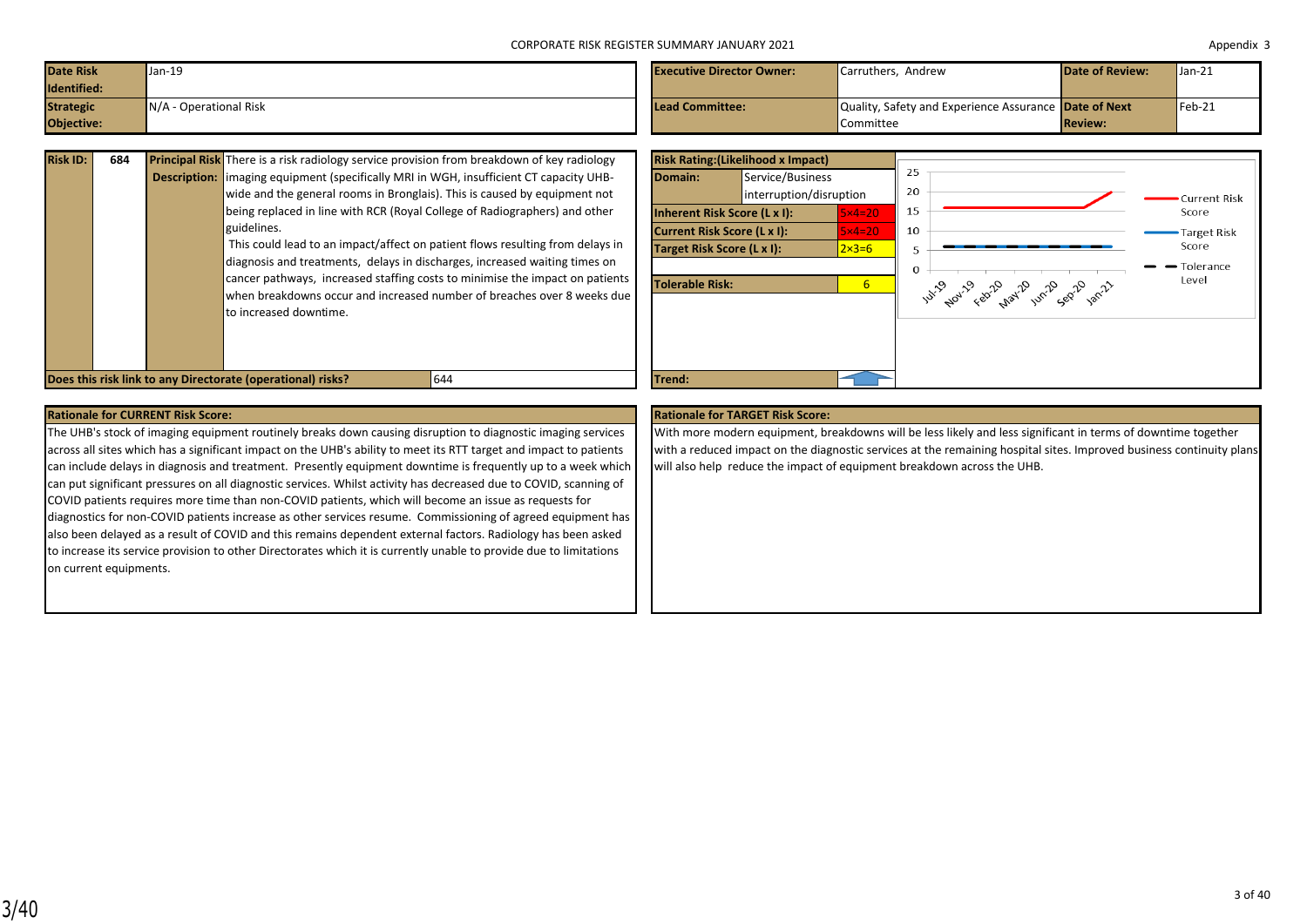| Date Risk<br>Identified:       | Jan-19                   | <b>Executive Director Owner:</b> | Carruthers. Andrew                                                 | <b>Date of Review:</b> | $\sqrt{\tan 21}$ |
|--------------------------------|--------------------------|----------------------------------|--------------------------------------------------------------------|------------------------|------------------|
| <b>Strategic</b><br>Objective: | $N/A$ - Operational Risk | Lead Committee:                  | Quality, Safety and Experience Assurance Date of Next<br>Committee | <b>Review:</b>         | $Feb-21$         |

| <b>Risk ID:</b> | 684 | Principal Risk There is a risk radiology service provision from breakdown of key radiology     |
|-----------------|-----|------------------------------------------------------------------------------------------------|
|                 |     | <b>Description:</b> limaging equipment (specifically MRI in WGH, insufficient CT capacity UHB- |
|                 |     | wide and the general rooms in Bronglais). This is caused by equipment not                      |
|                 |     | being replaced in line with RCR (Royal College of Radiographers) and other                     |
|                 |     | guidelines.                                                                                    |
|                 |     | This could lead to an impact/affect on patient flows resulting from delays in                  |
|                 |     | diagnosis and treatments, delays in discharges, increased waiting times on                     |
|                 |     | cancer pathways, increased staffing costs to minimise the impact on patients                   |
|                 |     | when breakdowns occur and increased number of breaches over 8 weeks due                        |
|                 |     | to increased downtime.                                                                         |
|                 |     |                                                                                                |
|                 |     |                                                                                                |



### **Rationale for CURRENT Risk Score: Rationale for TARGET Risk Score: Rationale for TARGET Risk Score: Rationale for TARGET Risk Score:**

The UHB's stock of imaging equipment routinely breaks down causing disruption to diagnostic imaging services across all sites which has a significant impact on the UHB's ability to meet its RTT target and impact to patients can include delays in diagnosis and treatment. Presently equipment downtime is frequently up to a week which can put significant pressures on all diagnostic services. Whilst activity has decreased due to COVID, scanning of COVID patients requires more time than non-COVID patients, which will become an issue as requests for diagnostics for non-COVID patients increase as other services resume. Commissioning of agreed equipment has also been delayed as a result of COVID and this remains dependent external factors. Radiology has been asked to increase its service provision to other Directorates which it is currently unable to provide due to limitations on current equipments.

With more modern equipment, breakdowns will be less likely and less significant in terms of downtime together with a reduced impact on the diagnostic services at the remaining hospital sites. Improved business continuity plans will also help reduce the impact of equipment breakdown across the UHB.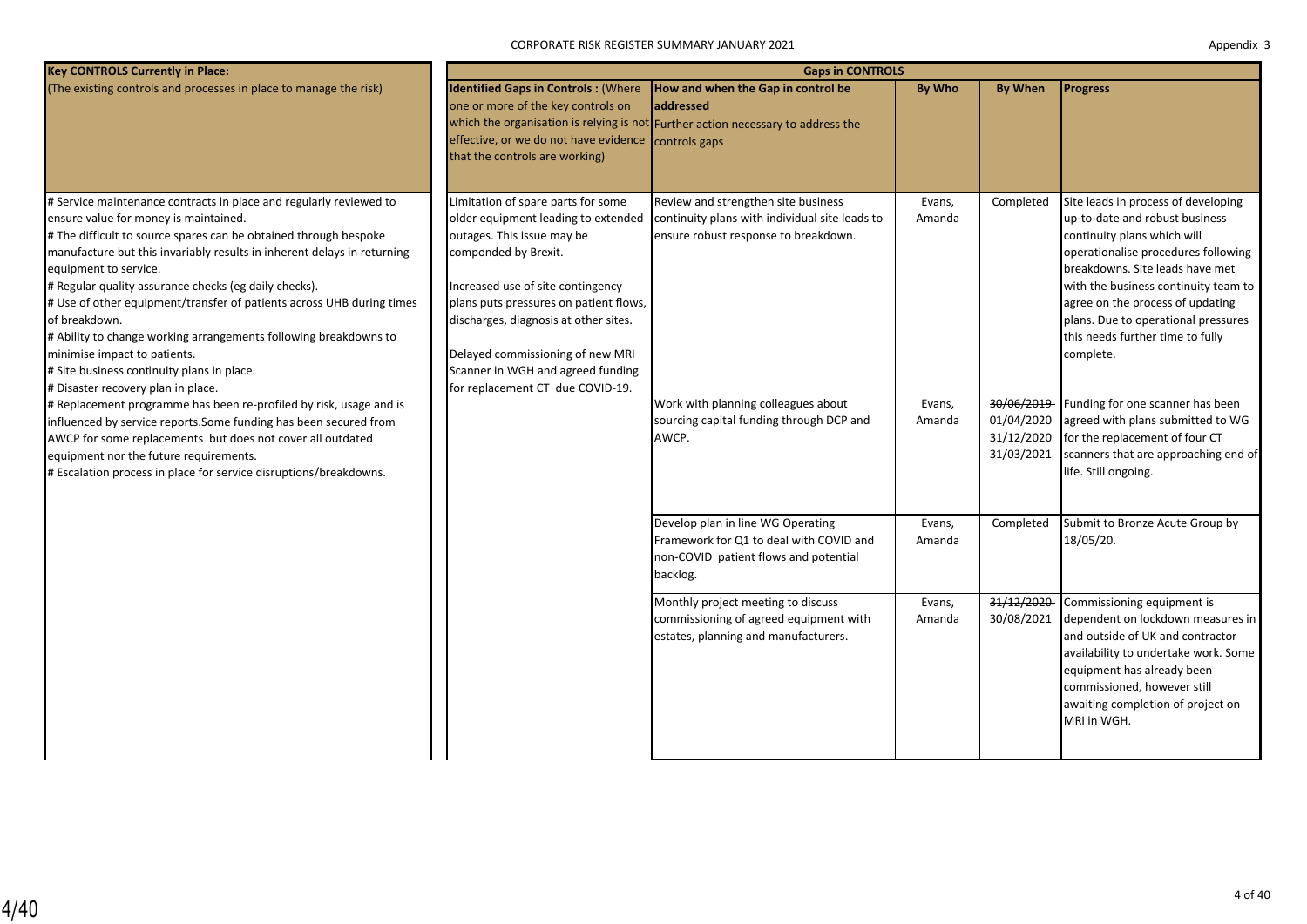CORPORATE RISK REGISTER SUMMARY JANUARY 2021

| Appendix 3 |  |
|------------|--|
|------------|--|

| <b>Key CONTROLS Currently in Place:</b>                                                                                                                                                                                                                                                                                                                                                                                                                                                                                                                                                                                        | <b>Gaps in CONTROLS</b>                                                                                                                                                                                                                                                                                                                                              |                                                                                                                                      |                  |                                                      |                                                                                                                                                                                                                                                                                                                                                    |  |  |  |  |
|--------------------------------------------------------------------------------------------------------------------------------------------------------------------------------------------------------------------------------------------------------------------------------------------------------------------------------------------------------------------------------------------------------------------------------------------------------------------------------------------------------------------------------------------------------------------------------------------------------------------------------|----------------------------------------------------------------------------------------------------------------------------------------------------------------------------------------------------------------------------------------------------------------------------------------------------------------------------------------------------------------------|--------------------------------------------------------------------------------------------------------------------------------------|------------------|------------------------------------------------------|----------------------------------------------------------------------------------------------------------------------------------------------------------------------------------------------------------------------------------------------------------------------------------------------------------------------------------------------------|--|--|--|--|
| (The existing controls and processes in place to manage the risk)                                                                                                                                                                                                                                                                                                                                                                                                                                                                                                                                                              | <b>Identified Gaps in Controls: (Where</b><br>one or more of the key controls on<br>effective, or we do not have evidence controls gaps<br>that the controls are working)                                                                                                                                                                                            | How and when the Gap in control be<br>laddressed<br>which the organisation is relying is not Further action necessary to address the | <b>By Who</b>    | <b>By When</b>                                       | <b>Progress</b>                                                                                                                                                                                                                                                                                                                                    |  |  |  |  |
| # Service maintenance contracts in place and regularly reviewed to<br>ensure value for money is maintained.<br># The difficult to source spares can be obtained through bespoke<br>manufacture but this invariably results in inherent delays in returning<br>equipment to service.<br># Regular quality assurance checks (eg daily checks).<br># Use of other equipment/transfer of patients across UHB during times<br>of breakdown.<br># Ability to change working arrangements following breakdowns to<br>minimise impact to patients.<br># Site business continuity plans in place.<br># Disaster recovery plan in place. | Limitation of spare parts for some<br>older equipment leading to extended<br>outages. This issue may be<br>componded by Brexit.<br>Increased use of site contingency<br>plans puts pressures on patient flows,<br>discharges, diagnosis at other sites.<br>Delayed commissioning of new MRI<br>Scanner in WGH and agreed funding<br>for replacement CT due COVID-19. | Review and strengthen site business<br>continuity plans with individual site leads to<br>ensure robust response to breakdown.        | Evans,<br>Amanda | Completed                                            | Site leads in process of developing<br>up-to-date and robust business<br>continuity plans which will<br>operationalise procedures following<br>breakdowns. Site leads have met<br>with the business continuity team to<br>agree on the process of updating<br>plans. Due to operational pressures<br>this needs further time to fully<br>complete. |  |  |  |  |
| # Replacement programme has been re-profiled by risk, usage and is<br>influenced by service reports. Some funding has been secured from<br>AWCP for some replacements but does not cover all outdated<br>equipment nor the future requirements.<br># Escalation process in place for service disruptions/breakdowns.                                                                                                                                                                                                                                                                                                           |                                                                                                                                                                                                                                                                                                                                                                      | Work with planning colleagues about<br>sourcing capital funding through DCP and<br>AWCP.                                             | Evans,<br>Amanda | 30/06/2019<br>01/04/2020<br>31/12/2020<br>31/03/2021 | Funding for one scanner has been<br>agreed with plans submitted to WG<br>for the replacement of four CT<br>scanners that are approaching end of<br>life. Still ongoing.                                                                                                                                                                            |  |  |  |  |
|                                                                                                                                                                                                                                                                                                                                                                                                                                                                                                                                                                                                                                |                                                                                                                                                                                                                                                                                                                                                                      | Develop plan in line WG Operating<br>Framework for Q1 to deal with COVID and<br>non-COVID patient flows and potential<br>backlog.    | Evans,<br>Amanda | Completed                                            | Submit to Bronze Acute Group by<br>18/05/20.                                                                                                                                                                                                                                                                                                       |  |  |  |  |
|                                                                                                                                                                                                                                                                                                                                                                                                                                                                                                                                                                                                                                |                                                                                                                                                                                                                                                                                                                                                                      | Monthly project meeting to discuss<br>commissioning of agreed equipment with<br>estates, planning and manufacturers.                 | Evans,<br>Amanda | 31/12/2020<br>30/08/2021                             | Commissioning equipment is<br>dependent on lockdown measures in<br>and outside of UK and contractor<br>availability to undertake work. Some<br>equipment has already been<br>commissioned, however still<br>awaiting completion of project on<br>MRI in WGH.                                                                                       |  |  |  |  |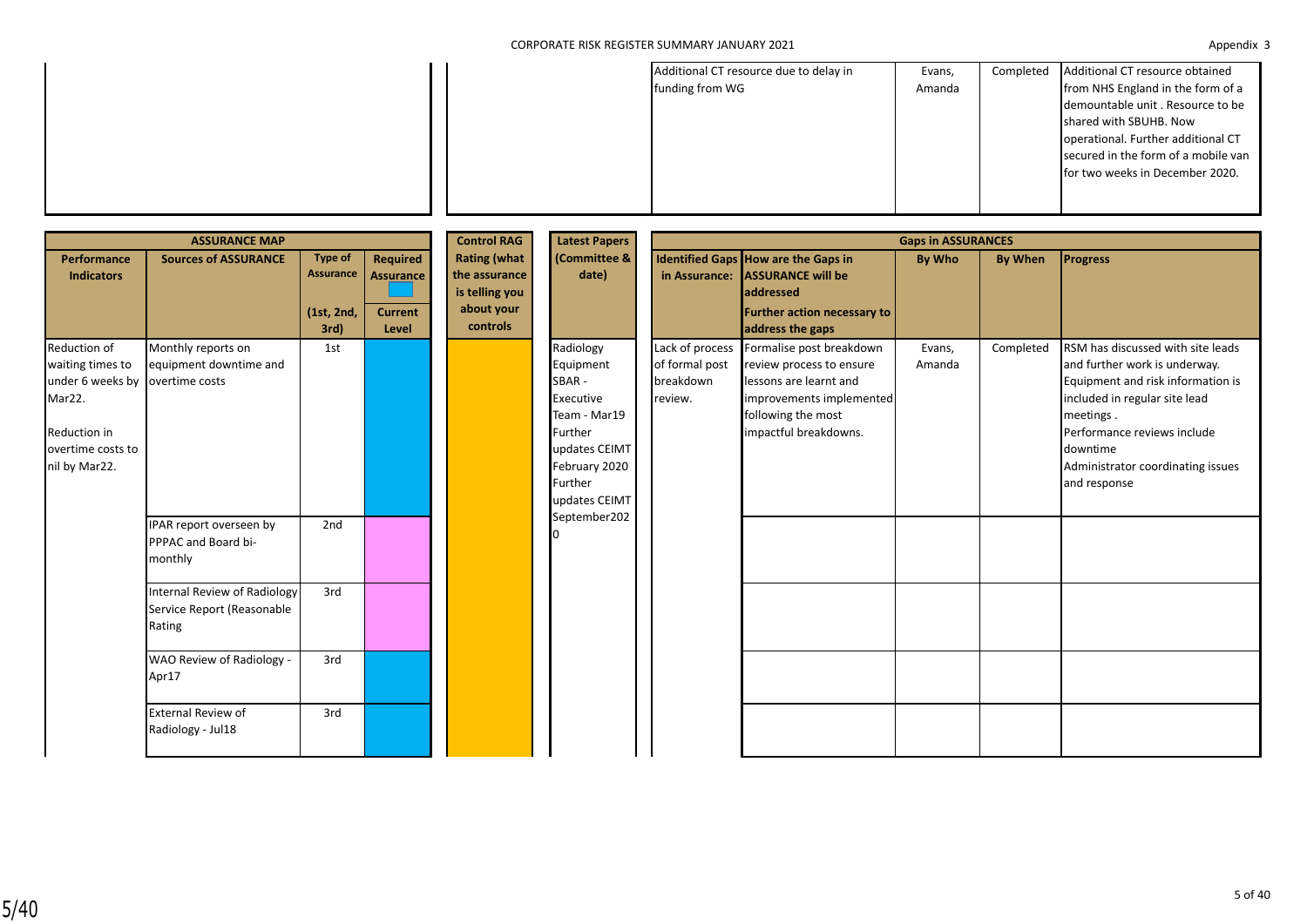|  | Additional CT resource due to delay in<br>funding from WG | Evans,<br>Amanda | Completed | Additional CT resource obtained<br>from NHS England in the form of a      |
|--|-----------------------------------------------------------|------------------|-----------|---------------------------------------------------------------------------|
|  |                                                           |                  |           | demountable unit. Resource to be<br>shared with SBUHB. Now                |
|  |                                                           |                  |           | operational. Further additional CT<br>secured in the form of a mobile van |
|  |                                                           |                  |           | for two weeks in December 2020.                                           |
|  |                                                           |                  |           |                                                                           |

| <b>ASSURANCE MAP</b>                                                                                                 |                                                                             |                                                   |                                                         | <b>Control RAG</b>                                                               | <b>Latest Papers</b>                                                                                                                  | <b>Gaps in ASSURANCES</b>                                 |                                                                                                                                                           |                  |           |                                                                                                                                                                                                                                                       |
|----------------------------------------------------------------------------------------------------------------------|-----------------------------------------------------------------------------|---------------------------------------------------|---------------------------------------------------------|----------------------------------------------------------------------------------|---------------------------------------------------------------------------------------------------------------------------------------|-----------------------------------------------------------|-----------------------------------------------------------------------------------------------------------------------------------------------------------|------------------|-----------|-------------------------------------------------------------------------------------------------------------------------------------------------------------------------------------------------------------------------------------------------------|
| <b>Performance</b><br><b>Indicators</b>                                                                              | <b>Sources of ASSURANCE</b>                                                 | <b>Type of</b><br>Assurance<br>(1st, 2nd,<br>3rd) | Required<br><b>Assurance</b><br><b>Current</b><br>Level | <b>Rating (what</b><br>the assurance<br>is telling you<br>about your<br>controls | (Committee &<br>date)                                                                                                                 | in Assurance:                                             | Identified Gaps How are the Gaps in<br><b>ASSURANCE will be</b><br>laddressed<br>Further action necessary to<br>address the gaps                          | By Who           | By When   | <b>Progress</b>                                                                                                                                                                                                                                       |
| Reduction of<br>waiting times to<br>under 6 weeks by<br>Mar22.<br>Reduction in<br>overtime costs to<br>nil by Mar22. | Monthly reports on<br>equipment downtime and<br>overtime costs              | 1st                                               |                                                         |                                                                                  | Radiology<br>Equipment<br>SBAR-<br>Executive<br>Team - Mar19<br>Further<br>updates CEIMT<br>February 2020<br>Further<br>updates CEIMT | Lack of process<br>of formal post<br>breakdown<br>review. | Formalise post breakdown<br>review process to ensure<br>lessons are learnt and<br>improvements implemented<br>following the most<br>impactful breakdowns. | Evans,<br>Amanda | Completed | RSM has discussed with site leads<br>and further work is underway.<br>Equipment and risk information is<br>included in regular site lead<br>meetings.<br>Performance reviews include<br>downtime<br>Administrator coordinating issues<br>and response |
|                                                                                                                      | IPAR report overseen by<br>PPPAC and Board bi-<br>monthly                   | 2nd                                               |                                                         |                                                                                  | September202                                                                                                                          |                                                           |                                                                                                                                                           |                  |           |                                                                                                                                                                                                                                                       |
|                                                                                                                      | <b>Internal Review of Radiology</b><br>Service Report (Reasonable<br>Rating | 3rd                                               |                                                         |                                                                                  |                                                                                                                                       |                                                           |                                                                                                                                                           |                  |           |                                                                                                                                                                                                                                                       |
|                                                                                                                      | WAO Review of Radiology -<br>Apr17                                          | 3rd                                               |                                                         |                                                                                  |                                                                                                                                       |                                                           |                                                                                                                                                           |                  |           |                                                                                                                                                                                                                                                       |
|                                                                                                                      | <b>External Review of</b><br>Radiology - Jul18                              | 3rd                                               |                                                         |                                                                                  |                                                                                                                                       |                                                           |                                                                                                                                                           |                  |           |                                                                                                                                                                                                                                                       |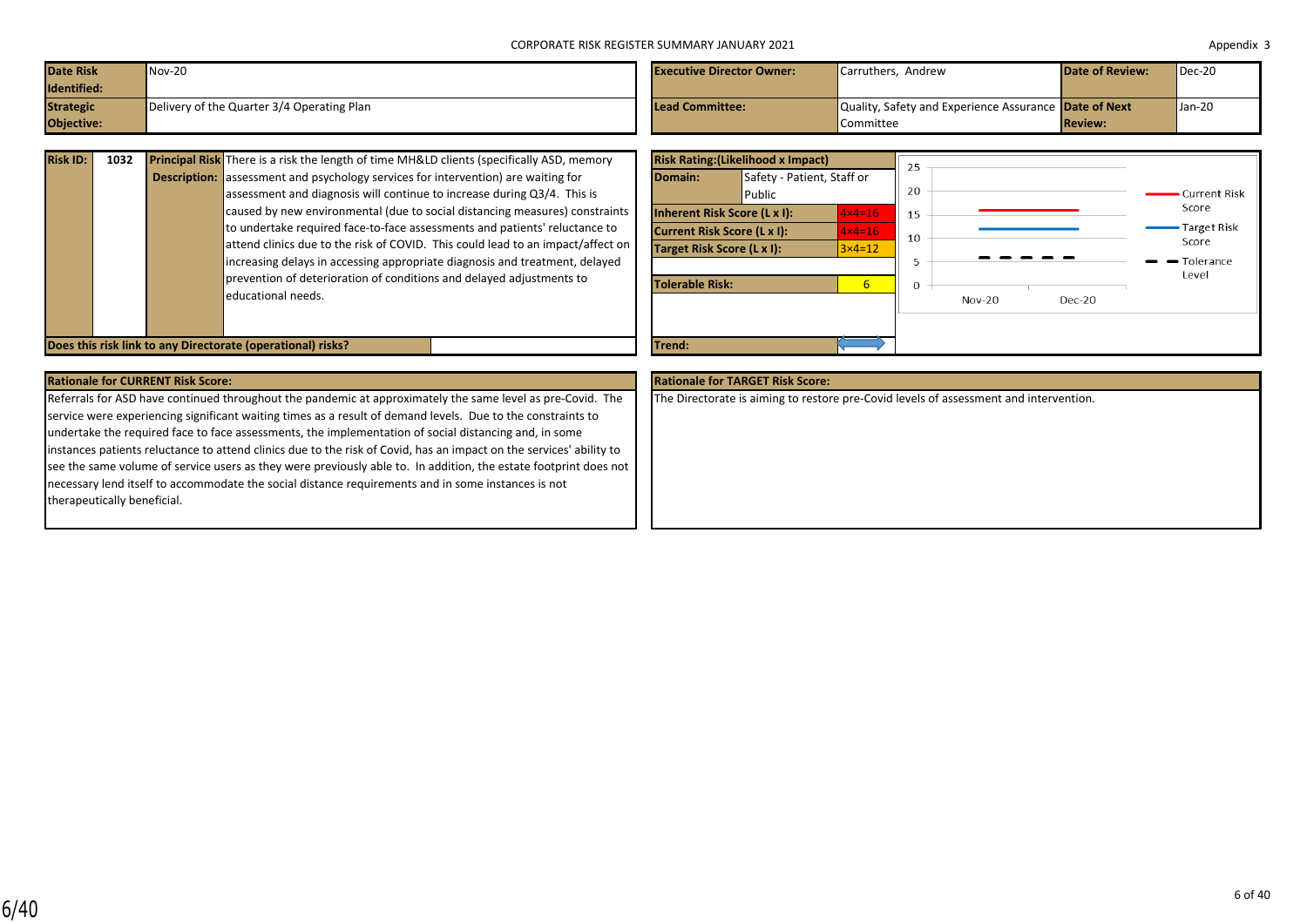| Date Risk        | $Nov-20$                                   | <b>Executive Director Owner:</b> | Carruthers, Andrew                                           | <b>Date of Review:</b> | $Dec-20$ |
|------------------|--------------------------------------------|----------------------------------|--------------------------------------------------------------|------------------------|----------|
| Identified:      |                                            |                                  |                                                              |                        |          |
| <b>Strategic</b> | Delivery of the Quarter 3/4 Operating Plan | Lead Committee:                  | Quality, Safety and Experience Assurance <b>Date of Next</b> |                        | Jan-20   |
| Objective:       |                                            |                                  | Committee                                                    | <b>Review:</b>         |          |

| <b>Risk ID:</b> | 1032 | <b>Principal Risk</b> There is a risk the length of time MH&LD clients (specifically ASD, memory |
|-----------------|------|--------------------------------------------------------------------------------------------------|
|                 |      | <b>Description:</b> assessment and psychology services for intervention) are waiting for         |
|                 |      | assessment and diagnosis will continue to increase during Q3/4. This is                          |
|                 |      | caused by new environmental (due to social distancing measures) constraints                      |
|                 |      | to undertake required face-to-face assessments and patients' reluctance to                       |
|                 |      | attend clinics due to the risk of COVID. This could lead to an impact/affect on                  |
|                 |      | increasing delays in accessing appropriate diagnosis and treatment, delayed                      |
|                 |      | prevention of deterioration of conditions and delayed adjustments to                             |
|                 |      | educational needs.                                                                               |
|                 |      |                                                                                                  |

|                             | <b>Risk Rating: (Likelihood x Impact)</b> |                   | 25       |          |          |                    |
|-----------------------------|-------------------------------------------|-------------------|----------|----------|----------|--------------------|
| Domain:                     | Safety - Patient, Staff or<br>Public      |                   | 20       |          |          | Current Risk       |
|                             | Inherent Risk Score (L x I):              | $4 \times 4 = 16$ | 15       |          |          | Score              |
| Current Risk Score (L x I): |                                           | $4 \times 4 = 16$ | 10       |          |          | <b>Target Risk</b> |
| Target Risk Score (L x I):  |                                           | $3\times 4=12$    |          |          |          | Score              |
|                             |                                           |                   | 5        |          |          | Tolerance          |
| <b>Tolerable Risk:</b>      |                                           | 6                 | $\Omega$ |          |          | Level              |
|                             |                                           |                   |          | $Nov-20$ | $Dec-20$ |                    |
|                             |                                           |                   |          |          |          |                    |
| Trend:                      |                                           |                   |          |          |          |                    |

### **Rationale for CURRENT Risk Score: Rationale for TARGET Risk Score:**

**Does this risk link to any Directorate (operational) risks?** 

Referrals for ASD have continued throughout the pandemic at approximately the same level as pre-Covid. The service were experiencing significant waiting times as a result of demand levels. Due to the constraints to undertake the required face to face assessments, the implementation of social distancing and, in some instances patients reluctance to attend clinics due to the risk of Covid, has an impact on the services' ability to see the same volume of service users as they were previously able to. In addition, the estate footprint does not necessary lend itself to accommodate the social distance requirements and in some instances is not therapeutically beneficial.

The Directorate is aiming to restore pre-Covid levels of assessment and intervention.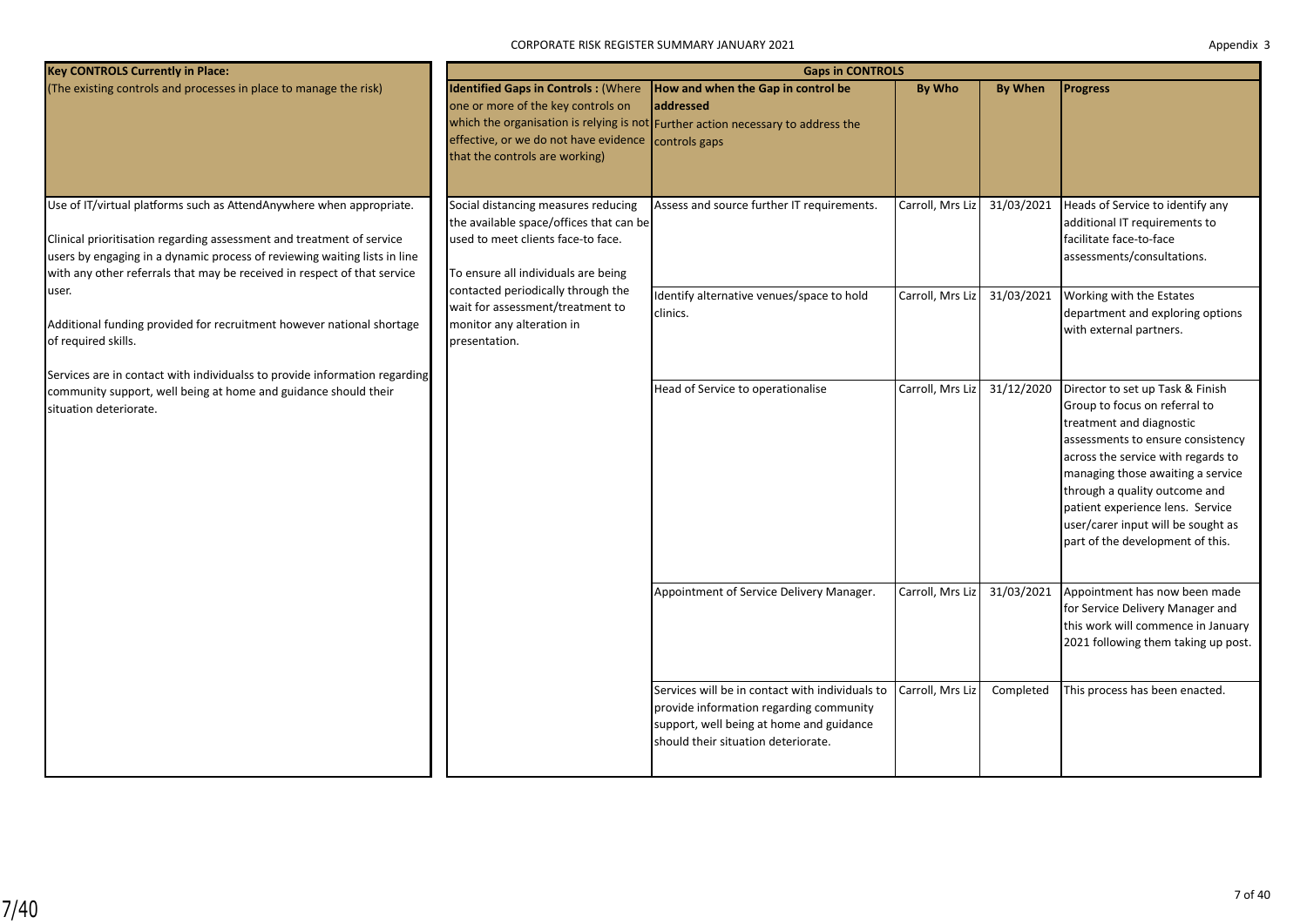| <b>Key CONTROLS Currently in Place:</b>                                                                                                                                                                                                                                                                |                                                                                                                                                             | <b>Gaps in CONTROLS</b>                                                                                                                                                       |                  |                |                                                                                                                                                                                                                                                                                                                                                              |
|--------------------------------------------------------------------------------------------------------------------------------------------------------------------------------------------------------------------------------------------------------------------------------------------------------|-------------------------------------------------------------------------------------------------------------------------------------------------------------|-------------------------------------------------------------------------------------------------------------------------------------------------------------------------------|------------------|----------------|--------------------------------------------------------------------------------------------------------------------------------------------------------------------------------------------------------------------------------------------------------------------------------------------------------------------------------------------------------------|
| (The existing controls and processes in place to manage the risk)                                                                                                                                                                                                                                      | <b>Identified Gaps in Controls: (Where</b><br>one or more of the key controls on<br>effective, or we do not have evidence<br>that the controls are working) | How and when the Gap in control be<br>addressed<br>which the organisation is relying is not Further action necessary to address the<br>controls gaps                          | <b>By Who</b>    | <b>By When</b> | <b>Progress</b>                                                                                                                                                                                                                                                                                                                                              |
| Use of IT/virtual platforms such as AttendAnywhere when appropriate.<br>Clinical prioritisation regarding assessment and treatment of service<br>users by engaging in a dynamic process of reviewing waiting lists in line<br>with any other referrals that may be received in respect of that service | Social distancing measures reducing<br>the available space/offices that can be<br>used to meet clients face-to face.<br>To ensure all individuals are being | Assess and source further IT requirements.                                                                                                                                    | Carroll, Mrs Liz | 31/03/2021     | Heads of Service to identify any<br>additional IT requirements to<br>facilitate face-to-face<br>assessments/consultations.                                                                                                                                                                                                                                   |
| user.<br>Additional funding provided for recruitment however national shortage<br>of required skills.<br>Services are in contact with individualss to provide information regarding                                                                                                                    | contacted periodically through the<br>wait for assessment/treatment to<br>monitor any alteration in<br>presentation.                                        | Identify alternative venues/space to hold<br>clinics.                                                                                                                         | Carroll, Mrs Liz | 31/03/2021     | Working with the Estates<br>department and exploring options<br>with external partners.                                                                                                                                                                                                                                                                      |
| community support, well being at home and guidance should their<br>situation deteriorate.                                                                                                                                                                                                              |                                                                                                                                                             | Head of Service to operationalise                                                                                                                                             | Carroll, Mrs Liz | 31/12/2020     | Director to set up Task & Finish<br>Group to focus on referral to<br>treatment and diagnostic<br>assessments to ensure consistency<br>across the service with regards to<br>managing those awaiting a service<br>through a quality outcome and<br>patient experience lens. Service<br>user/carer input will be sought as<br>part of the development of this. |
|                                                                                                                                                                                                                                                                                                        |                                                                                                                                                             | Appointment of Service Delivery Manager.                                                                                                                                      | Carroll, Mrs Liz | 31/03/2021     | Appointment has now been made<br>for Service Delivery Manager and<br>this work will commence in January<br>2021 following them taking up post.                                                                                                                                                                                                               |
|                                                                                                                                                                                                                                                                                                        |                                                                                                                                                             | Services will be in contact with individuals to<br>provide information regarding community<br>support, well being at home and guidance<br>should their situation deteriorate. | Carroll, Mrs Liz | Completed      | This process has been enacted.                                                                                                                                                                                                                                                                                                                               |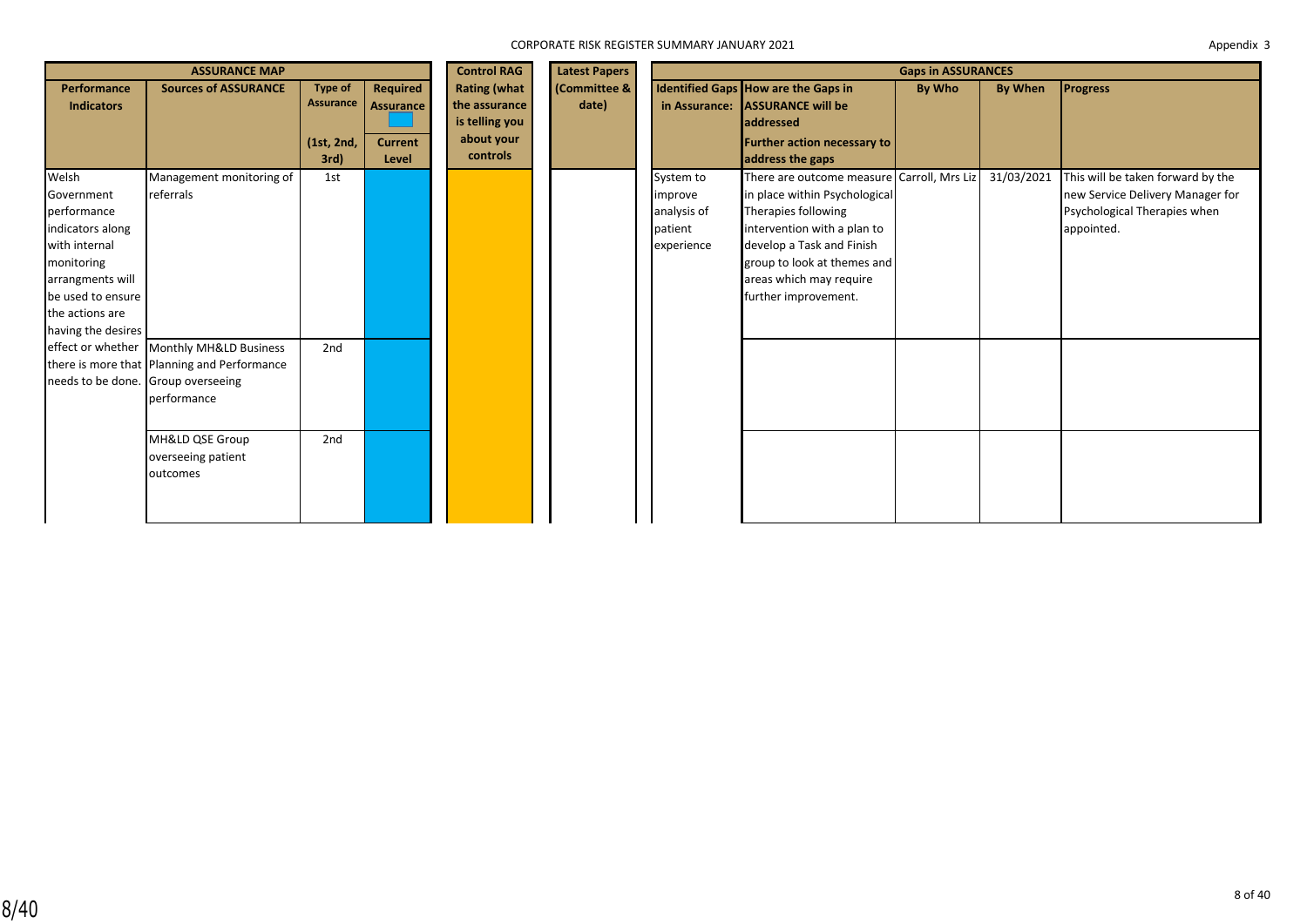| <b>ASSURANCE MAP</b>                                                                                                                                                    |                                                                                                                                                                                                                                            |                                               |                                                         | <b>Control RAG</b>                                                                      | <b>Latest Papers</b>            |                                                              |                                                                                                                                                                                                                                                  | <b>Gaps in ASSURANCES</b> |                |                                                                                                                     |
|-------------------------------------------------------------------------------------------------------------------------------------------------------------------------|--------------------------------------------------------------------------------------------------------------------------------------------------------------------------------------------------------------------------------------------|-----------------------------------------------|---------------------------------------------------------|-----------------------------------------------------------------------------------------|---------------------------------|--------------------------------------------------------------|--------------------------------------------------------------------------------------------------------------------------------------------------------------------------------------------------------------------------------------------------|---------------------------|----------------|---------------------------------------------------------------------------------------------------------------------|
| Performance<br><b>Indicators</b>                                                                                                                                        | <b>Sources of ASSURANCE</b>                                                                                                                                                                                                                | Type of<br>Assurance<br>(1st, 2nd,<br>$3rd$ ) | Required<br><b>Assurance</b><br><b>Current</b><br>Level | <b>Rating (what</b><br>the assurance<br>is telling you<br>about your<br><b>controls</b> | <b>Committee &amp;</b><br>date) | in Assurance:                                                | Identified Gaps How are the Gaps in<br><b>ASSURANCE will be</b><br>laddressed<br><b>Further action necessary to</b><br>address the gaps                                                                                                          | By Who                    | <b>By When</b> | <b>Progress</b>                                                                                                     |
| Welsh<br>Government<br>performance<br>indicators along<br>with internal<br>monitoring<br>arrangments will<br>be used to ensure<br>the actions are<br>having the desires | Management monitoring of<br>referrals<br>effect or whether Monthly MH&LD Business<br>there is more that Planning and Performance<br>needs to be done. Group overseeing<br>performance<br>MH&LD QSE Group<br>overseeing patient<br>outcomes | 1st<br>2nd<br>2nd                             |                                                         |                                                                                         |                                 | System to<br>improve<br>analysis of<br>patient<br>experience | There are outcome measure Carroll, Mrs Liz<br>in place within Psychological<br>Therapies following<br>intervention with a plan to<br>develop a Task and Finish<br>group to look at themes and<br>areas which may require<br>further improvement. |                           | 31/03/2021     | This will be taken forward by the<br>new Service Delivery Manager for<br>Psychological Therapies when<br>appointed. |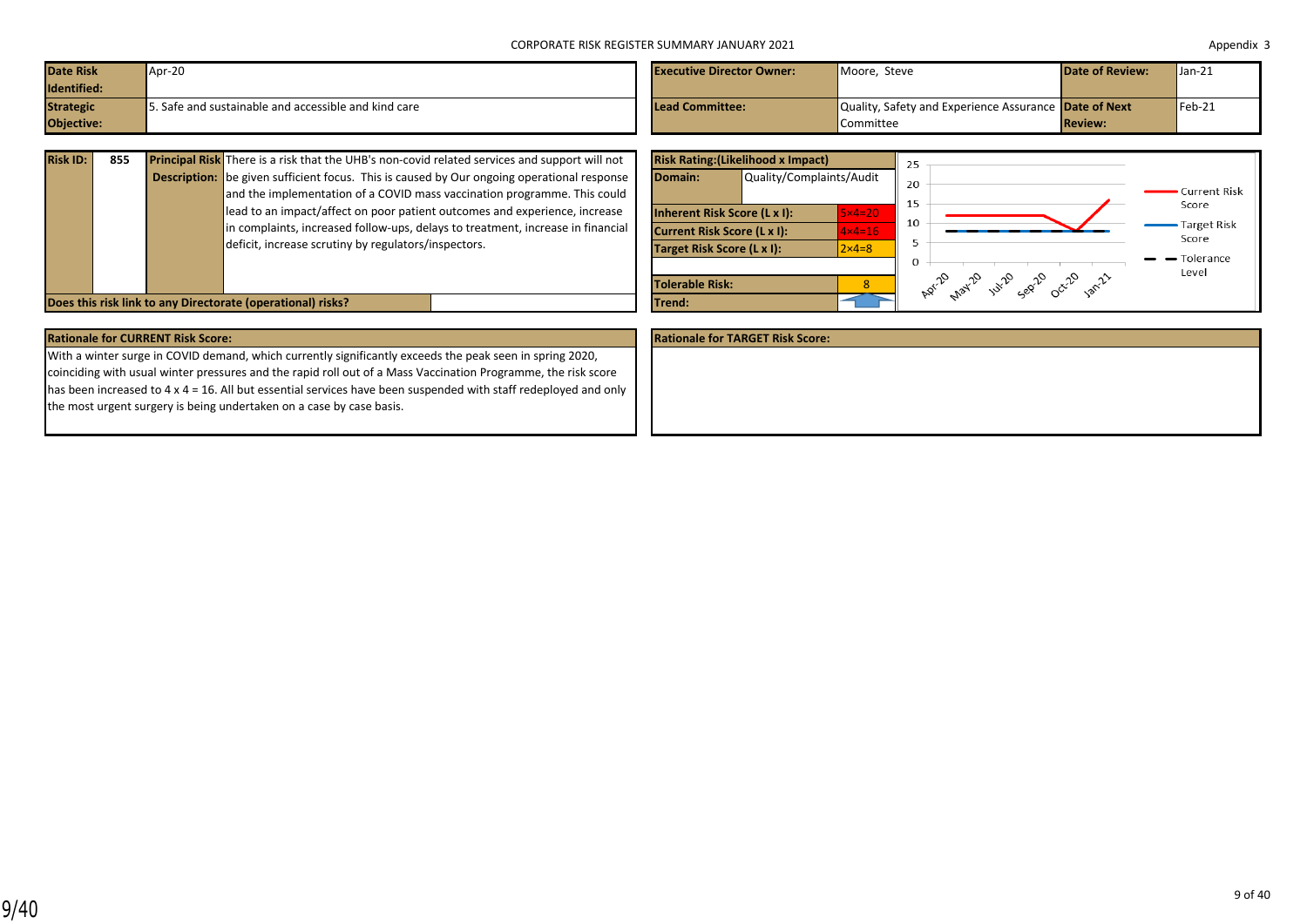| <b>Date Risk</b> | Apr-20                                               | <b>Executive Director Owner:</b> | Moore, Steve                                          | <b>Date of Review:</b> | $\sqrt{\tan 21}$  |
|------------------|------------------------------------------------------|----------------------------------|-------------------------------------------------------|------------------------|-------------------|
| Identified:      |                                                      |                                  |                                                       |                        |                   |
| <b>Strategic</b> | 5. Safe and sustainable and accessible and kind care | Lead Committee:                  | Quality, Safety and Experience Assurance Date of Next |                        | $\textsf{Feb-21}$ |
| Objective:       |                                                      |                                  | Committee                                             | <b>Review:</b>         |                   |

| <b>Risk ID:</b>                                             | 855 |  | <b>Principal Risk</b> There is a risk that the UHB's non-covid related services and support will not |                 | <b>Risk Rating: (Likelihood x Impact)</b> |              |
|-------------------------------------------------------------|-----|--|------------------------------------------------------------------------------------------------------|-----------------|-------------------------------------------|--------------|
|                                                             |     |  | <b>Description:</b> be given sufficient focus. This is caused by Our ongoing operational response    | Domain:         | Quality/Complaints/Au                     |              |
|                                                             |     |  | and the implementation of a COVID mass vaccination programme. This could                             |                 |                                           |              |
|                                                             |     |  | lead to an impact/affect on poor patient outcomes and experience, increase                           |                 | Inherent Risk Score (L x I):              | 5x4          |
|                                                             |     |  | in complaints, increased follow-ups, delays to treatment, increase in financial                      |                 | Current Risk Score (L x I):               | $4\times4=$  |
|                                                             |     |  | deficit, increase scrutiny by regulators/inspectors.                                                 |                 | Target Risk Score (L x I):                | $2\times 4=$ |
|                                                             |     |  |                                                                                                      |                 |                                           |              |
|                                                             |     |  |                                                                                                      | Tolerable Risk: |                                           |              |
| Does this risk link to any Directorate (operational) risks? |     |  |                                                                                                      | Trend:          |                                           |              |

|                                    | <b>Risk Rating: (Likelihood x Impact)</b> |                  | 25                                  |                             |
|------------------------------------|-------------------------------------------|------------------|-------------------------------------|-----------------------------|
| Domain:                            | Quality/Complaints/Audit                  |                  | 20<br>15                            | Current Risk                |
| Inherent Risk Score (L x I):       |                                           | $5\times 4=20$   | 10                                  | Score                       |
| <b>Current Risk Score (L x I):</b> |                                           | $4x4=16$         |                                     | <b>Target Risk</b><br>Score |
| Target Risk Score (L x I):         |                                           | $2 \times 4 = 8$ | 5                                   | Tolerance                   |
|                                    |                                           |                  | $\Omega$                            | Level                       |
| Tolerable Risk:                    |                                           | 8                | Apr-20 1994-20 191-20 192-20 192-20 |                             |
| Trend:                             |                                           |                  |                                     |                             |

| <b>Rationale for TARGET Risk Score:</b>                                                                                 |
|-------------------------------------------------------------------------------------------------------------------------|
|                                                                                                                         |
|                                                                                                                         |
|                                                                                                                         |
|                                                                                                                         |
|                                                                                                                         |
| has been increased to $4 \times 4 = 16$ . All but essential services have been suspended with staff redeployed and only |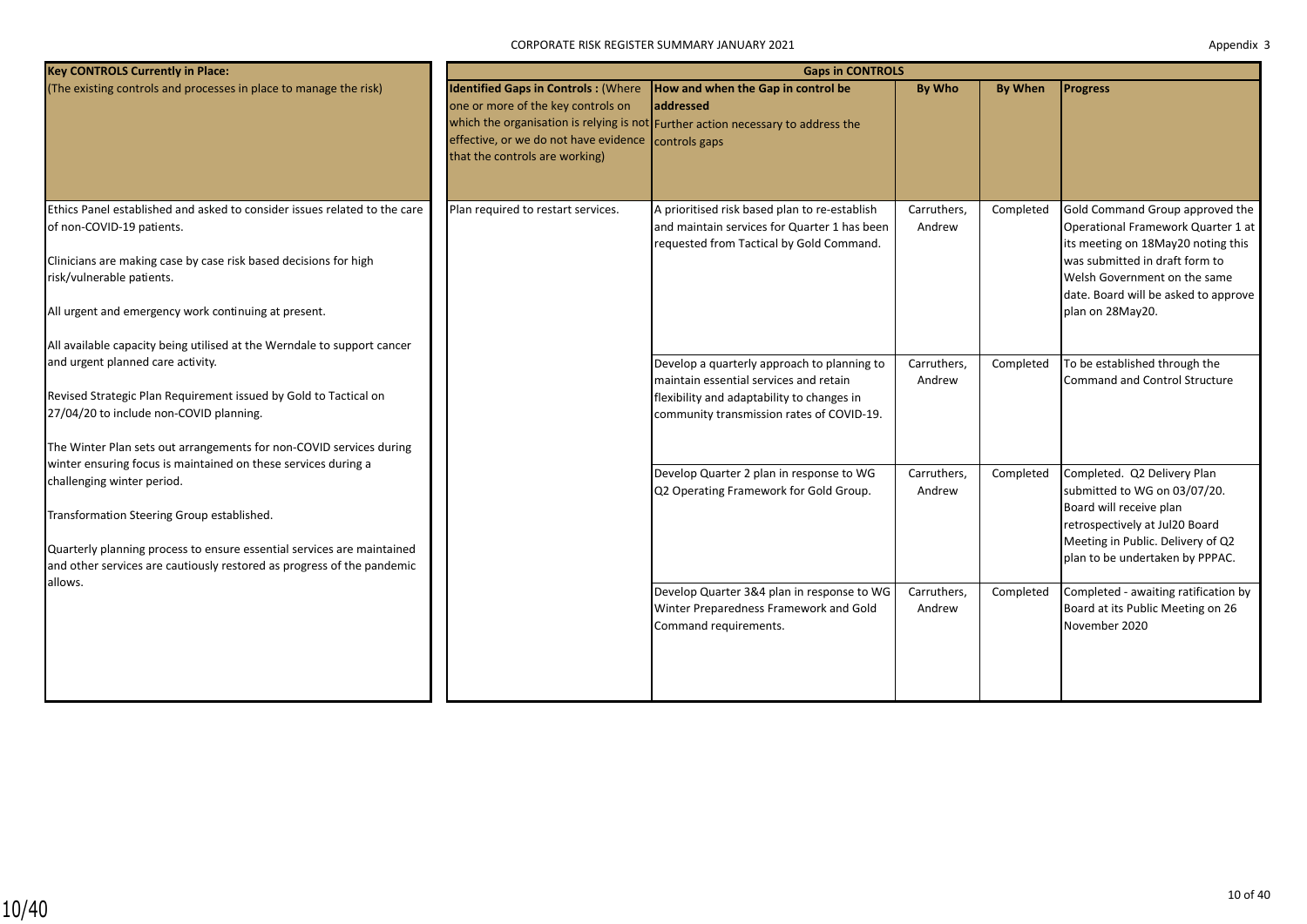| <b>Key CONTROLS Currently in Place:</b>                                                                                                                                                                                                                                                                                                    |                                                                                                                                                                           | <b>Gaps in CONTROLS</b>                                                                                                                                                          |                       |                |                                                                                                                                                                                                                                           |
|--------------------------------------------------------------------------------------------------------------------------------------------------------------------------------------------------------------------------------------------------------------------------------------------------------------------------------------------|---------------------------------------------------------------------------------------------------------------------------------------------------------------------------|----------------------------------------------------------------------------------------------------------------------------------------------------------------------------------|-----------------------|----------------|-------------------------------------------------------------------------------------------------------------------------------------------------------------------------------------------------------------------------------------------|
| (The existing controls and processes in place to manage the risk)                                                                                                                                                                                                                                                                          | <b>Identified Gaps in Controls: (Where</b><br>one or more of the key controls on<br>effective, or we do not have evidence controls gaps<br>that the controls are working) | How and when the Gap in control be<br>laddressed<br>which the organisation is relying is not Further action necessary to address the                                             | <b>By Who</b>         | <b>By When</b> | <b>Progress</b>                                                                                                                                                                                                                           |
| Ethics Panel established and asked to consider issues related to the care<br>of non-COVID-19 patients.<br>Clinicians are making case by case risk based decisions for high<br>risk/vulnerable patients.<br>All urgent and emergency work continuing at present.<br>All available capacity being utilised at the Werndale to support cancer | Plan required to restart services.                                                                                                                                        | A prioritised risk based plan to re-establish<br>and maintain services for Quarter 1 has been<br>requested from Tactical by Gold Command.                                        | Carruthers,<br>Andrew | Completed      | Gold Command Group approved the<br>Operational Framework Quarter 1 at<br>its meeting on 18May20 noting this<br>was submitted in draft form to<br>Welsh Government on the same<br>date. Board will be asked to approve<br>plan on 28May20. |
| and urgent planned care activity.<br>Revised Strategic Plan Requirement issued by Gold to Tactical on<br>27/04/20 to include non-COVID planning.<br>The Winter Plan sets out arrangements for non-COVID services during                                                                                                                    |                                                                                                                                                                           | Develop a quarterly approach to planning to<br>maintain essential services and retain<br>flexibility and adaptability to changes in<br>community transmission rates of COVID-19. | Carruthers,<br>Andrew | Completed      | To be established through the<br>Command and Control Structure                                                                                                                                                                            |
| winter ensuring focus is maintained on these services during a<br>challenging winter period.<br>Transformation Steering Group established.<br>Quarterly planning process to ensure essential services are maintained<br>and other services are cautiously restored as progress of the pandemic                                             |                                                                                                                                                                           | Develop Quarter 2 plan in response to WG<br>Q2 Operating Framework for Gold Group.                                                                                               | Carruthers,<br>Andrew | Completed      | Completed. Q2 Delivery Plan<br>submitted to WG on 03/07/20.<br>Board will receive plan<br>retrospectively at Jul20 Board<br>Meeting in Public. Delivery of Q2<br>plan to be undertaken by PPPAC.                                          |
| allows.                                                                                                                                                                                                                                                                                                                                    |                                                                                                                                                                           | Develop Quarter 3&4 plan in response to WG<br>Winter Preparedness Framework and Gold<br>Command requirements.                                                                    | Carruthers,<br>Andrew | Completed      | Completed - awaiting ratification by<br>Board at its Public Meeting on 26<br>November 2020                                                                                                                                                |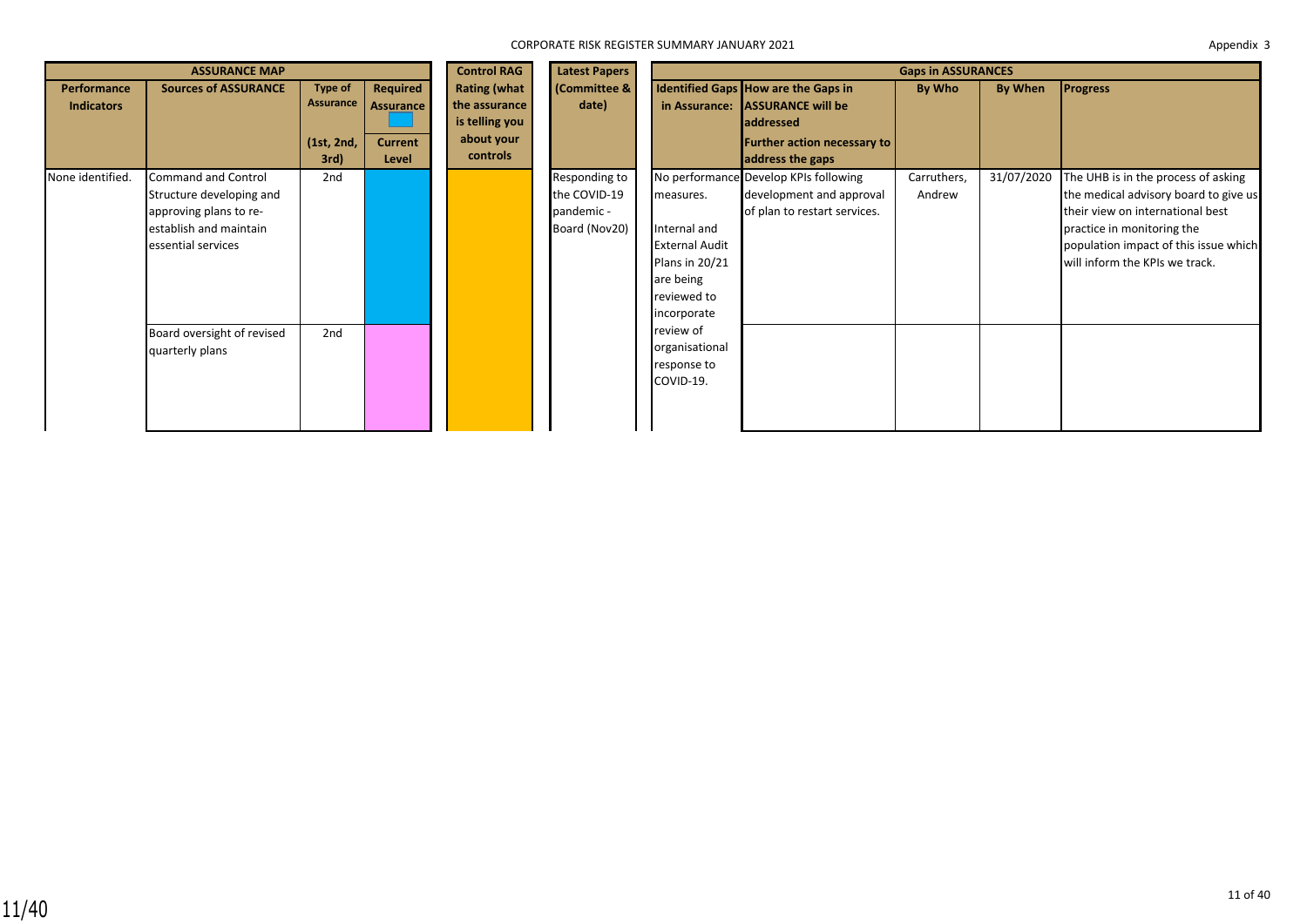|                                  | <b>ASSURANCE MAP</b>                                                                                                             |                                            |                                                  | <b>Control RAG</b>                                                               | <b>Latest Papers</b>                                         | <b>Gaps in ASSURANCES</b>                                                                                       |                                                                                                                                               |                       |            |                                                                                                                                                                                                                           |  |
|----------------------------------|----------------------------------------------------------------------------------------------------------------------------------|--------------------------------------------|--------------------------------------------------|----------------------------------------------------------------------------------|--------------------------------------------------------------|-----------------------------------------------------------------------------------------------------------------|-----------------------------------------------------------------------------------------------------------------------------------------------|-----------------------|------------|---------------------------------------------------------------------------------------------------------------------------------------------------------------------------------------------------------------------------|--|
| Performance<br><b>Indicators</b> | <b>Sources of ASSURANCE</b>                                                                                                      | Type of<br>Assurance<br>(1st, 2nd,<br>3rd) | Required<br>Assurance<br><b>Current</b><br>Level | <b>Rating (what</b><br>the assurance<br>is telling you<br>about your<br>controls | <b>Committee &amp;</b><br>date)                              | in Assurance:                                                                                                   | Identified Gaps How are the Gaps in<br><b>ASSURANCE will be</b><br><b>addressed</b><br><b>Further action necessary to</b><br>address the gaps | By Who                | By When    | <b>Progress</b>                                                                                                                                                                                                           |  |
| None identified.                 | <b>Command and Control</b><br>Structure developing and<br>approving plans to re-<br>establish and maintain<br>essential services | 2nd                                        |                                                  |                                                                                  | Responding to<br>the COVID-19<br>pandemic -<br>Board (Nov20) | measures.<br>Internal and<br><b>External Audit</b><br>Plans in 20/21<br>are being<br>reviewed to<br>incorporate | No performance Develop KPIs following<br>development and approval<br>of plan to restart services.                                             | Carruthers,<br>Andrew | 31/07/2020 | The UHB is in the process of asking<br>the medical advisory board to give us<br>their view on international best<br>practice in monitoring the<br>population impact of this issue which<br>will inform the KPIs we track. |  |
|                                  | Board oversight of revised<br>quarterly plans                                                                                    | 2nd                                        |                                                  |                                                                                  |                                                              | review of<br>organisational<br>response to<br>COVID-19.                                                         |                                                                                                                                               |                       |            |                                                                                                                                                                                                                           |  |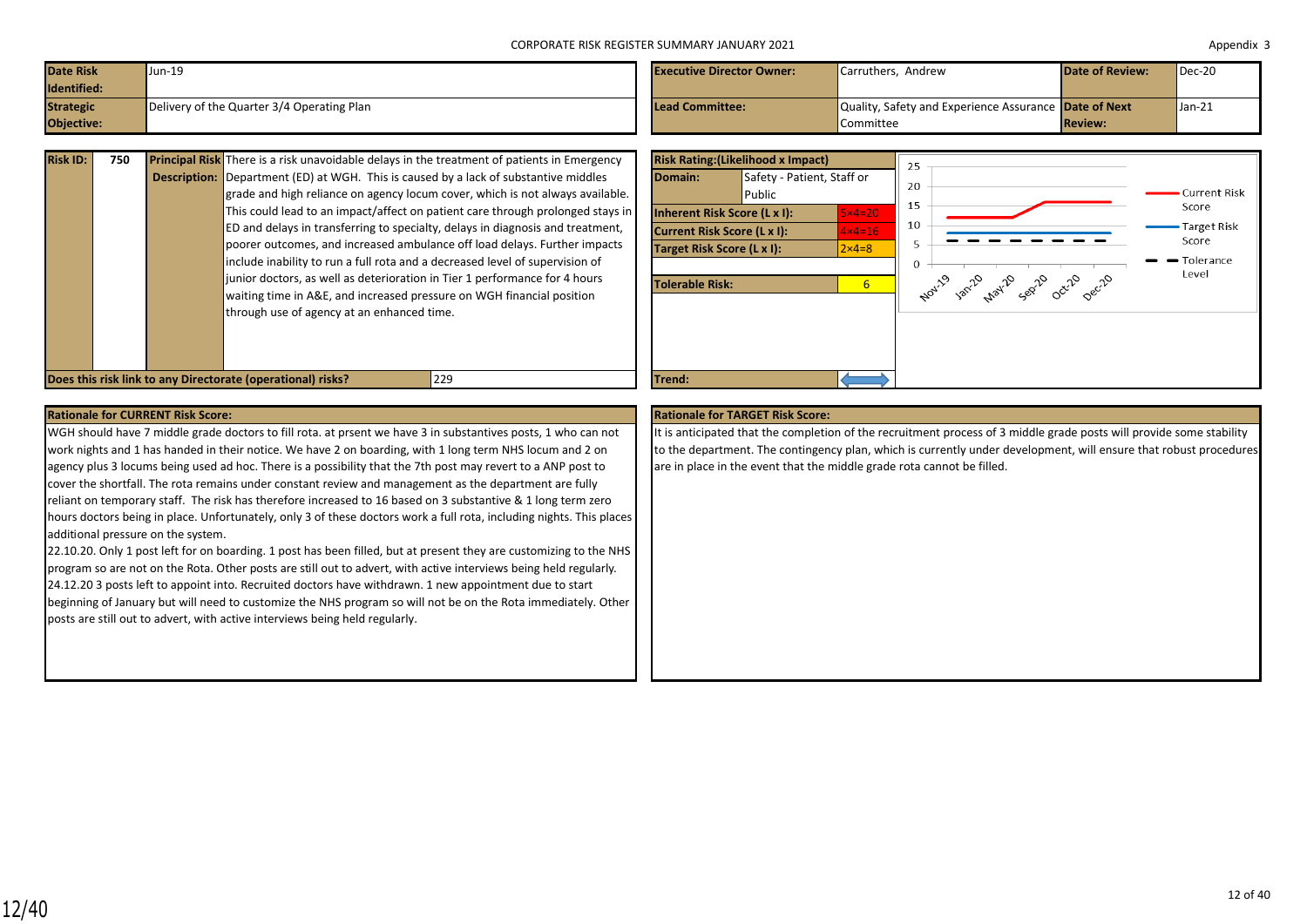| <b>Date Risk</b><br>Identified: | Jun-19                                     | <b>Executive Director Owner:</b> | Carruthers, Andrew                                    | <b>Date of Review:</b> | $Dec-20$         |
|---------------------------------|--------------------------------------------|----------------------------------|-------------------------------------------------------|------------------------|------------------|
| <b>Strategic</b>                | Delivery of the Quarter 3/4 Operating Plan | Lead Committee:                  | Quality, Safety and Experience Assurance Date of Next |                        | $\sqrt{\tan 21}$ |
| Objective:                      |                                            |                                  | Committee                                             | <b>Review:</b>         |                  |

| <b>Risk ID:</b> | 750 | <b>Principal Risk</b> There is a risk unavoidable delays in the treatment of patients in Emergency |
|-----------------|-----|----------------------------------------------------------------------------------------------------|
|                 |     | <b>Description:</b> Department (ED) at WGH. This is caused by a lack of substantive middles        |
|                 |     | grade and high reliance on agency locum cover, which is not always available.                      |
|                 |     | This could lead to an impact/affect on patient care through prolonged stays in                     |
|                 |     | ED and delays in transferring to specialty, delays in diagnosis and treatment,                     |
|                 |     | poorer outcomes, and increased ambulance off load delays. Further impacts                          |
|                 |     | include inability to run a full rota and a decreased level of supervision of                       |
|                 |     | junior doctors, as well as deterioration in Tier 1 performance for 4 hours                         |
|                 |     | waiting time in A&E, and increased pressure on WGH financial position                              |
|                 |     | through use of agency at an enhanced time.                                                         |
|                 |     |                                                                                                    |
|                 |     |                                                                                                    |
|                 |     |                                                                                                    |



### **Rationale for CURRENT Risk Score: Rationale for TARGET Risk Score: Rationale for TARGET Risk Score: Rationale for TARGET Risk Score:**

WGH should have 7 middle grade doctors to fill rota. at prsent we have 3 in substantives posts, 1 who can not work nights and 1 has handed in their notice. We have 2 on boarding, with 1 long term NHS locum and 2 on agency plus 3 locums being used ad hoc. There is a possibility that the 7th post may revert to a ANP post to cover the shortfall. The rota remains under constant review and management as the department are fully reliant on temporary staff. The risk has therefore increased to 16 based on 3 substantive & 1 long term zero hours doctors being in place. Unfortunately, only 3 of these doctors work a full rota, including nights. This places additional pressure on the system.

22.10.20. Only 1 post left for on boarding. 1 post has been filled, but at present they are customizing to the NHS program so are not on the Rota. Other posts are still out to advert, with active interviews being held regularly. 24.12.20 3 posts left to appoint into. Recruited doctors have withdrawn. 1 new appointment due to start beginning of January but will need to customize the NHS program so will not be on the Rota immediately. Other posts are still out to advert, with active interviews being held regularly.

It is anticipated that the completion of the recruitment process of 3 middle grade posts will provide some stability to the department. The contingency plan, which is currently under development, will ensure that robust procedures are in place in the event that the middle grade rota cannot be filled.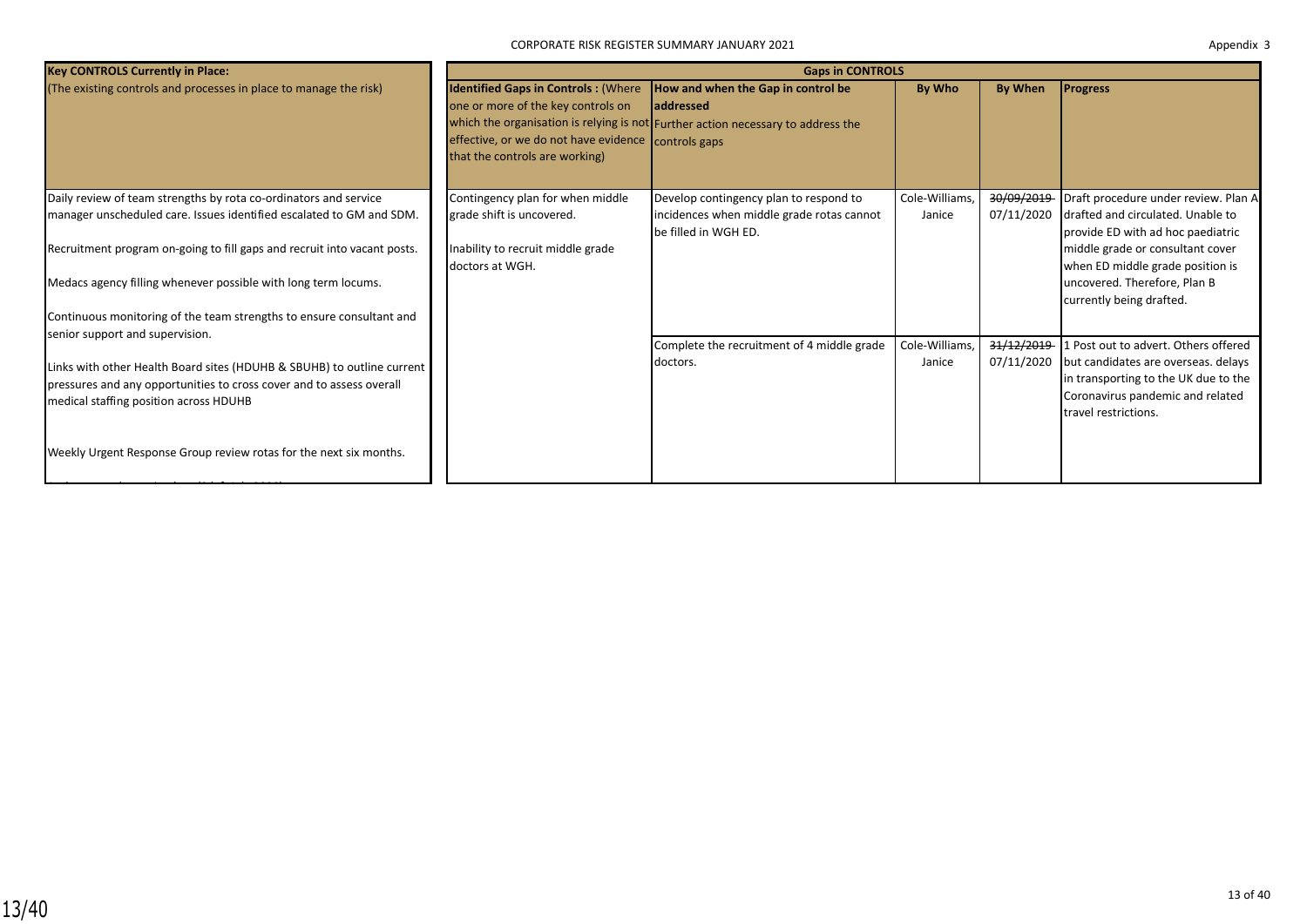| <b>Key CONTROLS Currently in Place:</b>                                                                                                                                                  | <b>Gaps in CONTROLS</b>                                                                                                                                                   |                                                                                                                                             |                          |                          |                                                                                                                                         |  |  |  |  |
|------------------------------------------------------------------------------------------------------------------------------------------------------------------------------------------|---------------------------------------------------------------------------------------------------------------------------------------------------------------------------|---------------------------------------------------------------------------------------------------------------------------------------------|--------------------------|--------------------------|-----------------------------------------------------------------------------------------------------------------------------------------|--|--|--|--|
| (The existing controls and processes in place to manage the risk)                                                                                                                        | <b>Identified Gaps in Controls: (Where</b><br>one or more of the key controls on<br>effective, or we do not have evidence controls gaps<br>that the controls are working) | How and when the Gap in control be<br><b>laddressed</b><br>which the organisation is relying is not Further action necessary to address the | By Who                   | By When                  | <b>Progress</b>                                                                                                                         |  |  |  |  |
| Daily review of team strengths by rota co-ordinators and service<br>manager unscheduled care. Issues identified escalated to GM and SDM.                                                 | Contingency plan for when middle<br>grade shift is uncovered.                                                                                                             | Develop contingency plan to respond to<br>incidences when middle grade rotas cannot<br>be filled in WGH ED.                                 | Cole-Williams,<br>Janice | 30/09/2019<br>07/11/2020 | Draft procedure under review. Plan A<br>drafted and circulated. Unable to<br>provide ED with ad hoc paediatric                          |  |  |  |  |
| Recruitment program on-going to fill gaps and recruit into vacant posts.<br>Medacs agency filling whenever possible with long term locums.                                               | Inability to recruit middle grade<br>doctors at WGH.                                                                                                                      |                                                                                                                                             |                          |                          | middle grade or consultant cover<br>when ED middle grade position is<br>uncovered. Therefore, Plan B                                    |  |  |  |  |
| Continuous monitoring of the team strengths to ensure consultant and<br>senior support and supervision.                                                                                  |                                                                                                                                                                           |                                                                                                                                             |                          |                          | currently being drafted.                                                                                                                |  |  |  |  |
|                                                                                                                                                                                          |                                                                                                                                                                           | Complete the recruitment of 4 middle grade                                                                                                  | Cole-Williams,           | 31/12/2019               | 1 Post out to advert. Others offered                                                                                                    |  |  |  |  |
| Links with other Health Board sites (HDUHB & SBUHB) to outline current<br>pressures and any opportunities to cross cover and to assess overall<br>medical staffing position across HDUHB |                                                                                                                                                                           | doctors.                                                                                                                                    | Janice                   | 07/11/2020               | but candidates are overseas. delays<br>in transporting to the UK due to the<br>Coronavirus pandemic and related<br>travel restrictions. |  |  |  |  |
| Weekly Urgent Response Group review rotas for the next six months.                                                                                                                       |                                                                                                                                                                           |                                                                                                                                             |                          |                          |                                                                                                                                         |  |  |  |  |

1 x locum in place (2 left July 2020).<br>2020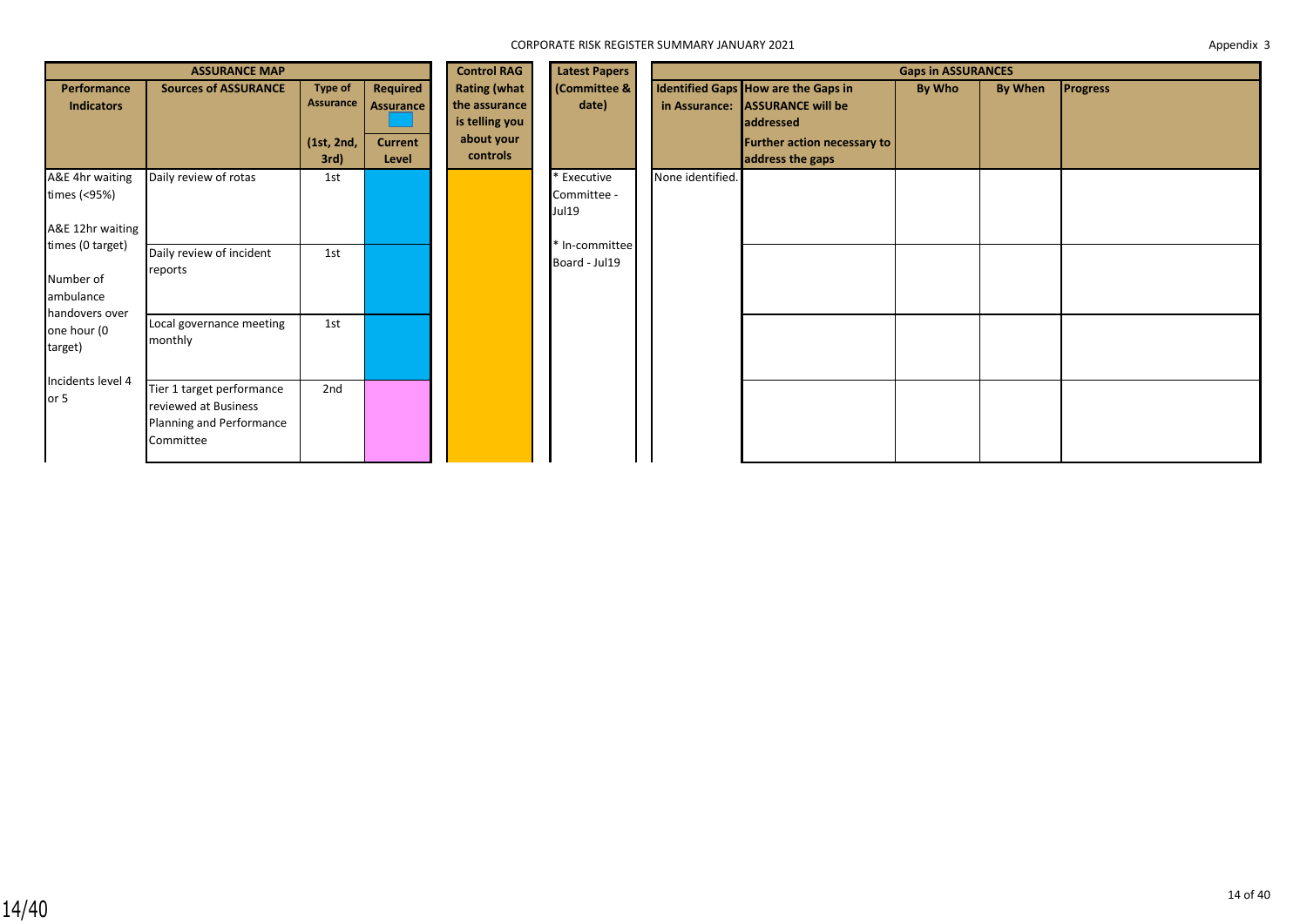|                                                              | <b>ASSURANCE MAP</b>                                                                       |                                                   |                                                  | <b>Control RAG</b>                                                               | <b>Latest Papers</b>                | <b>Gaps in ASSURANCES</b> |                                                                                                                                 |               |         |                 |  |
|--------------------------------------------------------------|--------------------------------------------------------------------------------------------|---------------------------------------------------|--------------------------------------------------|----------------------------------------------------------------------------------|-------------------------------------|---------------------------|---------------------------------------------------------------------------------------------------------------------------------|---------------|---------|-----------------|--|
| Performance<br><b>Indicators</b>                             | <b>Sources of ASSURANCE</b>                                                                | <b>Type of</b><br>Assurance<br>(1st, 2nd,<br>3rd) | Required<br>Assurance<br><b>Current</b><br>Level | <b>Rating (what</b><br>the assurance<br>is telling you<br>about your<br>controls | (Committee &<br>date)               | in Assurance:             | Identified Gaps How are the Gaps in<br><b>ASSURANCE will be</b><br>addressed<br>Further action necessary to<br>address the gaps | <b>By Who</b> | By When | <b>Progress</b> |  |
| A&E 4hr waiting<br>times (<95%)<br>A&E 12hr waiting          | Daily review of rotas                                                                      | 1st                                               |                                                  |                                                                                  | * Executive<br>Committee -<br>Jul19 | None identified.          |                                                                                                                                 |               |         |                 |  |
| times (0 target)<br>Number of<br>ambulance<br>handovers over | Daily review of incident<br>reports                                                        | 1st                                               |                                                  |                                                                                  | * In-committee<br>Board - Jul19     |                           |                                                                                                                                 |               |         |                 |  |
| one hour (0<br>target)<br>Incidents level 4                  | Local governance meeting<br>monthly                                                        | 1st                                               |                                                  |                                                                                  |                                     |                           |                                                                                                                                 |               |         |                 |  |
| or 5                                                         | Tier 1 target performance<br>reviewed at Business<br>Planning and Performance<br>Committee | 2nd                                               |                                                  |                                                                                  |                                     |                           |                                                                                                                                 |               |         |                 |  |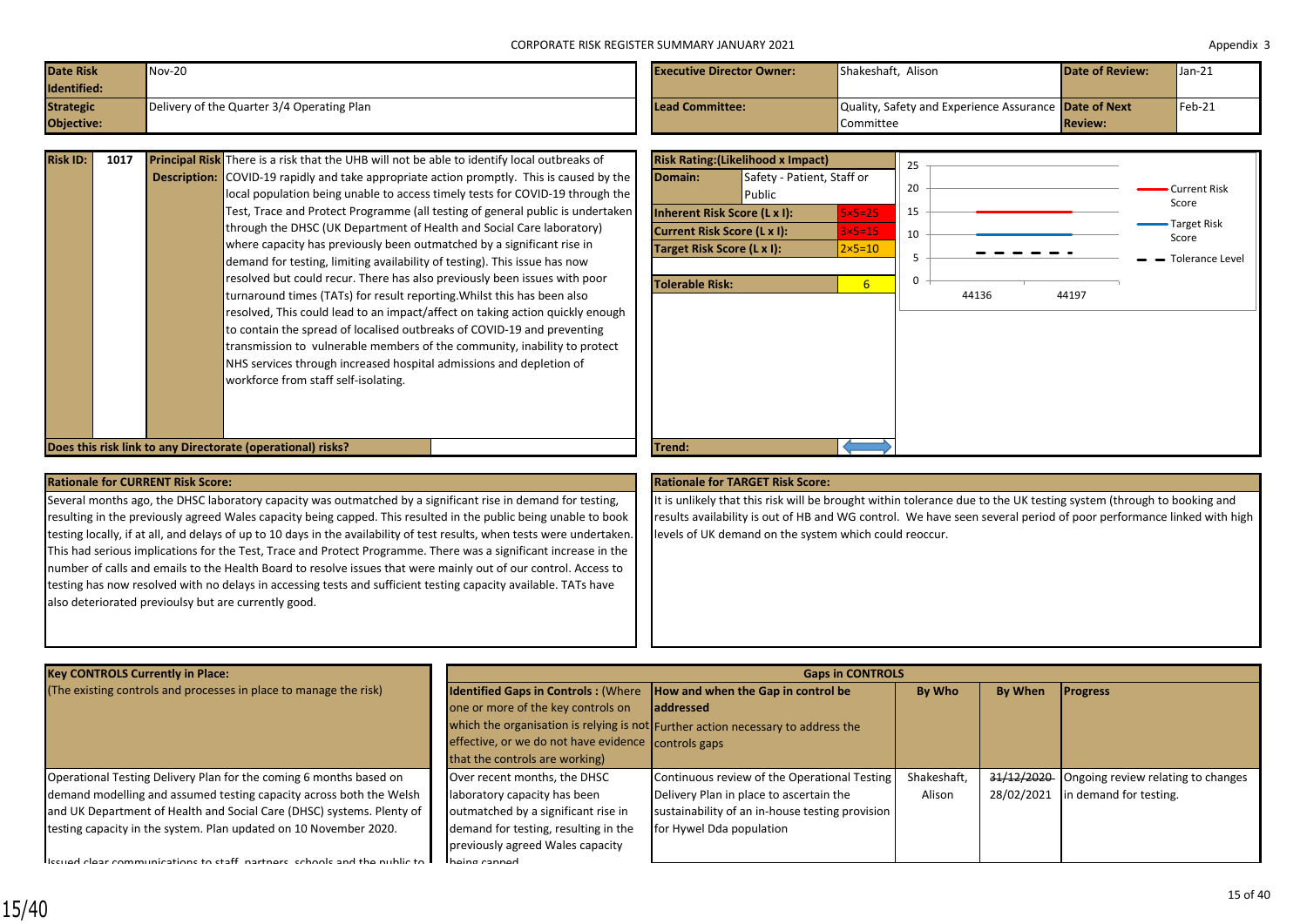| <b>Date Risk</b>  | $Nov-20$                                   | <b>Executive Director Owner:</b> | Shakeshaft, Alison                                           | <b>Date of Review:</b> | $Jan-21$ |
|-------------------|--------------------------------------------|----------------------------------|--------------------------------------------------------------|------------------------|----------|
| Identified:       |                                            |                                  |                                                              |                        |          |
| <b>Strategic</b>  | Delivery of the Quarter 3/4 Operating Plan | Lead Committee:                  | Quality, Safety and Experience Assurance <b>Date of Next</b> |                        | $Feb-21$ |
| <b>Objective:</b> |                                            |                                  | Committee                                                    | <b>Review:</b>         |          |

| <b>Risk ID:</b> | 1017 | Principal Risk There is a risk that the UHB will not be able to identify local outbreaks of      |
|-----------------|------|--------------------------------------------------------------------------------------------------|
|                 |      | <b>Description:</b> COVID-19 rapidly and take appropriate action promptly. This is caused by the |
|                 |      | local population being unable to access timely tests for COVID-19 through the                    |
|                 |      | Test, Trace and Protect Programme (all testing of general public is undertaken                   |
|                 |      | through the DHSC (UK Department of Health and Social Care laboratory)                            |
|                 |      | where capacity has previously been outmatched by a significant rise in                           |
|                 |      | demand for testing, limiting availability of testing). This issue has now                        |
|                 |      | resolved but could recur. There has also previously been issues with poor                        |
|                 |      | turnaround times (TATs) for result reporting. Whilst this has been also                          |
|                 |      | resolved, This could lead to an impact/affect on taking action quickly enough                    |
|                 |      | to contain the spread of localised outbreaks of COVID-19 and preventing                          |
|                 |      | transmission to vulnerable members of the community, inability to protect                        |
|                 |      | NHS services through increased hospital admissions and depletion of                              |
|                 |      | workforce from staff self-isolating.                                                             |
|                 |      |                                                                                                  |
|                 |      |                                                                                                  |



Several months ago, the DHSC laboratory capacity was outmatched by a significant rise in demand for testing, resulting in the previously agreed Wales capacity being capped. This resulted in the public being unable to book testing locally, if at all, and delays of up to 10 days in the availability of test results, when tests were undertaken This had serious implications for the Test, Trace and Protect Programme. There was a significant increase in the number of calls and emails to the Health Board to resolve issues that were mainly out of our control. Access to testing has now resolved with no delays in accessing tests and sufficient testing capacity available. TATs have also deteriorated previoulsy but are currently good.

### **Rationale for CURRENT Risk Score: Rationale for TARGET Risk Score:**

It is unlikely that this risk will be brought within tolerance due to the UK testing system (through to booking and results availability is out of HB and WG control. We have seen several period of poor performance linked with high levels of UK demand on the system which could reoccur.

| <b>Key CONTROLS Currently in Place:</b>                                                                                      |                                                                               | <b>Gaps in CONTROLS</b>                                                          |             |                |                                               |  |  |
|------------------------------------------------------------------------------------------------------------------------------|-------------------------------------------------------------------------------|----------------------------------------------------------------------------------|-------------|----------------|-----------------------------------------------|--|--|
| (The existing controls and processes in place to manage the risk)                                                            | <b>Identified Gaps in Controls: (Where How and when the Gap in control be</b> |                                                                                  | By Who      | <b>By When</b> | <b>Progress</b>                               |  |  |
|                                                                                                                              | one or more of the key controls on                                            | <b>laddressed</b>                                                                |             |                |                                               |  |  |
|                                                                                                                              |                                                                               | which the organisation is relying is not Further action necessary to address the |             |                |                                               |  |  |
|                                                                                                                              | effective, or we do not have evidence controls gaps                           |                                                                                  |             |                |                                               |  |  |
|                                                                                                                              | that the controls are working)                                                |                                                                                  |             |                |                                               |  |  |
| Operational Testing Delivery Plan for the coming 6 months based on                                                           | Over recent months, the DHSC                                                  | Continuous review of the Operational Testing                                     | Shakeshaft, |                | 31/12/2020 Ongoing review relating to changes |  |  |
| demand modelling and assumed testing capacity across both the Welsh                                                          | laboratory capacity has been                                                  | Delivery Plan in place to ascertain the                                          | Alison      | 28/02/2021     | in demand for testing.                        |  |  |
| and UK Department of Health and Social Care (DHSC) systems. Plenty of                                                        | outmatched by a significant rise in                                           | sustainability of an in-house testing provision                                  |             |                |                                               |  |  |
| testing capacity in the system. Plan updated on 10 November 2020.                                                            | demand for testing, resulting in the                                          | for Hywel Dda population                                                         |             |                |                                               |  |  |
|                                                                                                                              | previously agreed Wales capacity                                              |                                                                                  |             |                |                                               |  |  |
| $\mathsf{l}_{\text{feruod}}$ clear communications to staff, partners, schools and the public to $\mathsf{l}_{\text{teruod}}$ | hoing cannod                                                                  |                                                                                  |             |                |                                               |  |  |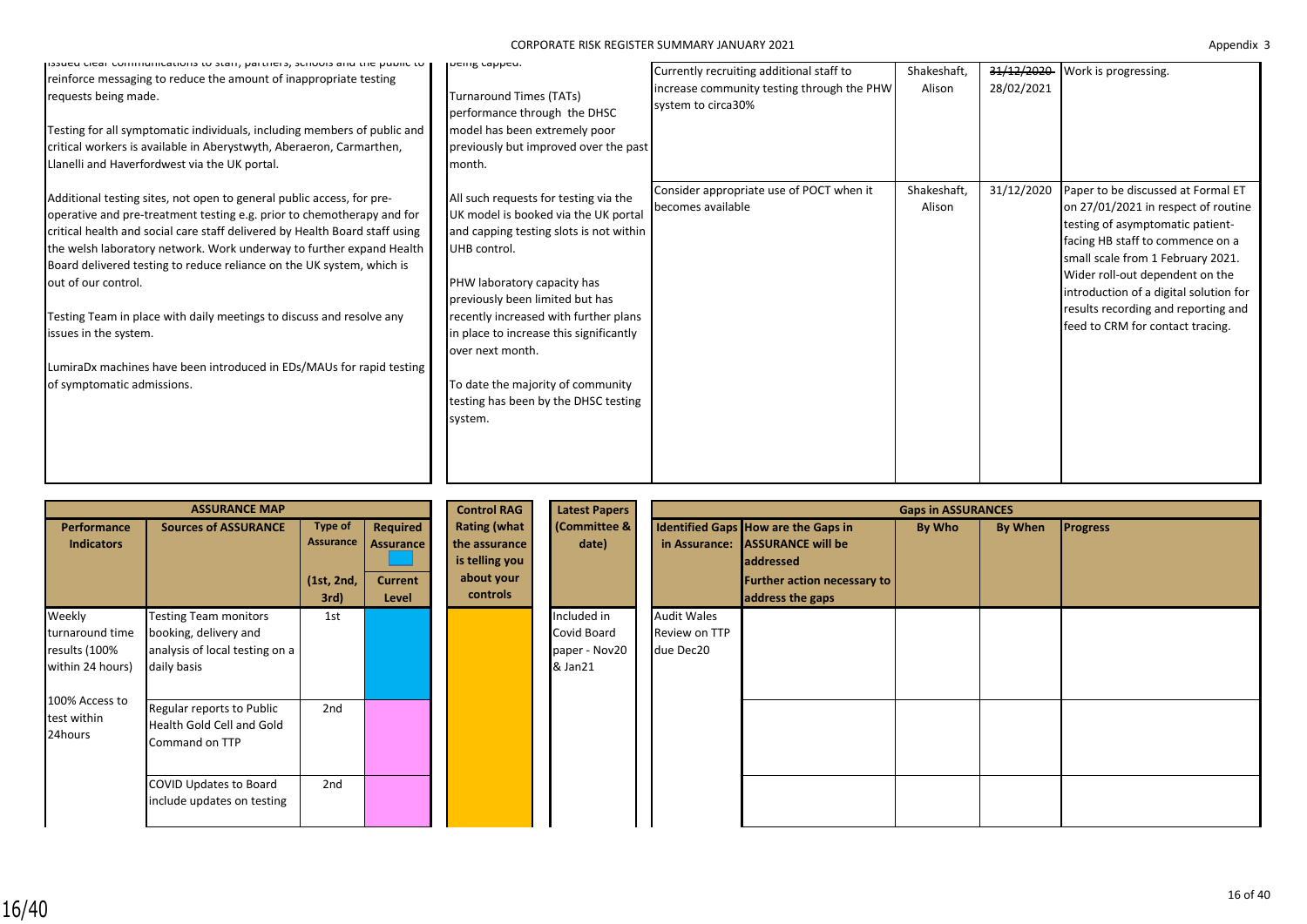# CORPORATE RISK REGISTER SUMMARY JANUARY 2021 Appendix 3 and the capacity of the capacity of the capacity of the capacity of the capacity of the capacity of the capacity of the capacity of the capacity of the capacity of th

| issued cieal communications to start, partners, schools and the public to  <br>reinforce messaging to reduce the amount of inappropriate testing<br>requests being made.<br>Testing for all symptomatic individuals, including members of public and<br>critical workers is available in Aberystwyth, Aberaeron, Carmarthen,<br>Llanelli and Haverfordwest via the UK portal.                                                                                                                                                                                                                                 | Incing capped.<br><b>Turnaround Times (TATs)</b><br>performance through the DHSC<br>model has been extremely poor<br>previously but improved over the past<br>month.                                                                                                                                                                                                                                       | Currently recruiting additional staff to<br>increase community testing through the PHW<br>system to circa30% | Shakeshaft,<br>Alison | 31/12/2020<br>28/02/2021 | Work is progressing.                                                                                                                                                                                                                                                                                                                           |
|---------------------------------------------------------------------------------------------------------------------------------------------------------------------------------------------------------------------------------------------------------------------------------------------------------------------------------------------------------------------------------------------------------------------------------------------------------------------------------------------------------------------------------------------------------------------------------------------------------------|------------------------------------------------------------------------------------------------------------------------------------------------------------------------------------------------------------------------------------------------------------------------------------------------------------------------------------------------------------------------------------------------------------|--------------------------------------------------------------------------------------------------------------|-----------------------|--------------------------|------------------------------------------------------------------------------------------------------------------------------------------------------------------------------------------------------------------------------------------------------------------------------------------------------------------------------------------------|
| Additional testing sites, not open to general public access, for pre-<br>operative and pre-treatment testing e.g. prior to chemotherapy and for<br>critical health and social care staff delivered by Health Board staff using<br>the welsh laboratory network. Work underway to further expand Health<br>Board delivered testing to reduce reliance on the UK system, which is<br>out of our control.<br>Testing Team in place with daily meetings to discuss and resolve any<br>issues in the system.<br>LumiraDx machines have been introduced in EDs/MAUs for rapid testing<br>of symptomatic admissions. | All such requests for testing via the<br>UK model is booked via the UK portal<br>and capping testing slots is not within<br>UHB control.<br>PHW laboratory capacity has<br>previously been limited but has<br>recently increased with further plans<br>in place to increase this significantly<br>over next month.<br>To date the majority of community<br>testing has been by the DHSC testing<br>system. | Consider appropriate use of POCT when it<br>becomes available                                                | Shakeshaft,<br>Alison | 31/12/2020               | Paper to be discussed at Formal ET<br>on 27/01/2021 in respect of routine<br>testing of asymptomatic patient-<br>facing HB staff to commence on a<br>small scale from 1 February 2021.<br>Wider roll-out dependent on the<br>introduction of a digital solution for<br>results recording and reporting and<br>feed to CRM for contact tracing. |

|                                                                | <b>ASSURANCE MAP</b>                                                                                                             |                               |                                                              | <b>Control RAG</b>                                                               | Latest Papers                                          | <b>Gaps in ASSURANCES</b> |                                     |                                                                                                                                                      |        |         |                 |
|----------------------------------------------------------------|----------------------------------------------------------------------------------------------------------------------------------|-------------------------------|--------------------------------------------------------------|----------------------------------------------------------------------------------|--------------------------------------------------------|---------------------------|-------------------------------------|------------------------------------------------------------------------------------------------------------------------------------------------------|--------|---------|-----------------|
| Performance<br><b>Indicators</b>                               | <b>Sources of ASSURANCE</b>                                                                                                      | Type of<br>(1st, 2nd,<br>3rd) | Required<br>Assurance   Assurance<br><b>Current</b><br>Level | <b>Rating (what</b><br>the assurance<br>is telling you<br>about your<br>controls | <b>(Committee &amp;</b><br>date)                       |                           |                                     | Identified Gaps How are the Gaps in<br>in Assurance: ASSURANCE will be<br><b>addressed</b><br><b>Further action necessary to</b><br>address the gaps | By Who | By When | <b>Progress</b> |
| Weekly<br>turnaround time<br>results (100%<br>within 24 hours) | <b>Testing Team monitors</b><br>booking, delivery and<br>analysis of local testing on a<br>daily basis                           | 1st                           |                                                              |                                                                                  | Included in<br>Covid Board<br>paper - Nov20<br>& Jan21 | due Dec20                 | <b>Audit Wales</b><br>Review on TTP |                                                                                                                                                      |        |         |                 |
| 100% Access to<br>test within<br>24hours                       | Regular reports to Public<br>Health Gold Cell and Gold<br>Command on TTP<br>COVID Updates to Board<br>include updates on testing | 2nd<br>2nd                    |                                                              |                                                                                  |                                                        |                           |                                     |                                                                                                                                                      |        |         |                 |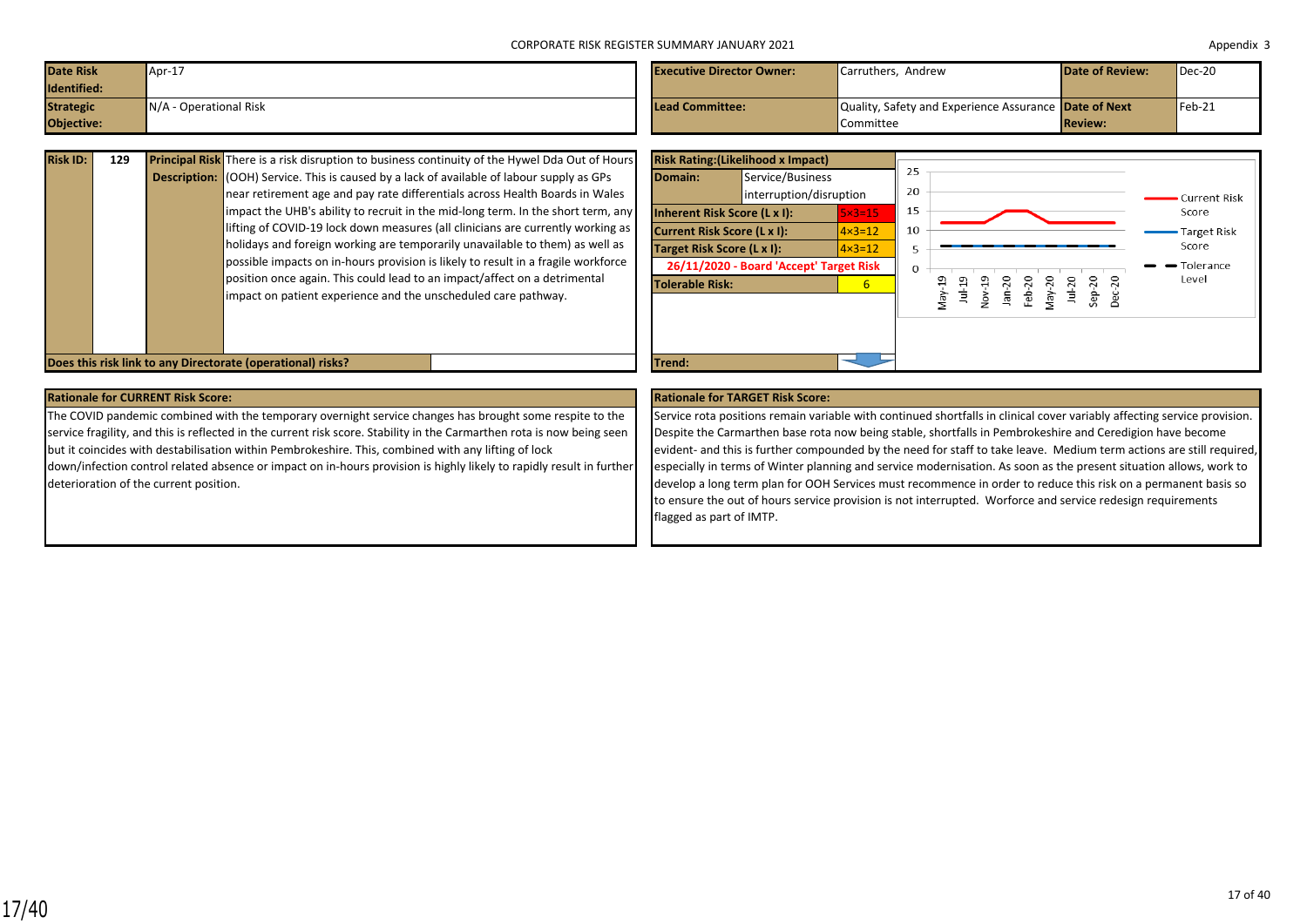| Date Risk<br>Identified: | Apr-17                   | <b>Executive Director Owner:</b> | Carruthers. Andrew                                           | Date of Review: | $Dec-20$ |
|--------------------------|--------------------------|----------------------------------|--------------------------------------------------------------|-----------------|----------|
| <b>Strategic</b>         | $N/A$ - Operational Risk | Lead Committee:                  | Quality, Safety and Experience Assurance <b>Date of Next</b> |                 | $Feb-21$ |
| Objective:               |                          |                                  | Committee                                                    | <b>Review:</b>  |          |

| <b>Risk ID:</b> | 129 | <b>Principal Risk</b> There is a risk disruption to business continuity of the Hywel Dda Out of Hours |
|-----------------|-----|-------------------------------------------------------------------------------------------------------|
|                 |     | <b>Description:</b> (OOH) Service. This is caused by a lack of available of labour supply as GPs      |
|                 |     | near retirement age and pay rate differentials across Health Boards in Wales                          |
|                 |     | impact the UHB's ability to recruit in the mid-long term. In the short term, any                      |
|                 |     | lifting of COVID-19 lock down measures (all clinicians are currently working as                       |
|                 |     | holidays and foreign working are temporarily unavailable to them) as well as                          |
|                 |     | possible impacts on in-hours provision is likely to result in a fragile workforce                     |
|                 |     | position once again. This could lead to an impact/affect on a detrimental                             |
|                 |     | impact on patient experience and the unscheduled care pathway.                                        |
|                 |     |                                                                                                       |
|                 |     |                                                                                                       |



### **Rationale for CURRENT Risk Score: Rationale for TARGET Risk Score:**

The COVID pandemic combined with the temporary overnight service changes has brought some respite to the service fragility, and this is reflected in the current risk score. Stability in the Carmarthen rota is now being seen but it coincides with destabilisation within Pembrokeshire. This, combined with any lifting of lock down/infection control related absence or impact on in-hours provision is highly likely to rapidly result in further deterioration of the current position.

Service rota positions remain variable with continued shortfalls in clinical cover variably affecting service provision. Despite the Carmarthen base rota now being stable, shortfalls in Pembrokeshire and Ceredigion have become evident- and this is further compounded by the need for staff to take leave. Medium term actions are still required, especially in terms of Winter planning and service modernisation. As soon as the present situation allows, work to develop a long term plan for OOH Services must recommence in order to reduce this risk on a permanent basis so to ensure the out of hours service provision is not interrupted. Worforce and service redesign requirements flagged as part of IMTP.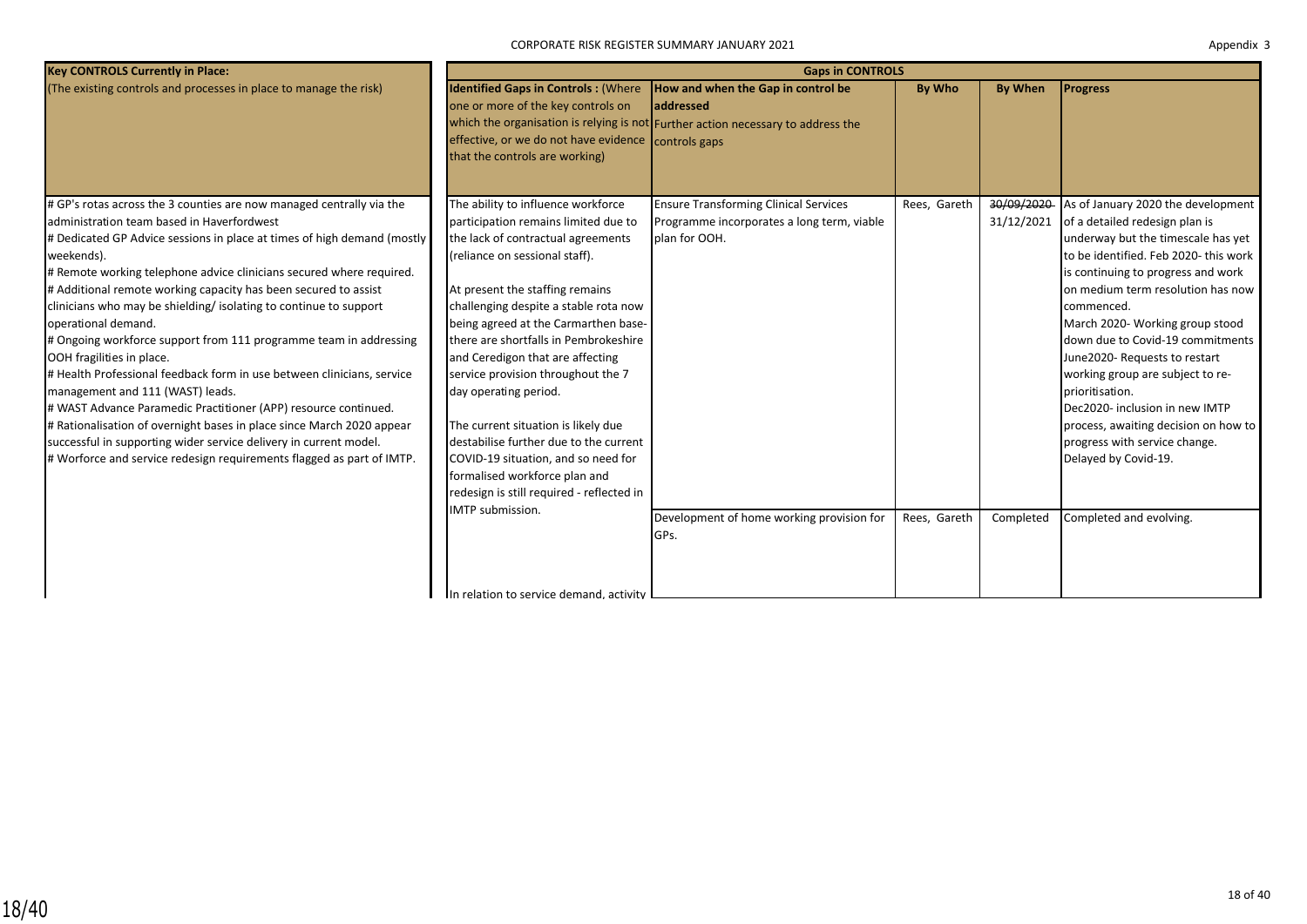| <b>Key CONTROLS Currently in Place:</b>                                 | <b>Gaps in CONTROLS</b>                                                                                                                                                   |                                                                                                                                                    |              |                |                                       |  |  |  |
|-------------------------------------------------------------------------|---------------------------------------------------------------------------------------------------------------------------------------------------------------------------|----------------------------------------------------------------------------------------------------------------------------------------------------|--------------|----------------|---------------------------------------|--|--|--|
| (The existing controls and processes in place to manage the risk)       | <b>Identified Gaps in Controls: (Where</b><br>one or more of the key controls on<br>effective, or we do not have evidence controls gaps<br>that the controls are working) | <b>How and when the Gap in control be</b><br><b>laddressed</b><br>which the organisation is relying is not Further action necessary to address the | By Who       | <b>By When</b> | <b>Progress</b>                       |  |  |  |
| # GP's rotas across the 3 counties are now managed centrally via the    | The ability to influence workforce                                                                                                                                        | <b>Ensure Transforming Clinical Services</b>                                                                                                       | Rees, Gareth | 30/09/2020     | As of January 2020 the development    |  |  |  |
| administration team based in Haverfordwest                              | participation remains limited due to                                                                                                                                      | Programme incorporates a long term, viable                                                                                                         |              | 31/12/2021     | of a detailed redesign plan is        |  |  |  |
| # Dedicated GP Advice sessions in place at times of high demand (mostly | the lack of contractual agreements                                                                                                                                        | plan for OOH.                                                                                                                                      |              |                | underway but the timescale has yet    |  |  |  |
| weekends).                                                              | (reliance on sessional staff).                                                                                                                                            |                                                                                                                                                    |              |                | to be identified. Feb 2020- this work |  |  |  |
| # Remote working telephone advice clinicians secured where required.    |                                                                                                                                                                           |                                                                                                                                                    |              |                | is continuing to progress and work    |  |  |  |
| # Additional remote working capacity has been secured to assist         | At present the staffing remains                                                                                                                                           |                                                                                                                                                    |              |                | on medium term resolution has now     |  |  |  |
| clinicians who may be shielding/ isolating to continue to support       | challenging despite a stable rota now                                                                                                                                     |                                                                                                                                                    |              |                | commenced.                            |  |  |  |
| operational demand.                                                     | being agreed at the Carmarthen base-                                                                                                                                      |                                                                                                                                                    |              |                | March 2020- Working group stood       |  |  |  |
| # Ongoing workforce support from 111 programme team in addressing       | there are shortfalls in Pembrokeshire                                                                                                                                     |                                                                                                                                                    |              |                | down due to Covid-19 commitments      |  |  |  |
| OOH fragilities in place.                                               | and Ceredigon that are affecting                                                                                                                                          |                                                                                                                                                    |              |                | June2020- Requests to restart         |  |  |  |
| # Health Professional feedback form in use between clinicians, service  | service provision throughout the 7                                                                                                                                        |                                                                                                                                                    |              |                | working group are subject to re-      |  |  |  |
| management and 111 (WAST) leads.                                        | day operating period.                                                                                                                                                     |                                                                                                                                                    |              |                | prioritisation.                       |  |  |  |
| # WAST Advance Paramedic Practitioner (APP) resource continued.         |                                                                                                                                                                           |                                                                                                                                                    |              |                | Dec2020- inclusion in new IMTP        |  |  |  |
| # Rationalisation of overnight bases in place since March 2020 appear   | The current situation is likely due                                                                                                                                       |                                                                                                                                                    |              |                | process, awaiting decision on how to  |  |  |  |
| successful in supporting wider service delivery in current model.       | destabilise further due to the current                                                                                                                                    |                                                                                                                                                    |              |                | progress with service change.         |  |  |  |
| # Worforce and service redesign requirements flagged as part of IMTP.   | COVID-19 situation, and so need for                                                                                                                                       |                                                                                                                                                    |              |                | Delayed by Covid-19.                  |  |  |  |
|                                                                         | formalised workforce plan and                                                                                                                                             |                                                                                                                                                    |              |                |                                       |  |  |  |
|                                                                         | redesign is still required - reflected in                                                                                                                                 |                                                                                                                                                    |              |                |                                       |  |  |  |
|                                                                         | IMTP submission.                                                                                                                                                          | Development of home working provision for                                                                                                          | Rees, Gareth | Completed      | Completed and evolving.               |  |  |  |
|                                                                         |                                                                                                                                                                           | GPs.                                                                                                                                               |              |                |                                       |  |  |  |
|                                                                         |                                                                                                                                                                           |                                                                                                                                                    |              |                |                                       |  |  |  |
|                                                                         |                                                                                                                                                                           |                                                                                                                                                    |              |                |                                       |  |  |  |
|                                                                         |                                                                                                                                                                           |                                                                                                                                                    |              |                |                                       |  |  |  |
|                                                                         | In relation to service demand, activity                                                                                                                                   |                                                                                                                                                    |              |                |                                       |  |  |  |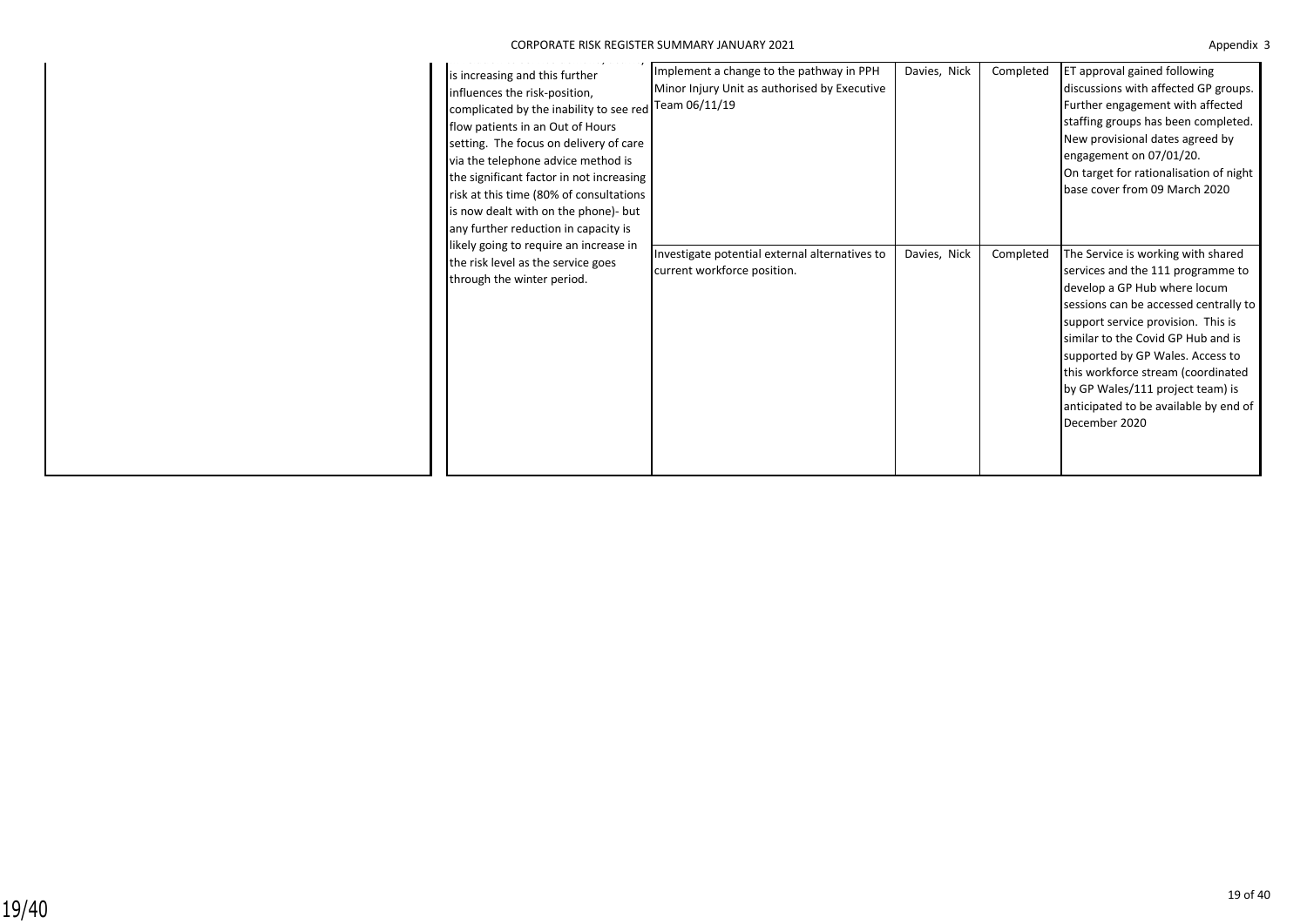19/40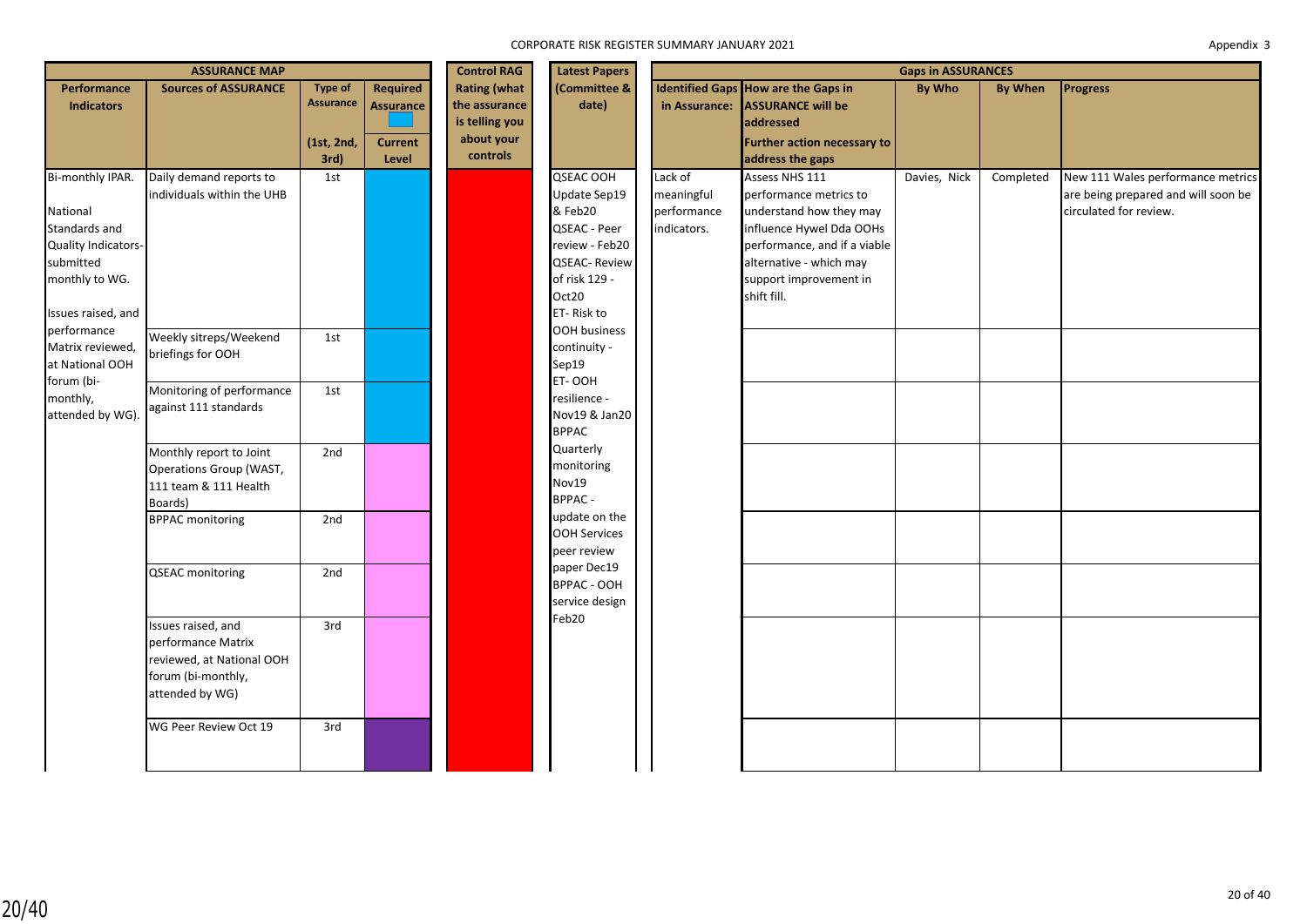| <b>ASSURANCE MAP</b>                                                                                                   |                                                                                                                |                                           |                                                       | <b>Control RAG</b><br><b>Latest Papers</b>                           | <b>Gaps in ASSURANCES</b>                                                                                                             |                                                     |                                                                                                                                                                                                     |              |                |                                                                                                    |
|------------------------------------------------------------------------------------------------------------------------|----------------------------------------------------------------------------------------------------------------|-------------------------------------------|-------------------------------------------------------|----------------------------------------------------------------------|---------------------------------------------------------------------------------------------------------------------------------------|-----------------------------------------------------|-----------------------------------------------------------------------------------------------------------------------------------------------------------------------------------------------------|--------------|----------------|----------------------------------------------------------------------------------------------------|
| <b>Performance</b><br><b>Indicators</b>                                                                                | <b>Sources of ASSURANCE</b>                                                                                    | Type of<br><b>Assurance</b><br>(1st, 2nd, | <b>Required</b><br><b>Assurance</b><br><b>Current</b> | <b>Rating (what</b><br>the assurance<br>is telling you<br>about your | (Committee &<br>date)                                                                                                                 | in Assurance:                                       | Identified Gaps How are the Gaps in<br><b>ASSURANCE will be</b><br>addressed<br>Further action necessary to                                                                                         | By Who       | <b>By When</b> | <b>Progress</b>                                                                                    |
|                                                                                                                        |                                                                                                                | 3rd)                                      | Level                                                 | controls                                                             |                                                                                                                                       |                                                     | address the gaps                                                                                                                                                                                    |              |                |                                                                                                    |
| Bi-monthly IPAR.<br>National<br>Standards and<br>Quality Indicators-<br>submitted<br>monthly to WG.                    | Daily demand reports to<br>individuals within the UHB                                                          | 1st                                       |                                                       |                                                                      | QSEAC OOH<br>Update Sep19<br>& Feb20<br>QSEAC - Peer<br>review - Feb20<br><b>QSEAC-Review</b><br>of risk 129 -<br>Oct20<br>ET-Risk to | Lack of<br>meaningful<br>performance<br>indicators. | Assess NHS 111<br>performance metrics to<br>understand how they may<br>influence Hywel Dda OOHs<br>performance, and if a viable<br>alternative - which may<br>support improvement in<br>shift fill. | Davies, Nick | Completed      | New 111 Wales performance metrics<br>are being prepared and will soon be<br>circulated for review. |
| Issues raised, and<br>performance<br>Matrix reviewed,<br>at National OOH<br>forum (bi-<br>monthly,<br>attended by WG). | Weekly sitreps/Weekend<br>briefings for OOH                                                                    | 1st                                       |                                                       |                                                                      | <b>OOH business</b><br>continuity -<br>Sep19<br>ET-OOH                                                                                |                                                     |                                                                                                                                                                                                     |              |                |                                                                                                    |
|                                                                                                                        | Monitoring of performance<br>against 111 standards                                                             | 1st                                       |                                                       |                                                                      | resilience -<br>Nov19 & Jan20<br><b>BPPAC</b>                                                                                         |                                                     |                                                                                                                                                                                                     |              |                |                                                                                                    |
|                                                                                                                        | Monthly report to Joint<br>Operations Group (WAST,<br>111 team & 111 Health<br>Boards)                         | 2nd                                       |                                                       |                                                                      | Quarterly<br>monitoring<br>Nov19<br><b>BPPAC-</b>                                                                                     |                                                     |                                                                                                                                                                                                     |              |                |                                                                                                    |
|                                                                                                                        | <b>BPPAC monitoring</b>                                                                                        | 2nd                                       |                                                       |                                                                      | update on the<br><b>OOH Services</b><br>peer review                                                                                   |                                                     |                                                                                                                                                                                                     |              |                |                                                                                                    |
|                                                                                                                        | <b>QSEAC</b> monitoring                                                                                        | 2nd                                       |                                                       |                                                                      | paper Dec19<br>BPPAC - OOH<br>service design<br>Feb20                                                                                 |                                                     |                                                                                                                                                                                                     |              |                |                                                                                                    |
|                                                                                                                        | Issues raised, and<br>performance Matrix<br>reviewed, at National OOH<br>forum (bi-monthly,<br>attended by WG) | 3rd                                       |                                                       |                                                                      |                                                                                                                                       |                                                     |                                                                                                                                                                                                     |              |                |                                                                                                    |
|                                                                                                                        | WG Peer Review Oct 19                                                                                          | 3rd                                       |                                                       |                                                                      |                                                                                                                                       |                                                     |                                                                                                                                                                                                     |              |                |                                                                                                    |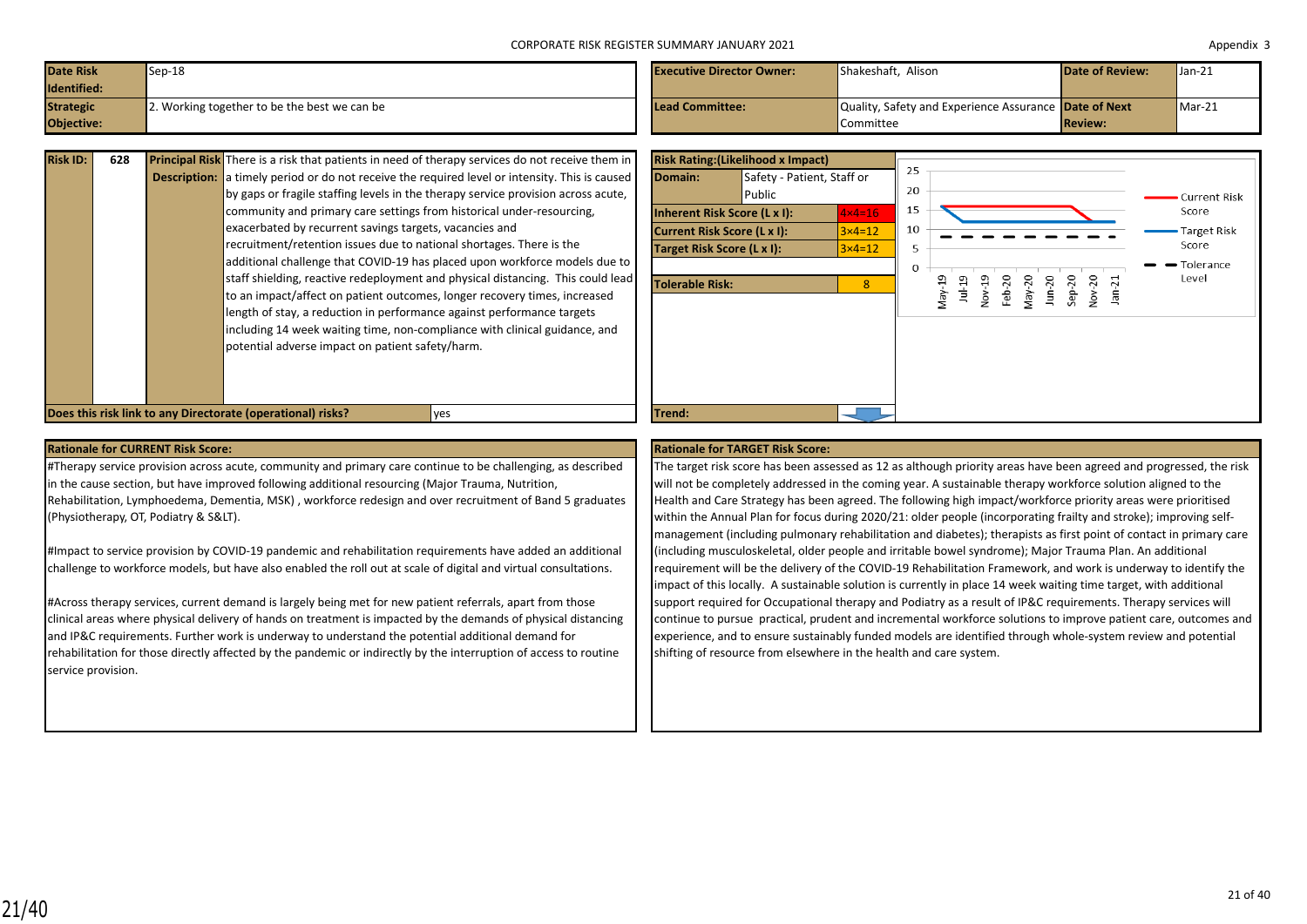| Date Risk<br>Identified: | $Sep-18$                                     | <b>Executive Director Owner:</b> | <b>Shakeshaft. Alison</b>                                    | <b>Date of Review:</b> | $\blacksquare$ Jan-21 |
|--------------------------|----------------------------------------------|----------------------------------|--------------------------------------------------------------|------------------------|-----------------------|
| <b>Strategic</b>         | 2. Working together to be the best we can be | Lead Committee:                  | Quality, Safety and Experience Assurance <b>Date of Next</b> |                        | $Mar-21$              |
| Objective:               |                                              |                                  | Committee                                                    | <b>Review:</b>         |                       |

| <b>Risk ID:</b> | 628 | <b>Principal Risk</b> There is a risk that patients in need of therapy services do not receive them in |
|-----------------|-----|--------------------------------------------------------------------------------------------------------|
|                 |     | <b>Description:</b> a timely period or do not receive the required level or intensity. This is caused  |
|                 |     | by gaps or fragile staffing levels in the therapy service provision across acute,                      |
|                 |     | community and primary care settings from historical under-resourcing.                                  |
|                 |     | exacerbated by recurrent savings targets, vacancies and                                                |
|                 |     | recruitment/retention issues due to national shortages. There is the                                   |
|                 |     | additional challenge that COVID-19 has placed upon workforce models due to                             |
|                 |     | staff shielding, reactive redeployment and physical distancing. This could lead                        |
|                 |     | to an impact/affect on patient outcomes, longer recovery times, increased                              |
|                 |     | length of stay, a reduction in performance against performance targets                                 |
|                 |     | including 14 week waiting time, non-compliance with clinical guidance, and                             |
|                 |     | potential adverse impact on patient safety/harm.                                                       |
|                 |     |                                                                                                        |
|                 |     |                                                                                                        |
|                 |     |                                                                                                        |

| Objective:      |     |                                                                                                                                                                                                                                                                                                                                                                                                                                                                                                                                                                                                                                                                                                                                                                                                                                                                                                                                                                     | Committee                                                                                                                                                                                                                                                                            | <b>Review:</b>                                                               |                                                                                   |
|-----------------|-----|---------------------------------------------------------------------------------------------------------------------------------------------------------------------------------------------------------------------------------------------------------------------------------------------------------------------------------------------------------------------------------------------------------------------------------------------------------------------------------------------------------------------------------------------------------------------------------------------------------------------------------------------------------------------------------------------------------------------------------------------------------------------------------------------------------------------------------------------------------------------------------------------------------------------------------------------------------------------|--------------------------------------------------------------------------------------------------------------------------------------------------------------------------------------------------------------------------------------------------------------------------------------|------------------------------------------------------------------------------|-----------------------------------------------------------------------------------|
| <b>Risk ID:</b> | 628 | Principal Risk There is a risk that patients in need of therapy services do not receive them in<br><b>Description:</b> a timely period or do not receive the required level or intensity. This is caused<br>by gaps or fragile staffing levels in the therapy service provision across acute,<br>community and primary care settings from historical under-resourcing,<br>exacerbated by recurrent savings targets, vacancies and<br>recruitment/retention issues due to national shortages. There is the<br>additional challenge that COVID-19 has placed upon workforce models due to<br>staff shielding, reactive redeployment and physical distancing. This could lead<br>to an impact/affect on patient outcomes, longer recovery times, increased<br>length of stay, a reduction in performance against performance targets<br>including 14 week waiting time, non-compliance with clinical guidance, and<br>potential adverse impact on patient safety/harm. | <b>Risk Rating: (Likelihood x Impact)</b><br>Domain:<br>Safety - Patient, Staff or<br>Public<br>Inherent Risk Score (L x I):<br>$4 \times 4 = 16$<br>Current Risk Score (L x I):<br>$3\times 4=12$<br>Target Risk Score (L x I):<br>$3 \times 4 = 12$<br><b>Tolerable Risk:</b><br>8 | 25<br>20<br>15<br>10<br>Nov-19<br>Feb-20<br>May-20<br>Jun-20<br>Sep-20<br>50 | <b>Current Risk</b><br>Score<br><b>Target Risk</b><br>Score<br>Tolerance<br>Level |
|                 |     | Does this risk link to any Directorate (operational) risks?<br>ves                                                                                                                                                                                                                                                                                                                                                                                                                                                                                                                                                                                                                                                                                                                                                                                                                                                                                                  | Trend:                                                                                                                                                                                                                                                                               |                                                                              |                                                                                   |

#Therapy service provision across acute, community and primary care continue to be challenging, as described in the cause section, but have improved following additional resourcing (Major Trauma, Nutrition, Rehabilitation, Lymphoedema, Dementia, MSK) , workforce redesign and over recruitment of Band 5 graduates (Physiotherapy, OT, Podiatry & S&LT).

#Impact to service provision by COVID-19 pandemic and rehabilitation requirements have added an additional challenge to workforce models, but have also enabled the roll out at scale of digital and virtual consultations.

#Across therapy services, current demand is largely being met for new patient referrals, apart from those clinical areas where physical delivery of hands on treatment is impacted by the demands of physical distancing and IP&C requirements. Further work is underway to understand the potential additional demand for rehabilitation for those directly affected by the pandemic or indirectly by the interruption of access to routine service provision.

### **Rationale for CURRENT Risk Score: Rationale for TARGET Risk Score:**

The target risk score has been assessed as 12 as although priority areas have been agreed and progressed, the risk will not be completely addressed in the coming year. A sustainable therapy workforce solution aligned to the Health and Care Strategy has been agreed. The following high impact/workforce priority areas were prioritised within the Annual Plan for focus during 2020/21: older people (incorporating frailty and stroke); improving selfmanagement (including pulmonary rehabilitation and diabetes); therapists as first point of contact in primary care (including musculoskeletal, older people and irritable bowel syndrome); Major Trauma Plan. An additional requirement will be the delivery of the COVID-19 Rehabilitation Framework, and work is underway to identify the impact of this locally. A sustainable solution is currently in place 14 week waiting time target, with additional support required for Occupational therapy and Podiatry as a result of IP&C requirements. Therapy services will continue to pursue practical, prudent and incremental workforce solutions to improve patient care, outcomes and experience, and to ensure sustainably funded models are identified through whole-system review and potential shifting of resource from elsewhere in the health and care system.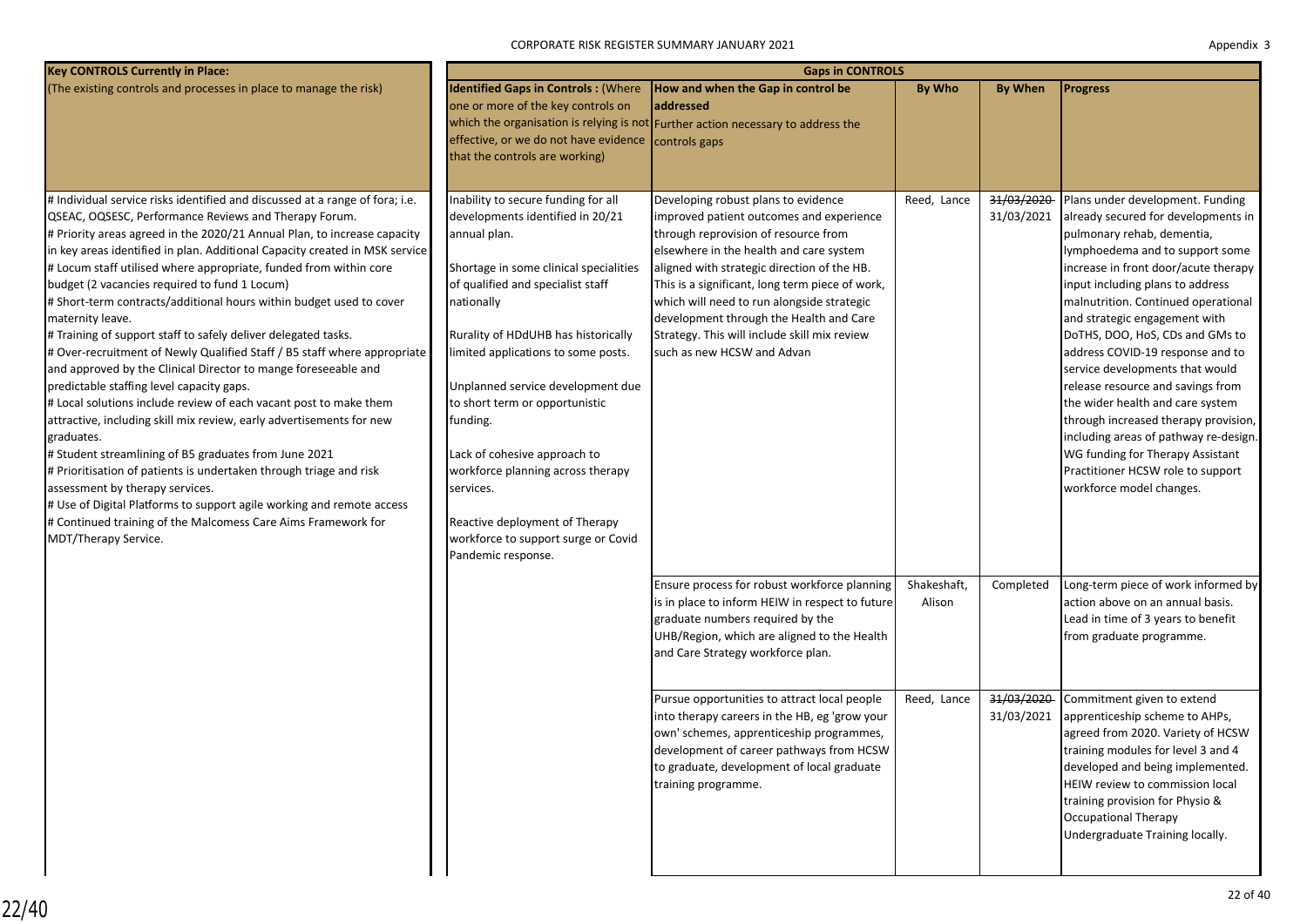CORPORATE RISK REGISTER SUMMARY JANUARY 2021

| <b>Key CONTROLS Currently in Place:</b>                                                                                                                                                                                                                                                                                                                                                                                                                                                                                                                                                                                                                                                                                                                                                                                                                                                                                                                                                                                                                                                                                                                                                                                                                                       | <b>Gaps in CONTROLS</b>                                                                                                                                                                                                                                                                                                                                                                                                                                                                                                                |                                                                                                                                                                                                                                                                                                                                                                                                                                             |                       |                          |                                                                                                                                                                                                                                                                                                                                                                                                                                                                                                                                                                                                                                                                       |  |  |  |  |
|-------------------------------------------------------------------------------------------------------------------------------------------------------------------------------------------------------------------------------------------------------------------------------------------------------------------------------------------------------------------------------------------------------------------------------------------------------------------------------------------------------------------------------------------------------------------------------------------------------------------------------------------------------------------------------------------------------------------------------------------------------------------------------------------------------------------------------------------------------------------------------------------------------------------------------------------------------------------------------------------------------------------------------------------------------------------------------------------------------------------------------------------------------------------------------------------------------------------------------------------------------------------------------|----------------------------------------------------------------------------------------------------------------------------------------------------------------------------------------------------------------------------------------------------------------------------------------------------------------------------------------------------------------------------------------------------------------------------------------------------------------------------------------------------------------------------------------|---------------------------------------------------------------------------------------------------------------------------------------------------------------------------------------------------------------------------------------------------------------------------------------------------------------------------------------------------------------------------------------------------------------------------------------------|-----------------------|--------------------------|-----------------------------------------------------------------------------------------------------------------------------------------------------------------------------------------------------------------------------------------------------------------------------------------------------------------------------------------------------------------------------------------------------------------------------------------------------------------------------------------------------------------------------------------------------------------------------------------------------------------------------------------------------------------------|--|--|--|--|
| (The existing controls and processes in place to manage the risk)                                                                                                                                                                                                                                                                                                                                                                                                                                                                                                                                                                                                                                                                                                                                                                                                                                                                                                                                                                                                                                                                                                                                                                                                             | <b>Identified Gaps in Controls: (Where</b><br>one or more of the key controls on<br>effective, or we do not have evidence controls gaps<br>that the controls are working)                                                                                                                                                                                                                                                                                                                                                              | How and when the Gap in control be<br>addressed<br>which the organisation is relying is not Further action necessary to address the                                                                                                                                                                                                                                                                                                         | <b>By Who</b>         | <b>By When</b>           | <b>Progress</b>                                                                                                                                                                                                                                                                                                                                                                                                                                                                                                                                                                                                                                                       |  |  |  |  |
| # Individual service risks identified and discussed at a range of fora; i.e.<br>QSEAC, OQSESC, Performance Reviews and Therapy Forum.<br># Priority areas agreed in the 2020/21 Annual Plan, to increase capacity<br>in key areas identified in plan. Additional Capacity created in MSK service<br># Locum staff utilised where appropriate, funded from within core<br>budget (2 vacancies required to fund 1 Locum)<br># Short-term contracts/additional hours within budget used to cover<br>maternity leave.<br># Training of support staff to safely deliver delegated tasks.<br># Over-recruitment of Newly Qualified Staff / B5 staff where appropriate<br>and approved by the Clinical Director to mange foreseeable and<br>predictable staffing level capacity gaps.<br># Local solutions include review of each vacant post to make them<br>attractive, including skill mix review, early advertisements for new<br>graduates.<br># Student streamlining of B5 graduates from June 2021<br># Prioritisation of patients is undertaken through triage and risk<br>assessment by therapy services.<br># Use of Digital Platforms to support agile working and remote access<br># Continued training of the Malcomess Care Aims Framework for<br>MDT/Therapy Service. | Inability to secure funding for all<br>developments identified in 20/21<br>annual plan.<br>Shortage in some clinical specialities<br>of qualified and specialist staff<br>nationally<br>Rurality of HDdUHB has historically<br>limited applications to some posts.<br>Unplanned service development due<br>to short term or opportunistic<br>funding.<br>Lack of cohesive approach to<br>workforce planning across therapy<br>services.<br>Reactive deployment of Therapy<br>workforce to support surge or Covid<br>Pandemic response. | Developing robust plans to evidence<br>improved patient outcomes and experience<br>through reprovision of resource from<br>elsewhere in the health and care system<br>aligned with strategic direction of the HB.<br>This is a significant, long term piece of work,<br>which will need to run alongside strategic<br>development through the Health and Care<br>Strategy. This will include skill mix review<br>such as new HCSW and Advan | Reed, Lance           | 31/03/2020<br>31/03/2021 | Plans under development. Funding<br>already secured for developments in<br>pulmonary rehab, dementia,<br>lymphoedema and to support some<br>increase in front door/acute therapy<br>input including plans to address<br>malnutrition. Continued operational<br>and strategic engagement with<br>DoTHS, DOO, HoS, CDs and GMs to<br>address COVID-19 response and to<br>service developments that would<br>release resource and savings from<br>the wider health and care system<br>through increased therapy provision,<br>including areas of pathway re-design.<br>WG funding for Therapy Assistant<br>Practitioner HCSW role to support<br>workforce model changes. |  |  |  |  |
|                                                                                                                                                                                                                                                                                                                                                                                                                                                                                                                                                                                                                                                                                                                                                                                                                                                                                                                                                                                                                                                                                                                                                                                                                                                                               |                                                                                                                                                                                                                                                                                                                                                                                                                                                                                                                                        | Ensure process for robust workforce planning<br>is in place to inform HEIW in respect to future<br>graduate numbers required by the<br>UHB/Region, which are aligned to the Health<br>and Care Strategy workforce plan.                                                                                                                                                                                                                     | Shakeshaft,<br>Alison | Completed                | Long-term piece of work informed by<br>action above on an annual basis.<br>Lead in time of 3 years to benefit<br>from graduate programme.                                                                                                                                                                                                                                                                                                                                                                                                                                                                                                                             |  |  |  |  |
|                                                                                                                                                                                                                                                                                                                                                                                                                                                                                                                                                                                                                                                                                                                                                                                                                                                                                                                                                                                                                                                                                                                                                                                                                                                                               |                                                                                                                                                                                                                                                                                                                                                                                                                                                                                                                                        | Pursue opportunities to attract local people<br>into therapy careers in the HB, eg 'grow your<br>own' schemes, apprenticeship programmes,<br>development of career pathways from HCSW<br>to graduate, development of local graduate<br>training programme.                                                                                                                                                                                  | Reed, Lance           | 31/03/2020<br>31/03/2021 | Commitment given to extend<br>apprenticeship scheme to AHPs,<br>agreed from 2020. Variety of HCSW<br>training modules for level 3 and 4<br>developed and being implemented.<br>HEIW review to commission local<br>training provision for Physio &<br>Occupational Therapy<br>Undergraduate Training locally.                                                                                                                                                                                                                                                                                                                                                          |  |  |  |  |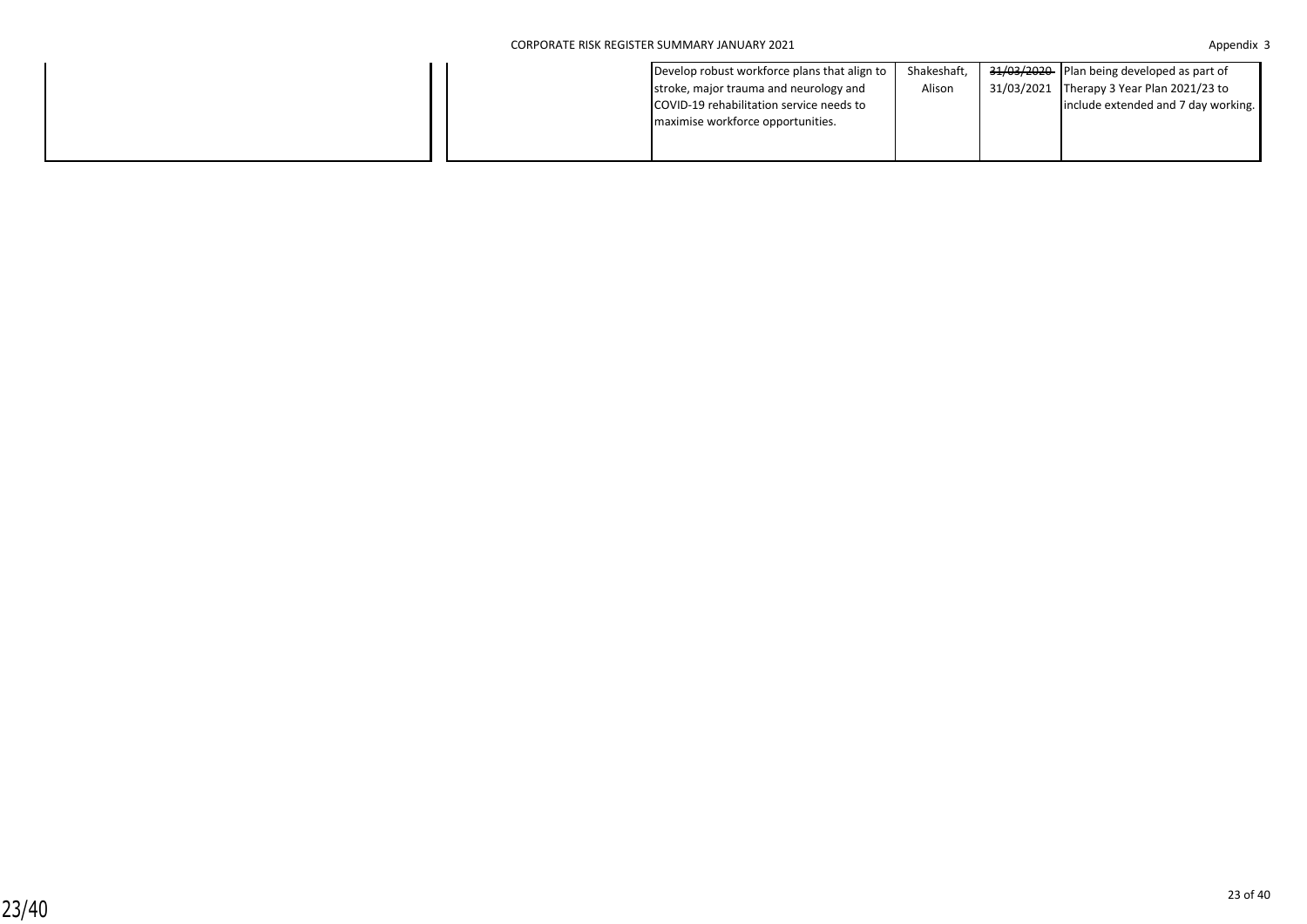| Develop robust workforce plans that align to | Shakeshaft, | 31/03/2020 Plan being developed as part of |
|----------------------------------------------|-------------|--------------------------------------------|
| stroke, major trauma and neurology and       | Alison      | 31/03/2021 Therapy 3 Year Plan 2021/23 to  |
| COVID-19 rehabilitation service needs to     |             | include extended and 7 day working.        |
| maximise workforce opportunities.            |             |                                            |
|                                              |             |                                            |
|                                              |             |                                            |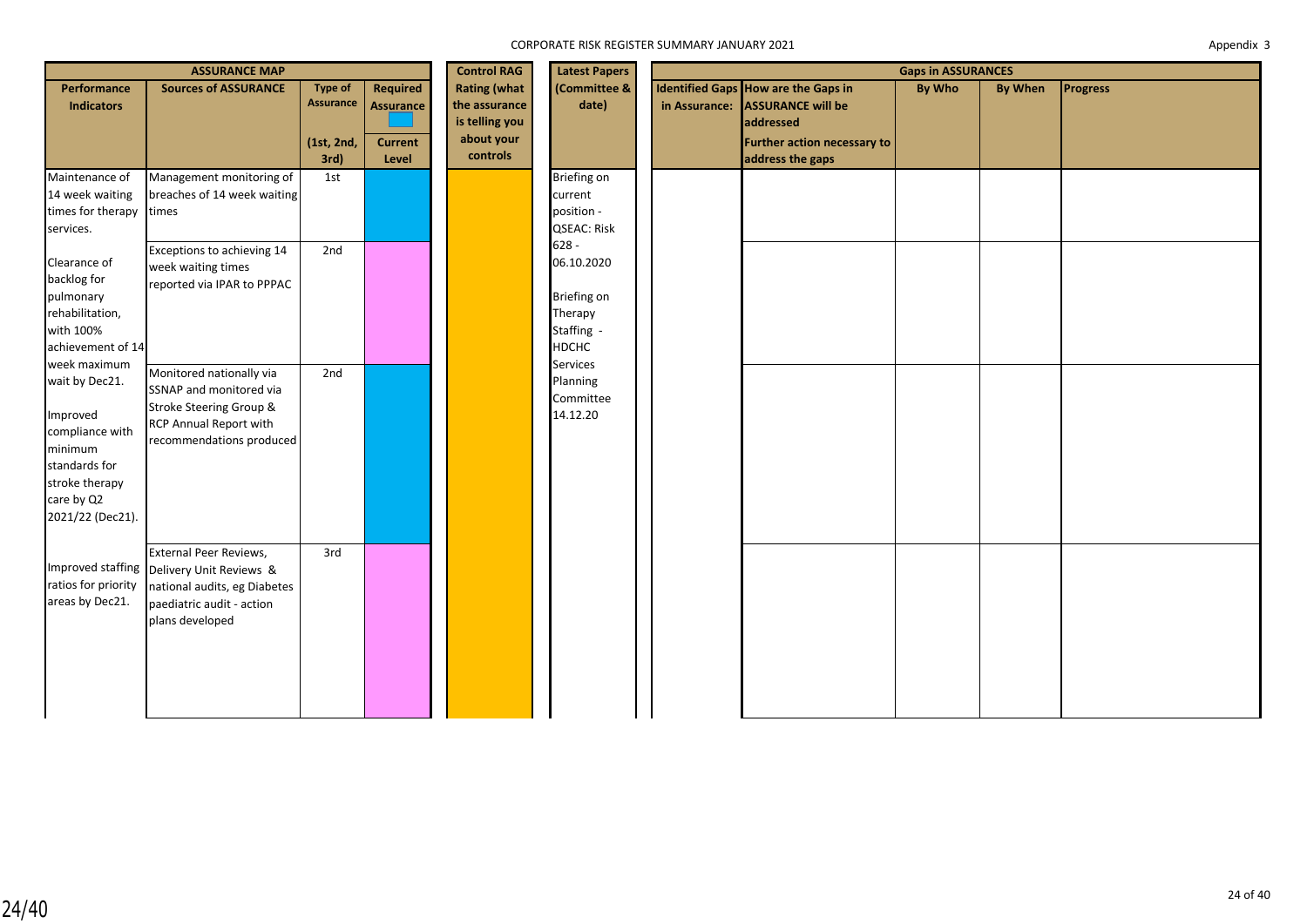|                                                                                                                                               | <b>ASSURANCE MAP</b>                                                                                                                                |                                                          | <b>Control RAG</b>                                      | <b>Latest Papers</b>                                                             |                                                                               |               | <b>Gaps in ASSURANCES</b>                                                                                                              |               |         |                 |
|-----------------------------------------------------------------------------------------------------------------------------------------------|-----------------------------------------------------------------------------------------------------------------------------------------------------|----------------------------------------------------------|---------------------------------------------------------|----------------------------------------------------------------------------------|-------------------------------------------------------------------------------|---------------|----------------------------------------------------------------------------------------------------------------------------------------|---------------|---------|-----------------|
| Performance<br><b>Indicators</b>                                                                                                              | <b>Sources of ASSURANCE</b>                                                                                                                         | <b>Type of</b><br><b>Assurance</b><br>(1st, 2nd,<br>3rd) | <b>Required</b><br>Assurance<br><b>Current</b><br>Level | <b>Rating (what</b><br>the assurance<br>is telling you<br>about your<br>controls | (Committee &<br>date)                                                         | in Assurance: | <b>Identified Gaps How are the Gaps in</b><br><b>ASSURANCE will be</b><br>addressed<br>Further action necessary to<br>address the gaps | <b>By Who</b> | By When | <b>Progress</b> |
| Maintenance of<br>14 week waiting<br>times for therapy<br>services.                                                                           | Management monitoring of<br>breaches of 14 week waiting<br>times                                                                                    | 1st                                                      |                                                         |                                                                                  | Briefing on<br>current<br>position -<br><b>QSEAC: Risk</b>                    |               |                                                                                                                                        |               |         |                 |
| Clearance of<br>backlog for<br>pulmonary<br>rehabilitation,<br>with 100%<br>achievement of 14                                                 | Exceptions to achieving 14<br>week waiting times<br>reported via IPAR to PPPAC                                                                      | 2nd                                                      |                                                         |                                                                                  | $628 -$<br>06.10.2020<br>Briefing on<br>Therapy<br>Staffing -<br><b>HDCHC</b> |               |                                                                                                                                        |               |         |                 |
| week maximum<br>wait by Dec21.<br>Improved<br>compliance with<br>minimum<br>standards for<br>stroke therapy<br>care by Q2<br>2021/22 (Dec21). | Monitored nationally via<br>SSNAP and monitored via<br>Stroke Steering Group &<br>RCP Annual Report with<br>recommendations produced                | 2nd                                                      |                                                         |                                                                                  | Services<br>Planning<br>Committee<br>14.12.20                                 |               |                                                                                                                                        |               |         |                 |
| ratios for priority<br>areas by Dec21.                                                                                                        | External Peer Reviews,<br>Improved staffing Delivery Unit Reviews &<br>national audits, eg Diabetes<br>paediatric audit - action<br>plans developed | 3rd                                                      |                                                         |                                                                                  |                                                                               |               |                                                                                                                                        |               |         |                 |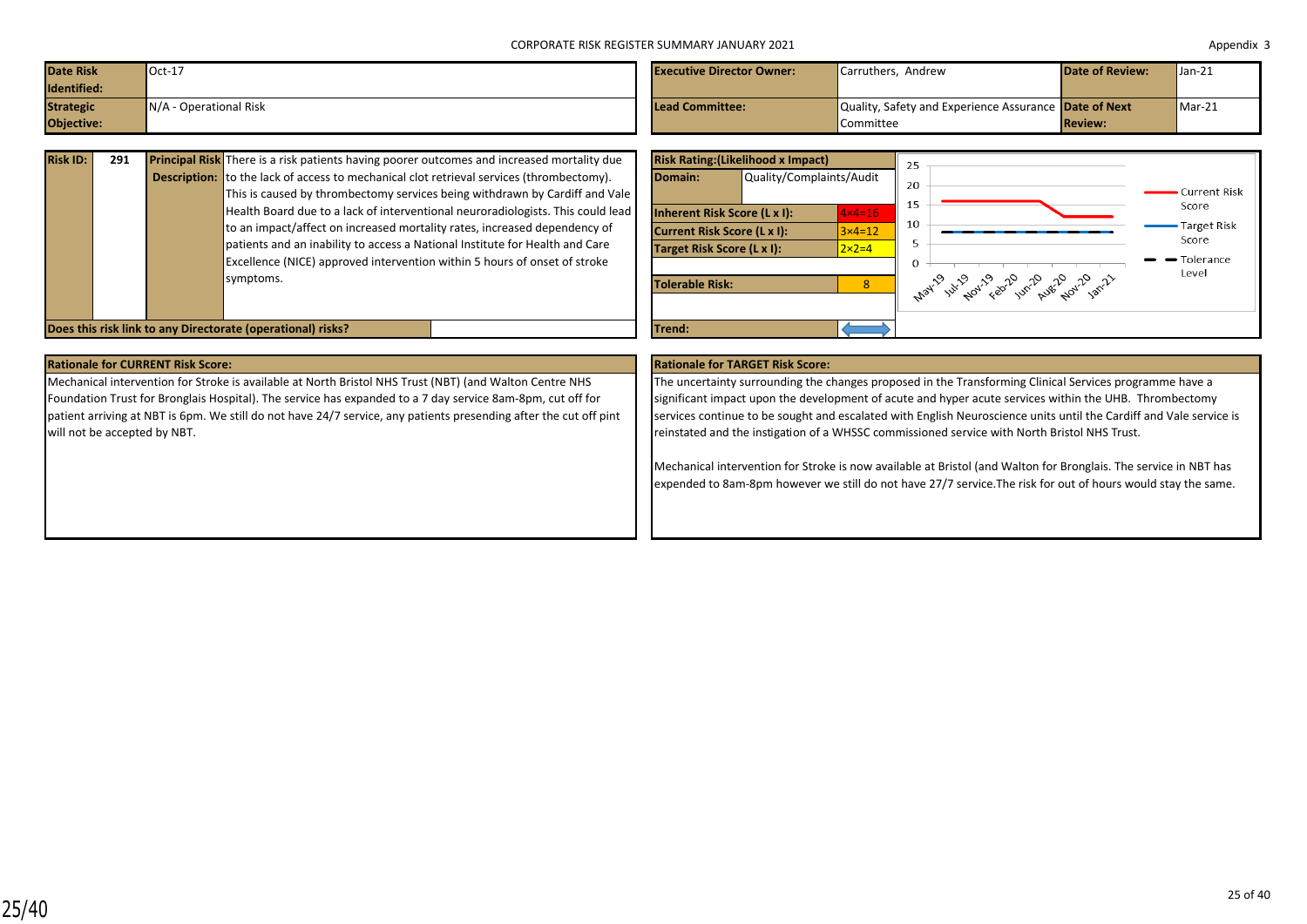| <b>Date Risk</b><br>Identified: | $Oct-17$                    | <b>Executive Director Owner:</b> | Carruthers, Andrew                                                 | <b>Date of Review:</b> | $\sqrt{\tan 21}$ |
|---------------------------------|-----------------------------|----------------------------------|--------------------------------------------------------------------|------------------------|------------------|
| <b>Strategic</b><br>Objective:  | N/A<br>A - Operational Risk | <b>Lead Committee:</b>           | Quality, Safety and Experience Assurance Date of Next<br>Committee | <b>Review:</b>         | $Mar-21$         |

| <b>Risk ID:</b> | 291 | <b>Principal Risk</b> There is a risk patients having poorer outcomes and increased mortality due |
|-----------------|-----|---------------------------------------------------------------------------------------------------|
|                 |     | <b>Description:</b> to the lack of access to mechanical clot retrieval services (thrombectomy).   |
|                 |     | This is caused by thrombectomy services being withdrawn by Cardiff and Vale                       |
|                 |     | Health Board due to a lack of interventional neuroradiologists. This could lead                   |
|                 |     | to an impact/affect on increased mortality rates, increased dependency of                         |
|                 |     | patients and an inability to access a National Institute for Health and Care                      |
|                 |     | Excellence (NICE) approved intervention within 5 hours of onset of stroke                         |
|                 |     | symptoms.                                                                                         |
|                 |     |                                                                                                   |
|                 |     |                                                                                                   |



**Rationale for CURRENT Risk Score: Rationale for TARGET Risk Score:**

Mechanical intervention for Stroke is available at North Bristol NHS Trust (NBT) (and Walton Centre NHS Foundation Trust for Bronglais Hospital). The service has expanded to a 7 day service 8am-8pm, cut off for patient arriving at NBT is 6pm. We still do not have 24/7 service, any patients presending after the cut off pint will not be accepted by NBT.

The uncertainty surrounding the changes proposed in the Transforming Clinical Services programme have a significant impact upon the development of acute and hyper acute services within the UHB. Thrombectomy services continue to be sought and escalated with English Neuroscience units until the Cardiff and Vale service is reinstated and the instigation of a WHSSC commissioned service with North Bristol NHS Trust.

Mechanical intervention for Stroke is now available at Bristol (and Walton for Bronglais. The service in NBT has expended to 8am-8pm however we still do not have 27/7 service.The risk for out of hours would stay the same.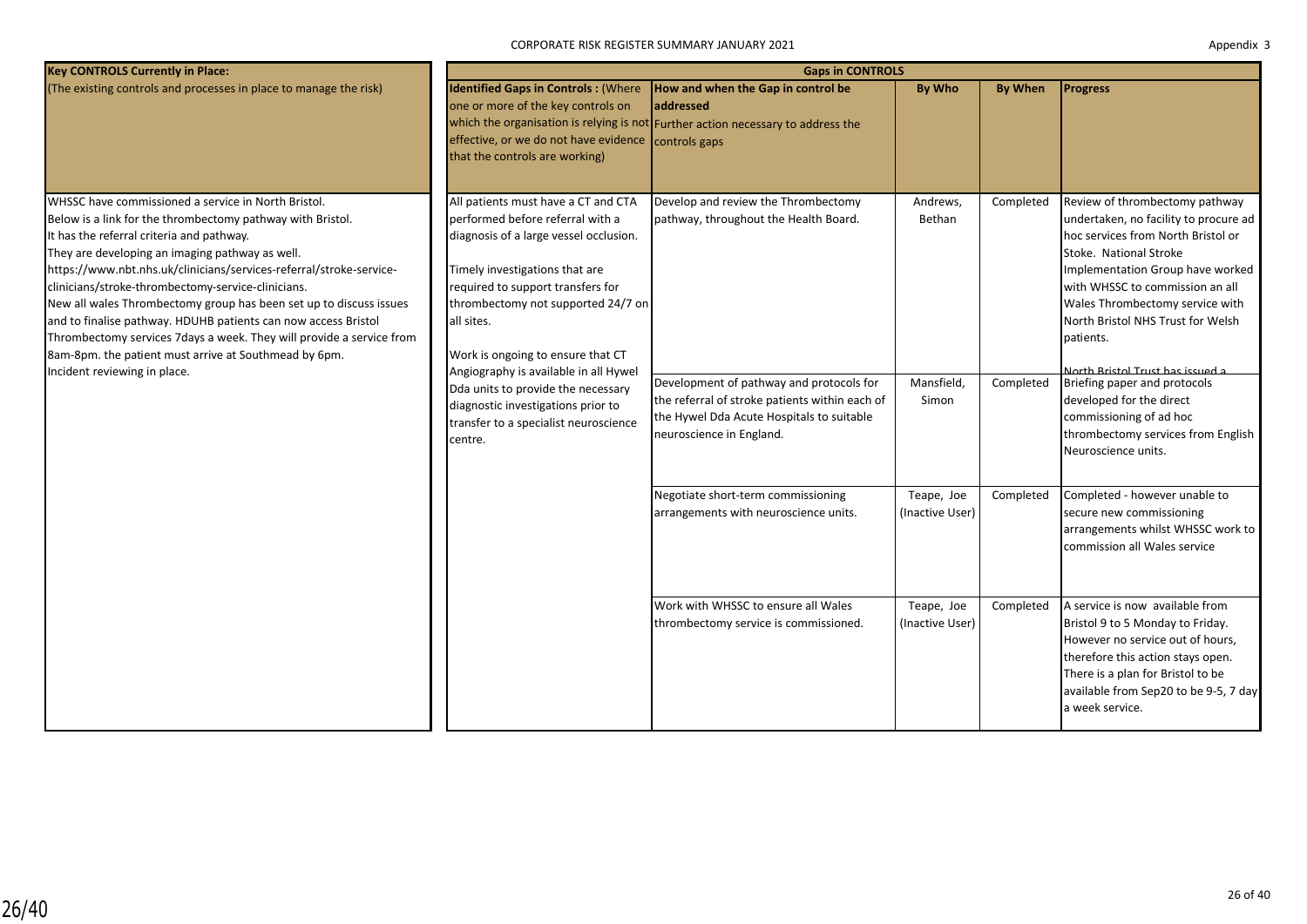CORPORATE RISK REGISTER SUMMARY JANUARY 2021

| Appendix 3 |  |
|------------|--|
|------------|--|

| <b>Key CONTROLS Currently in Place:</b>                                                                                                                                                                                                                                                                                                                                                                                                                                                                                                                                                                                                                  |                                                                                                                                                                                                                                                                                                                            | <b>Gaps in CONTROLS</b>                                                                                                             |                                  |                        |                                                                                                                                                                                                                                                                                                                                                                         |
|----------------------------------------------------------------------------------------------------------------------------------------------------------------------------------------------------------------------------------------------------------------------------------------------------------------------------------------------------------------------------------------------------------------------------------------------------------------------------------------------------------------------------------------------------------------------------------------------------------------------------------------------------------|----------------------------------------------------------------------------------------------------------------------------------------------------------------------------------------------------------------------------------------------------------------------------------------------------------------------------|-------------------------------------------------------------------------------------------------------------------------------------|----------------------------------|------------------------|-------------------------------------------------------------------------------------------------------------------------------------------------------------------------------------------------------------------------------------------------------------------------------------------------------------------------------------------------------------------------|
| (The existing controls and processes in place to manage the risk)                                                                                                                                                                                                                                                                                                                                                                                                                                                                                                                                                                                        | <b>Identified Gaps in Controls: (Where</b><br>one or more of the key controls on<br>effective, or we do not have evidence controls gaps<br>that the controls are working)                                                                                                                                                  | How and when the Gap in control be<br>addressed<br>which the organisation is relying is not Further action necessary to address the | <b>By Who</b>                    | <b>By When</b>         | <b>Progress</b>                                                                                                                                                                                                                                                                                                                                                         |
| WHSSC have commissioned a service in North Bristol.<br>Below is a link for the thrombectomy pathway with Bristol.<br>It has the referral criteria and pathway.<br>They are developing an imaging pathway as well.<br>https://www.nbt.nhs.uk/clinicians/services-referral/stroke-service-<br>clinicians/stroke-thrombectomy-service-clinicians.<br>New all wales Thrombectomy group has been set up to discuss issues<br>and to finalise pathway. HDUHB patients can now access Bristol<br>Thrombectomy services 7 days a week. They will provide a service from<br>8am-8pm. the patient must arrive at Southmead by 6pm.<br>Incident reviewing in place. | All patients must have a CT and CTA<br>performed before referral with a<br>diagnosis of a large vessel occlusion.<br>Timely investigations that are<br>required to support transfers for<br>thrombectomy not supported 24/7 on<br>all sites.<br>Work is ongoing to ensure that CT<br>Angiography is available in all Hywel | Develop and review the Thrombectomy<br>pathway, throughout the Health Board.<br>Development of pathway and protocols for            | Andrews,<br>Bethan<br>Mansfield, | Completed<br>Completed | Review of thrombectomy pathway<br>undertaken, no facility to procure ad<br>hoc services from North Bristol or<br>Stoke. National Stroke<br>Implementation Group have worked<br>with WHSSC to commission an all<br>Wales Thrombectomy service with<br>North Bristol NHS Trust for Welsh<br>patients.<br>North Bristol Trust has issued a<br>Briefing paper and protocols |
|                                                                                                                                                                                                                                                                                                                                                                                                                                                                                                                                                                                                                                                          | Dda units to provide the necessary<br>diagnostic investigations prior to<br>transfer to a specialist neuroscience<br>centre.                                                                                                                                                                                               | the referral of stroke patients within each of<br>the Hywel Dda Acute Hospitals to suitable<br>neuroscience in England.             | Simon                            |                        | developed for the direct<br>commissioning of ad hoc<br>thrombectomy services from English<br>Neuroscience units.                                                                                                                                                                                                                                                        |
|                                                                                                                                                                                                                                                                                                                                                                                                                                                                                                                                                                                                                                                          |                                                                                                                                                                                                                                                                                                                            | Negotiate short-term commissioning<br>arrangements with neuroscience units.                                                         | Teape, Joe<br>(Inactive User)    | Completed              | Completed - however unable to<br>secure new commissioning<br>arrangements whilst WHSSC work to<br>commission all Wales service                                                                                                                                                                                                                                          |
|                                                                                                                                                                                                                                                                                                                                                                                                                                                                                                                                                                                                                                                          |                                                                                                                                                                                                                                                                                                                            | Work with WHSSC to ensure all Wales<br>thrombectomy service is commissioned.                                                        | Teape, Joe<br>(Inactive User)    | Completed              | A service is now available from<br>Bristol 9 to 5 Monday to Friday.<br>However no service out of hours,<br>therefore this action stays open.<br>There is a plan for Bristol to be<br>available from Sep20 to be 9-5, 7 day<br>a week service.                                                                                                                           |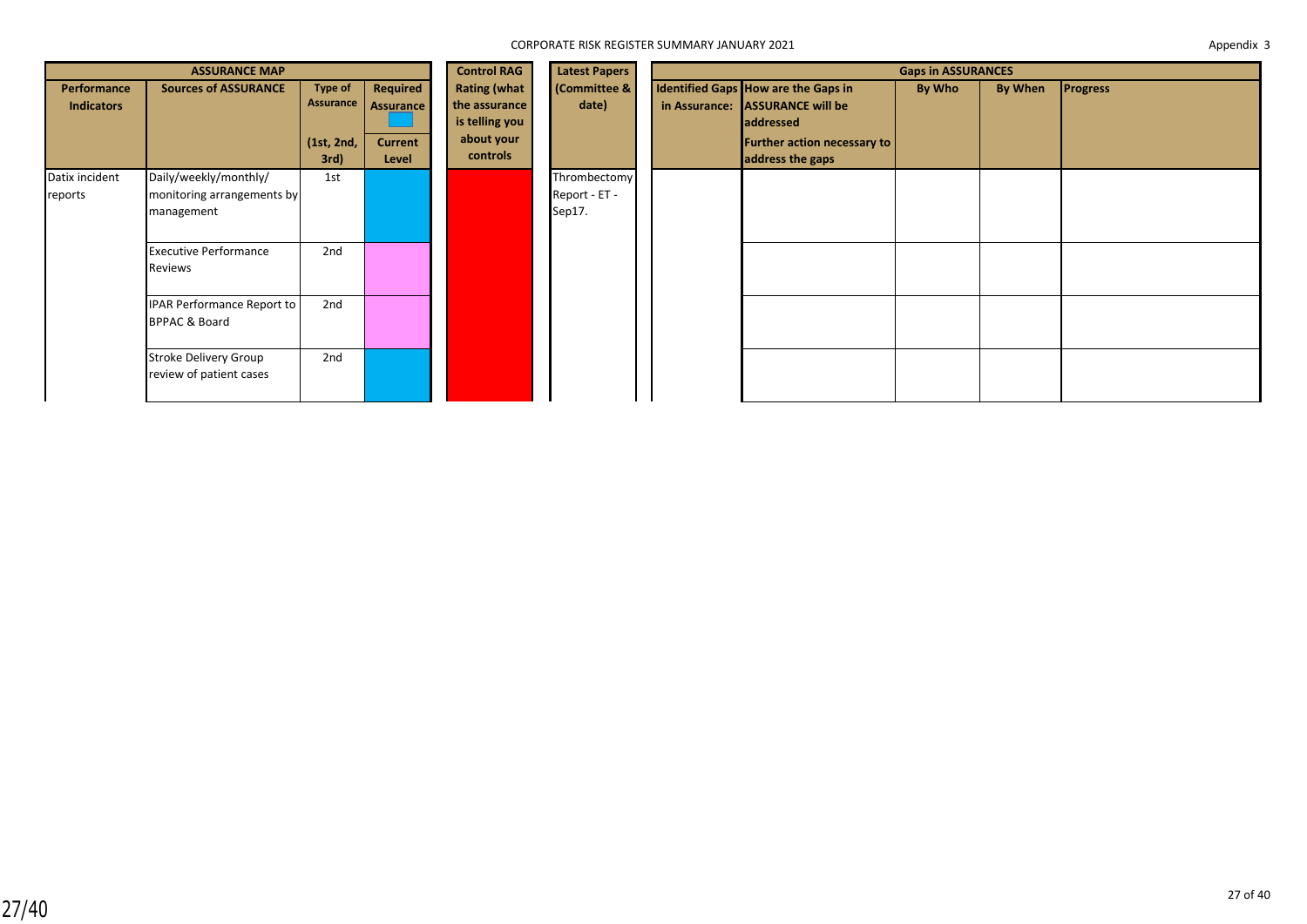|                                  | <b>ASSURANCE MAP</b>                                              |                                                   | <b>Control RAG</b>                               | <b>Latest Papers</b>                                                             | <b>Gaps in ASSURANCES</b>               |                                                                                                                                               |        |         |                 |
|----------------------------------|-------------------------------------------------------------------|---------------------------------------------------|--------------------------------------------------|----------------------------------------------------------------------------------|-----------------------------------------|-----------------------------------------------------------------------------------------------------------------------------------------------|--------|---------|-----------------|
| Performance<br><b>Indicators</b> | <b>Sources of ASSURANCE</b>                                       | <b>Type of</b><br>Assurance<br>(1st, 2nd,<br>3rd) | Required<br>Assurance<br><b>Current</b><br>Level | <b>Rating (what</b><br>the assurance<br>is telling you<br>about your<br>controls | (Committee &<br>date)                   | Identified Gaps How are the Gaps in<br>in Assurance: ASSURANCE will be<br>addressed<br><b>Further action necessary to</b><br>address the gaps | By Who | By When | <b>Progress</b> |
| Datix incident<br>reports        | Daily/weekly/monthly/<br>monitoring arrangements by<br>management | 1st                                               |                                                  |                                                                                  | Thrombectomy<br>Report - ET -<br>Sep17. |                                                                                                                                               |        |         |                 |
|                                  | <b>Executive Performance</b><br>Reviews                           | 2nd                                               |                                                  |                                                                                  |                                         |                                                                                                                                               |        |         |                 |
|                                  | IPAR Performance Report to<br><b>BPPAC &amp; Board</b>            | 2nd                                               |                                                  |                                                                                  |                                         |                                                                                                                                               |        |         |                 |
|                                  | Stroke Delivery Group<br>review of patient cases                  | 2nd                                               |                                                  |                                                                                  |                                         |                                                                                                                                               |        |         |                 |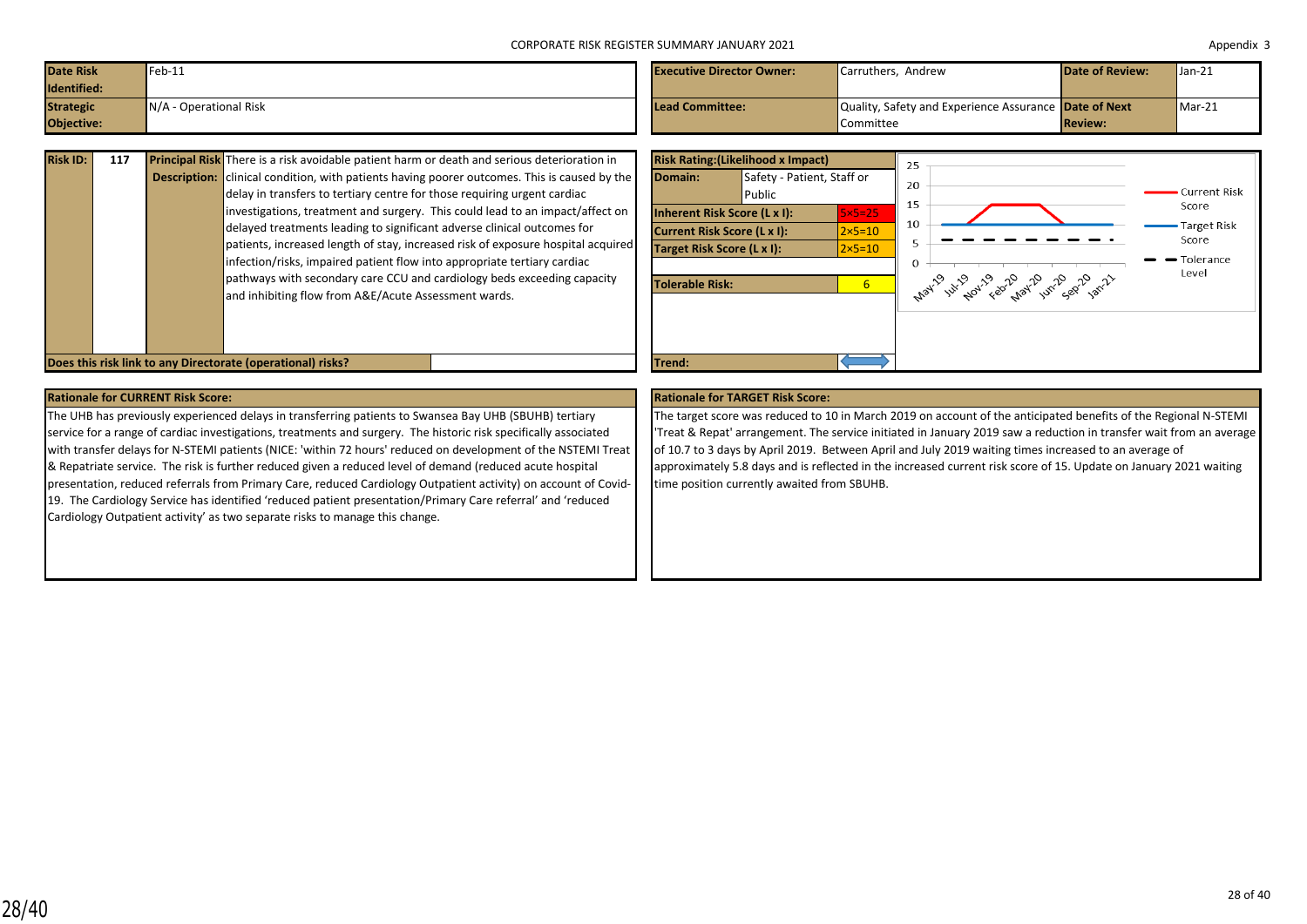| <b>Date Risk</b><br>Identified: | $Feb-11$               | <b>Executive Director Owner:</b> | Carruthers. Andrew                                    | <b>Date of Review:</b> | $\mathsf{Uan-21}$ |
|---------------------------------|------------------------|----------------------------------|-------------------------------------------------------|------------------------|-------------------|
| <b>Strategic</b>                | N/A - Operational Risk | <b>Lead Committee:</b>           | Quality, Safety and Experience Assurance Date of Next |                        | $Mar-21$          |
| Objective:                      |                        |                                  | Committee                                             | <b>Review:</b>         |                   |

| <b>Risk ID:</b> | 117 | <b>Principal Risk</b> There is a risk avoidable patient harm or death and serious deterioration in  |
|-----------------|-----|-----------------------------------------------------------------------------------------------------|
|                 |     | <b>Description:</b> clinical condition, with patients having poorer outcomes. This is caused by the |
|                 |     | delay in transfers to tertiary centre for those requiring urgent cardiac                            |
|                 |     | investigations, treatment and surgery. This could lead to an impact/affect on                       |
|                 |     | delayed treatments leading to significant adverse clinical outcomes for                             |
|                 |     | patients, increased length of stay, increased risk of exposure hospital acquired                    |
|                 |     | infection/risks, impaired patient flow into appropriate tertiary cardiac                            |
|                 |     | pathways with secondary care CCU and cardiology beds exceeding capacity                             |
|                 |     | and inhibiting flow from A&E/Acute Assessment wards.                                                |
|                 |     |                                                                                                     |
|                 |     |                                                                                                     |



### **Rationale for CURRENT Risk Score: Rationale for TARGET Risk Score:**

The UHB has previously experienced delays in transferring patients to Swansea Bay UHB (SBUHB) tertiary service for a range of cardiac investigations, treatments and surgery. The historic risk specifically associated with transfer delays for N-STEMI patients (NICE: 'within 72 hours' reduced on development of the NSTEMI Treat & Repatriate service. The risk is further reduced given a reduced level of demand (reduced acute hospital presentation, reduced referrals from Primary Care, reduced Cardiology Outpatient activity) on account of Covid-19. The Cardiology Service has identified 'reduced patient presentation/Primary Care referral' and 'reduced Cardiology Outpatient activity' as two separate risks to manage this change.

The target score was reduced to 10 in March 2019 on account of the anticipated benefits of the Regional N-STEMI 'Treat & Repat' arrangement. The service initiated in January 2019 saw a reduction in transfer wait from an average of 10.7 to 3 days by April 2019. Between April and July 2019 waiting times increased to an average of approximately 5.8 days and is reflected in the increased current risk score of 15. Update on January 2021 waiting time position currently awaited from SBUHB.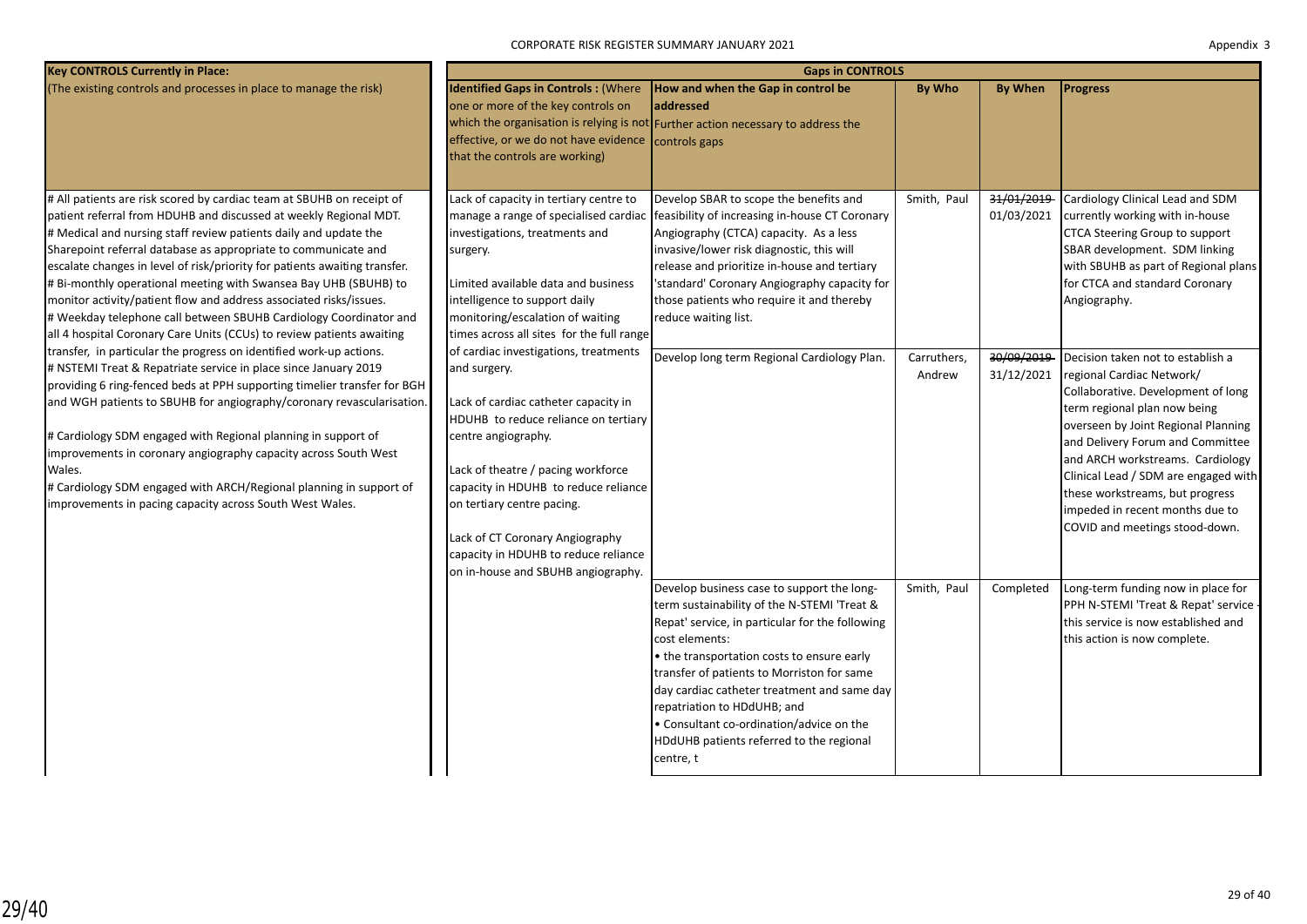CORPORATE RISK REGISTER SUMMARY JANUARY 2021

| Appendix 3 |  |
|------------|--|
|------------|--|

| <b>Key CONTROLS Currently in Place:</b>                                                                                                                                                                                                                                                                                                                                                                                                                                                                                                                                                                                                                                                                                       |                                                                                                                                                                                                                                                                                                                                                  | <b>Gaps in CONTROLS</b>                                                                                                                                                                                                                                                                                                                                                                                                                       |                            |                                        |                                                                                                                                                                                                                                                                                                                                                                |
|-------------------------------------------------------------------------------------------------------------------------------------------------------------------------------------------------------------------------------------------------------------------------------------------------------------------------------------------------------------------------------------------------------------------------------------------------------------------------------------------------------------------------------------------------------------------------------------------------------------------------------------------------------------------------------------------------------------------------------|--------------------------------------------------------------------------------------------------------------------------------------------------------------------------------------------------------------------------------------------------------------------------------------------------------------------------------------------------|-----------------------------------------------------------------------------------------------------------------------------------------------------------------------------------------------------------------------------------------------------------------------------------------------------------------------------------------------------------------------------------------------------------------------------------------------|----------------------------|----------------------------------------|----------------------------------------------------------------------------------------------------------------------------------------------------------------------------------------------------------------------------------------------------------------------------------------------------------------------------------------------------------------|
| (The existing controls and processes in place to manage the risk)                                                                                                                                                                                                                                                                                                                                                                                                                                                                                                                                                                                                                                                             | <b>Identified Gaps in Controls: (Where</b><br>one or more of the key controls on<br>effective, or we do not have evidence controls gaps<br>that the controls are working)                                                                                                                                                                        | How and when the Gap in control be<br>laddressed<br>which the organisation is relying is not Further action necessary to address the                                                                                                                                                                                                                                                                                                          | <b>By Who</b>              | <b>By When</b>                         | <b>Progress</b>                                                                                                                                                                                                                                                                                                                                                |
| # All patients are risk scored by cardiac team at SBUHB on receipt of<br>patient referral from HDUHB and discussed at weekly Regional MDT.<br># Medical and nursing staff review patients daily and update the<br>Sharepoint referral database as appropriate to communicate and<br>escalate changes in level of risk/priority for patients awaiting transfer.<br># Bi-monthly operational meeting with Swansea Bay UHB (SBUHB) to<br>monitor activity/patient flow and address associated risks/issues.<br># Weekday telephone call between SBUHB Cardiology Coordinator and<br>all 4 hospital Coronary Care Units (CCUs) to review patients awaiting<br>transfer, in particular the progress on identified work-up actions. | Lack of capacity in tertiary centre to<br>investigations, treatments and<br>surgery.<br>Limited available data and business<br>intelligence to support daily<br>monitoring/escalation of waiting<br>times across all sites for the full range<br>of cardiac investigations, treatments                                                           | Develop SBAR to scope the benefits and<br>manage a range of specialised cardiac reasibility of increasing in-house CT Coronary<br>Angiography (CTCA) capacity. As a less<br>invasive/lower risk diagnostic, this will<br>release and prioritize in-house and tertiary<br>'standard' Coronary Angiography capacity for<br>those patients who require it and thereby<br>reduce waiting list.<br>Develop long term Regional Cardiology Plan.     | Smith, Paul<br>Carruthers, | 31/01/2019<br>01/03/2021<br>30/09/2019 | Cardiology Clinical Lead and SDM<br>currently working with in-house<br>CTCA Steering Group to support<br>SBAR development. SDM linking<br>with SBUHB as part of Regional plans<br>for CTCA and standard Coronary<br>Angiography.<br>Decision taken not to establish a                                                                                          |
| # NSTEMI Treat & Repatriate service in place since January 2019<br>providing 6 ring-fenced beds at PPH supporting timelier transfer for BGH<br>and WGH patients to SBUHB for angiography/coronary revascularisation.<br># Cardiology SDM engaged with Regional planning in support of<br>improvements in coronary angiography capacity across South West<br>Wales.<br># Cardiology SDM engaged with ARCH/Regional planning in support of<br>improvements in pacing capacity across South West Wales.                                                                                                                                                                                                                          | and surgery.<br>Lack of cardiac catheter capacity in<br>HDUHB to reduce reliance on tertiary<br>centre angiography.<br>Lack of theatre / pacing workforce<br>capacity in HDUHB to reduce reliance<br>on tertiary centre pacing.<br>Lack of CT Coronary Angiography<br>capacity in HDUHB to reduce reliance<br>on in-house and SBUHB angiography. |                                                                                                                                                                                                                                                                                                                                                                                                                                               | Andrew                     | 31/12/2021                             | regional Cardiac Network/<br>Collaborative. Development of long<br>term regional plan now being<br>overseen by Joint Regional Planning<br>and Delivery Forum and Committee<br>and ARCH workstreams. Cardiology<br>Clinical Lead / SDM are engaged with<br>these workstreams, but progress<br>impeded in recent months due to<br>COVID and meetings stood-down. |
|                                                                                                                                                                                                                                                                                                                                                                                                                                                                                                                                                                                                                                                                                                                               |                                                                                                                                                                                                                                                                                                                                                  | Develop business case to support the long-<br>term sustainability of the N-STEMI 'Treat &<br>Repat' service, in particular for the following<br>cost elements:<br>• the transportation costs to ensure early<br>transfer of patients to Morriston for same<br>day cardiac catheter treatment and same day<br>repatriation to HDdUHB; and<br>• Consultant co-ordination/advice on the<br>HDdUHB patients referred to the regional<br>centre, t | Smith, Paul                | Completed                              | Long-term funding now in place for<br>PPH N-STEMI 'Treat & Repat' service -<br>this service is now established and<br>this action is now complete.                                                                                                                                                                                                             |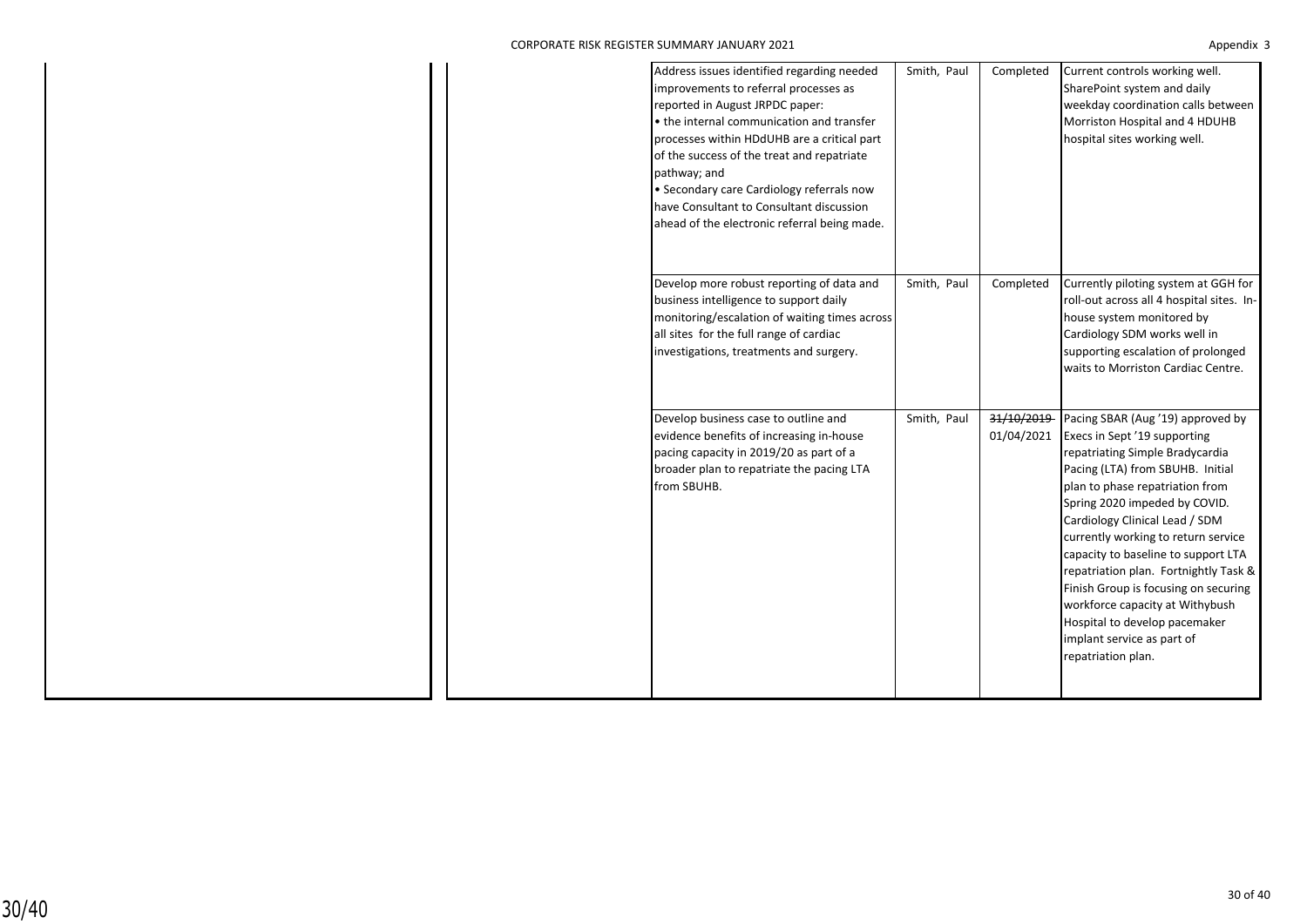|  | Address issues identified regarding needed<br>improvements to referral processes as<br>reported in August JRPDC paper:<br>• the internal communication and transfer<br>processes within HDdUHB are a critical part<br>of the success of the treat and repatriate<br>pathway; and<br>· Secondary care Cardiology referrals now<br>have Consultant to Consultant discussion<br>ahead of the electronic referral being made. | Smith, Paul | Completed                | Current controls working well.<br>SharePoint system and daily<br>weekday coordination calls between<br>Morriston Hospital and 4 HDUHB<br>hospital sites working well.                                                                                                                                                                                                                                                                                                                                                                 |
|--|---------------------------------------------------------------------------------------------------------------------------------------------------------------------------------------------------------------------------------------------------------------------------------------------------------------------------------------------------------------------------------------------------------------------------|-------------|--------------------------|---------------------------------------------------------------------------------------------------------------------------------------------------------------------------------------------------------------------------------------------------------------------------------------------------------------------------------------------------------------------------------------------------------------------------------------------------------------------------------------------------------------------------------------|
|  | Develop more robust reporting of data and<br>business intelligence to support daily<br>monitoring/escalation of waiting times across<br>all sites for the full range of cardiac<br>investigations, treatments and surgery.                                                                                                                                                                                                | Smith, Paul | Completed                | Currently piloting system at GGH for<br>roll-out across all 4 hospital sites. In-<br>house system monitored by<br>Cardiology SDM works well in<br>supporting escalation of prolonged<br>waits to Morriston Cardiac Centre.                                                                                                                                                                                                                                                                                                            |
|  | Develop business case to outline and<br>evidence benefits of increasing in-house<br>pacing capacity in 2019/20 as part of a<br>broader plan to repatriate the pacing LTA<br>from SBUHB.                                                                                                                                                                                                                                   | Smith, Paul | 31/10/2019<br>01/04/2021 | Pacing SBAR (Aug '19) approved by<br>Execs in Sept '19 supporting<br>repatriating Simple Bradycardia<br>Pacing (LTA) from SBUHB. Initial<br>plan to phase repatriation from<br>Spring 2020 impeded by COVID.<br>Cardiology Clinical Lead / SDM<br>currently working to return service<br>capacity to baseline to support LTA<br>repatriation plan. Fortnightly Task &<br>Finish Group is focusing on securing<br>workforce capacity at Withybush<br>Hospital to develop pacemaker<br>implant service as part of<br>repatriation plan. |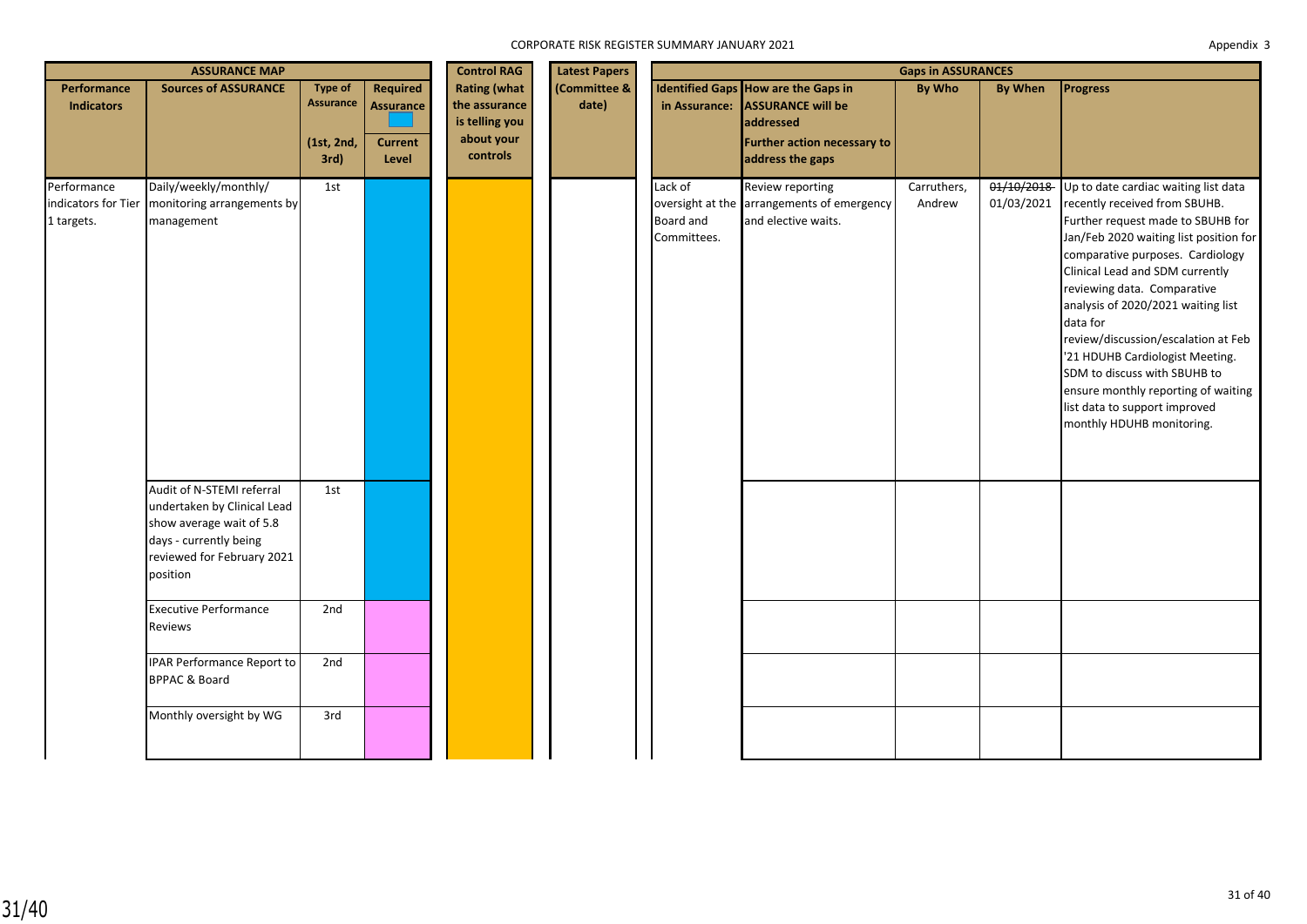|                                                  | <b>ASSURANCE MAP</b>                                                                                                        |                                                          |                                                         |                                                                                  | <b>Control RAG</b><br><b>Latest Papers</b> |                                            | <b>Gaps in ASSURANCES</b>                                                                                                       |                       |                          |                                                                                                                                                                                                                                                                                                                                                                                                                                                                                                                             |  |  |
|--------------------------------------------------|-----------------------------------------------------------------------------------------------------------------------------|----------------------------------------------------------|---------------------------------------------------------|----------------------------------------------------------------------------------|--------------------------------------------|--------------------------------------------|---------------------------------------------------------------------------------------------------------------------------------|-----------------------|--------------------------|-----------------------------------------------------------------------------------------------------------------------------------------------------------------------------------------------------------------------------------------------------------------------------------------------------------------------------------------------------------------------------------------------------------------------------------------------------------------------------------------------------------------------------|--|--|
| Performance<br><b>Indicators</b>                 | <b>Sources of ASSURANCE</b>                                                                                                 | <b>Type of</b><br><b>Assurance</b><br>(1st, 2nd,<br>3rd) | Required<br><b>Assurance</b><br><b>Current</b><br>Level | <b>Rating (what</b><br>the assurance<br>is telling you<br>about your<br>controls | (Committee &<br>date)                      | in Assurance:                              | Identified Gaps How are the Gaps in<br><b>ASSURANCE will be</b><br>addressed<br>Further action necessary to<br>address the gaps | <b>By Who</b>         | <b>By When</b>           | Progress                                                                                                                                                                                                                                                                                                                                                                                                                                                                                                                    |  |  |
| Performance<br>indicators for Tier<br>1 targets. | Daily/weekly/monthly/<br>monitoring arrangements by<br>management<br>Audit of N-STEMI referral                              | 1st<br>1st                                               |                                                         |                                                                                  |                                            | Lack of<br><b>Board and</b><br>Committees. | Review reporting<br>oversight at the arrangements of emergency<br>and elective waits.                                           | Carruthers,<br>Andrew | 01/10/2018<br>01/03/2021 | Up to date cardiac waiting list data<br>recently received from SBUHB.<br>Further request made to SBUHB for<br>Jan/Feb 2020 waiting list position for<br>comparative purposes. Cardiology<br>Clinical Lead and SDM currently<br>reviewing data. Comparative<br>analysis of 2020/2021 waiting list<br>data for<br>review/discussion/escalation at Feb<br>'21 HDUHB Cardiologist Meeting.<br>SDM to discuss with SBUHB to<br>ensure monthly reporting of waiting<br>list data to support improved<br>monthly HDUHB monitoring. |  |  |
|                                                  | undertaken by Clinical Lead<br>show average wait of 5.8<br>days - currently being<br>reviewed for February 2021<br>position |                                                          |                                                         |                                                                                  |                                            |                                            |                                                                                                                                 |                       |                          |                                                                                                                                                                                                                                                                                                                                                                                                                                                                                                                             |  |  |
|                                                  | <b>Executive Performance</b><br>Reviews                                                                                     | 2nd                                                      |                                                         |                                                                                  |                                            |                                            |                                                                                                                                 |                       |                          |                                                                                                                                                                                                                                                                                                                                                                                                                                                                                                                             |  |  |
|                                                  | <b>IPAR Performance Report to</b><br><b>BPPAC &amp; Board</b>                                                               | 2nd                                                      |                                                         |                                                                                  |                                            |                                            |                                                                                                                                 |                       |                          |                                                                                                                                                                                                                                                                                                                                                                                                                                                                                                                             |  |  |
|                                                  | Monthly oversight by WG                                                                                                     | 3rd                                                      |                                                         |                                                                                  |                                            |                                            |                                                                                                                                 |                       |                          |                                                                                                                                                                                                                                                                                                                                                                                                                                                                                                                             |  |  |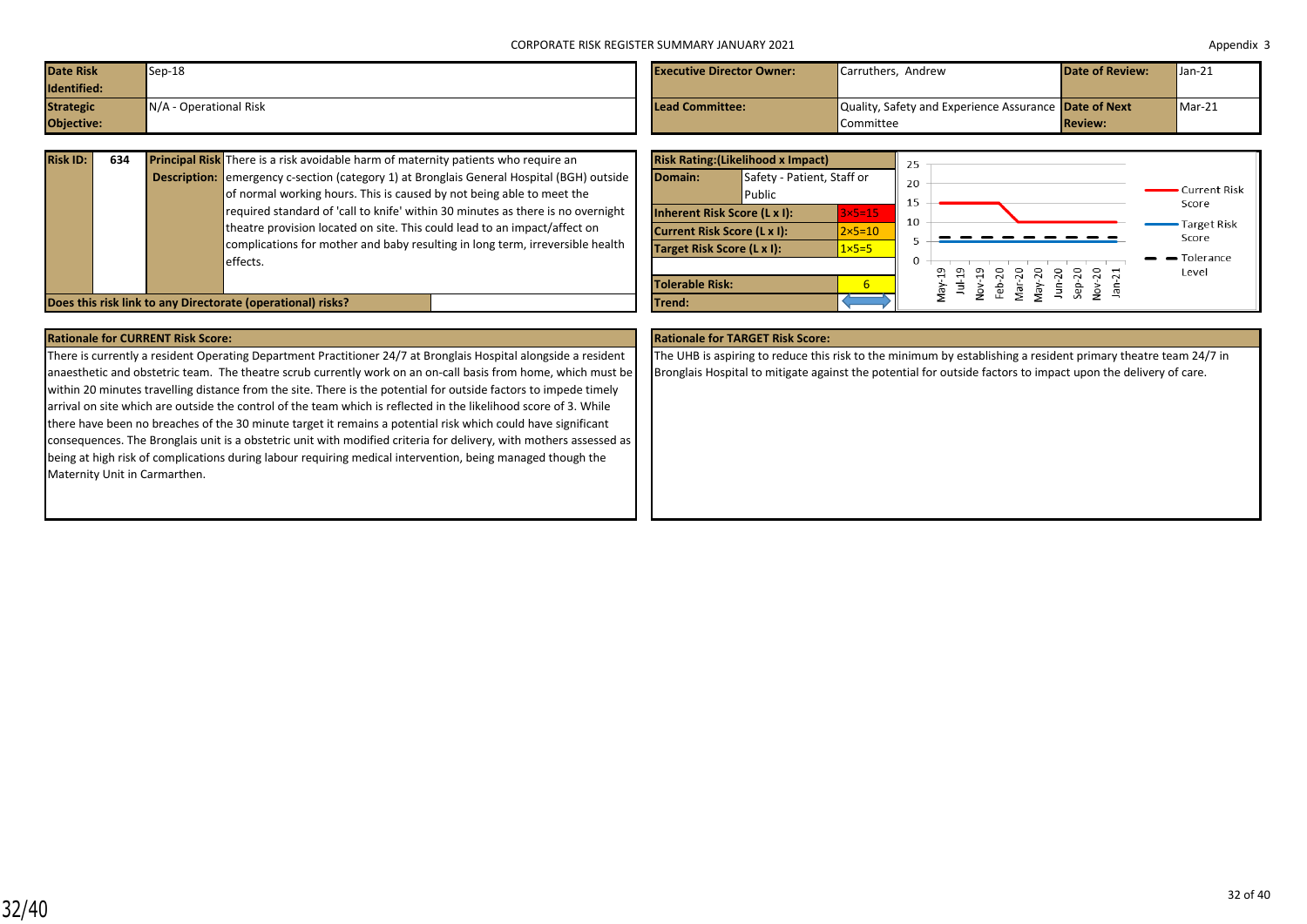| <b>Date Risk</b><br>Identified: | $Sep-18$                 | <b>Executive Director Owner:</b> | Carruthers. Andrew                                                 | <b>Date of Review:</b> | $Jan-21$ |
|---------------------------------|--------------------------|----------------------------------|--------------------------------------------------------------------|------------------------|----------|
| <b>Strategic</b><br>Objective:  | $N/A$ - Operational Risk | <b>Lead Committee:</b>           | Quality, Safety and Experience Assurance Date of Next<br>Committee | <b>Review:</b>         | $Max-21$ |

| <b>Risk ID:</b> | 634 | <b>Principal Risk</b> There is a risk avoidable harm of maternity patients who require an        |
|-----------------|-----|--------------------------------------------------------------------------------------------------|
|                 |     | <b>Description:</b> emergency c-section (category 1) at Bronglais General Hospital (BGH) outside |
|                 |     | of normal working hours. This is caused by not being able to meet the                            |
|                 |     | required standard of 'call to knife' within 30 minutes as there is no overnight                  |
|                 |     | theatre provision located on site. This could lead to an impact/affect on                        |
|                 |     | complications for mother and baby resulting in long term, irreversible health                    |
|                 |     | effects.                                                                                         |
|                 |     |                                                                                                  |
|                 |     |                                                                                                  |



There is currently a resident Operating Department Practitioner 24/7 at Bronglais Hospital alongside a resident anaesthetic and obstetric team. The theatre scrub currently work on an on-call basis from home, which must be within 20 minutes travelling distance from the site. There is the potential for outside factors to impede timely arrival on site which are outside the control of the team which is reflected in the likelihood score of 3. While there have been no breaches of the 30 minute target it remains a potential risk which could have significant consequences. The Bronglais unit is a obstetric unit with modified criteria for delivery, with mothers assessed as being at high risk of complications during labour requiring medical intervention, being managed though the Maternity Unit in Carmarthen.

### **Rationale for CURRENT Risk Score: Rationale for TARGET Risk Score:**

The UHB is aspiring to reduce this risk to the minimum by establishing a resident primary theatre team 24/7 in Bronglais Hospital to mitigate against the potential for outside factors to impact upon the delivery of care.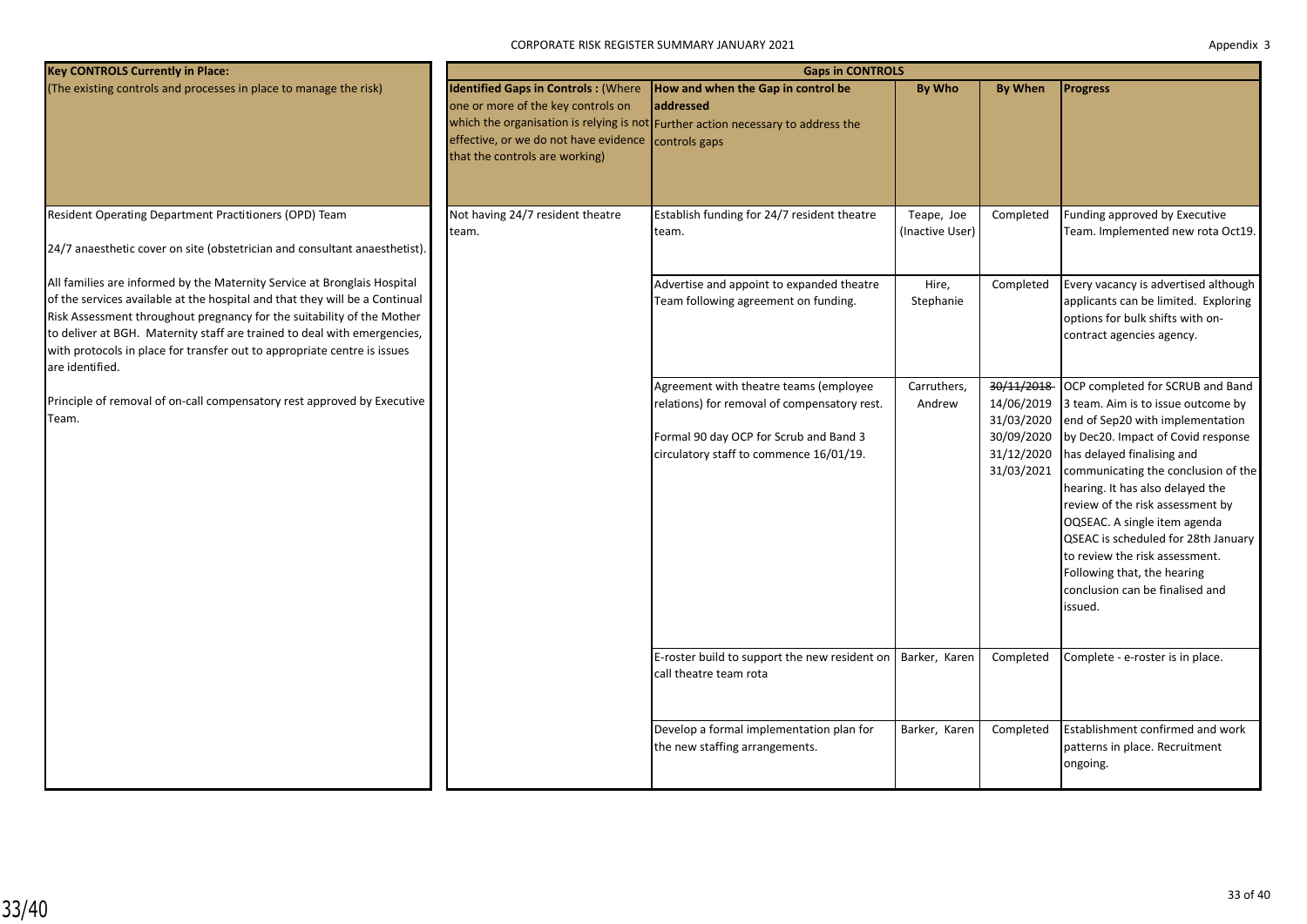| <b>Key CONTROLS Currently in Place:</b>                                                                                                                                                                                                                                                                                                                                                                      |                                                                                                                                                             | <b>Gaps in CONTROLS</b>                                                                                                                                                     |                               |                                                                                  |                                                                                                                                                                                                                                                                                                                                                                                                                                                                                     |  |  |
|--------------------------------------------------------------------------------------------------------------------------------------------------------------------------------------------------------------------------------------------------------------------------------------------------------------------------------------------------------------------------------------------------------------|-------------------------------------------------------------------------------------------------------------------------------------------------------------|-----------------------------------------------------------------------------------------------------------------------------------------------------------------------------|-------------------------------|----------------------------------------------------------------------------------|-------------------------------------------------------------------------------------------------------------------------------------------------------------------------------------------------------------------------------------------------------------------------------------------------------------------------------------------------------------------------------------------------------------------------------------------------------------------------------------|--|--|
| (The existing controls and processes in place to manage the risk)                                                                                                                                                                                                                                                                                                                                            | <b>Identified Gaps in Controls: (Where</b><br>one or more of the key controls on<br>effective, or we do not have evidence<br>that the controls are working) | How and when the Gap in control be<br>laddressed<br>which the organisation is relying is not Further action necessary to address the<br>controls gaps                       | By Who                        | <b>By When</b>                                                                   | <b>Progress</b>                                                                                                                                                                                                                                                                                                                                                                                                                                                                     |  |  |
| Resident Operating Department Practitioners (OPD) Team<br>24/7 anaesthetic cover on site (obstetrician and consultant anaesthetist).                                                                                                                                                                                                                                                                         | Not having 24/7 resident theatre<br>team.                                                                                                                   | Establish funding for 24/7 resident theatre<br>team.                                                                                                                        | Teape, Joe<br>(Inactive User) | Completed                                                                        | Funding approved by Executive<br>Team. Implemented new rota Oct19.                                                                                                                                                                                                                                                                                                                                                                                                                  |  |  |
| All families are informed by the Maternity Service at Bronglais Hospital<br>of the services available at the hospital and that they will be a Continual<br>Risk Assessment throughout pregnancy for the suitability of the Mother<br>to deliver at BGH. Maternity staff are trained to deal with emergencies,<br>with protocols in place for transfer out to appropriate centre is issues<br>are identified. |                                                                                                                                                             | Advertise and appoint to expanded theatre<br>Team following agreement on funding.                                                                                           | Hire,<br>Stephanie            | Completed                                                                        | Every vacancy is advertised although<br>applicants can be limited. Exploring<br>options for bulk shifts with on-<br>contract agencies agency.                                                                                                                                                                                                                                                                                                                                       |  |  |
| Principle of removal of on-call compensatory rest approved by Executive<br>Team.                                                                                                                                                                                                                                                                                                                             |                                                                                                                                                             | Agreement with theatre teams (employee<br>relations) for removal of compensatory rest.<br>Formal 90 day OCP for Scrub and Band 3<br>circulatory staff to commence 16/01/19. | Carruthers,<br>Andrew         | 30/11/2018<br>14/06/2019<br>31/03/2020<br>30/09/2020<br>31/12/2020<br>31/03/2021 | OCP completed for SCRUB and Band<br>3 team. Aim is to issue outcome by<br>end of Sep20 with implementation<br>by Dec20. Impact of Covid response<br>has delayed finalising and<br>communicating the conclusion of the<br>hearing. It has also delayed the<br>review of the risk assessment by<br>OQSEAC. A single item agenda<br>QSEAC is scheduled for 28th January<br>to review the risk assessment.<br>Following that, the hearing<br>conclusion can be finalised and<br>issued. |  |  |
|                                                                                                                                                                                                                                                                                                                                                                                                              |                                                                                                                                                             | E-roster build to support the new resident on<br>call theatre team rota                                                                                                     | Barker, Karen                 | Completed                                                                        | Complete - e-roster is in place.                                                                                                                                                                                                                                                                                                                                                                                                                                                    |  |  |
|                                                                                                                                                                                                                                                                                                                                                                                                              |                                                                                                                                                             | Develop a formal implementation plan for<br>the new staffing arrangements.                                                                                                  | Barker, Karen                 | Completed                                                                        | Establishment confirmed and work<br>patterns in place. Recruitment<br>ongoing.                                                                                                                                                                                                                                                                                                                                                                                                      |  |  |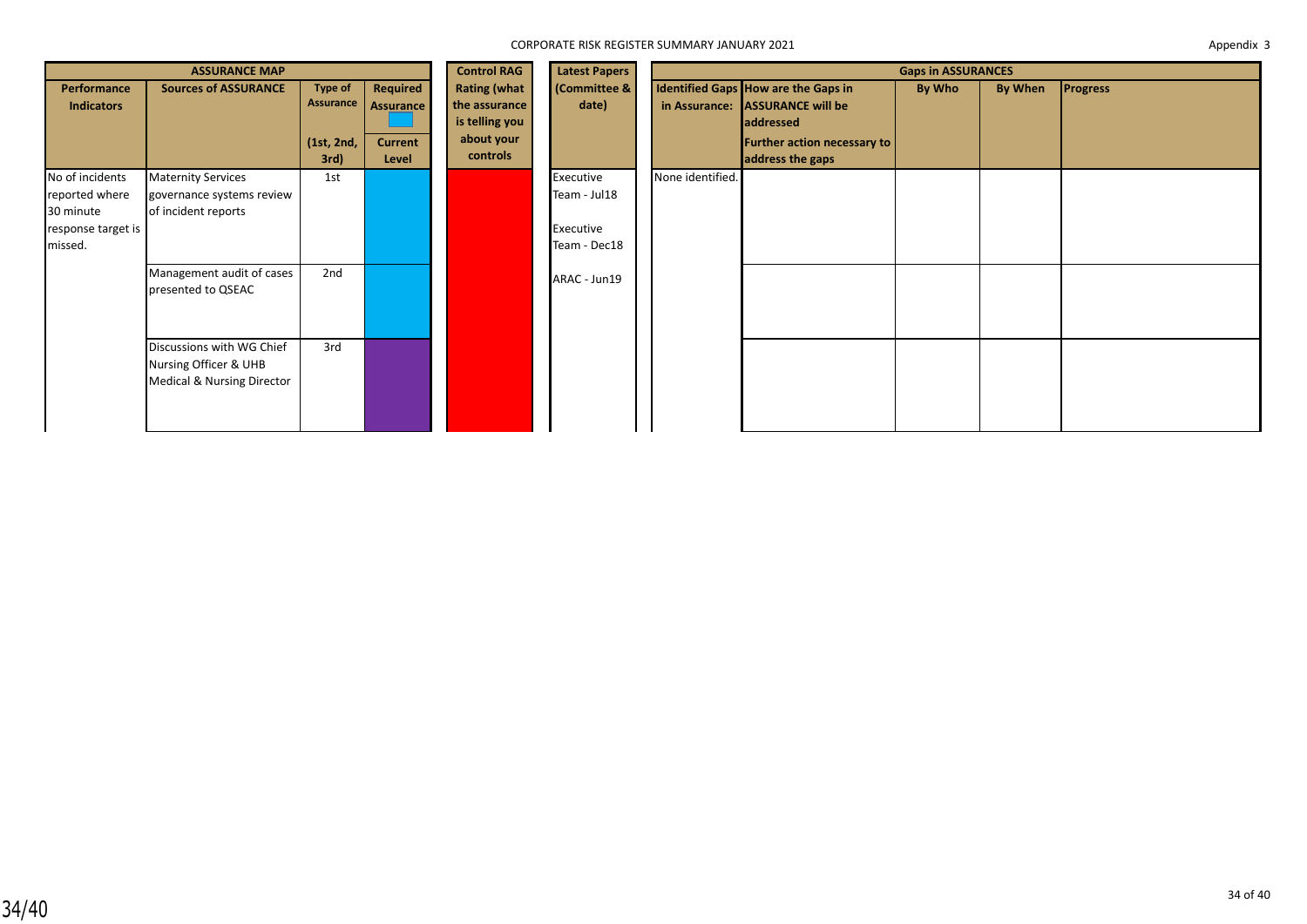|                                                                                 | <b>ASSURANCE MAP</b>                                                                        |                                                   |                                                  | <b>Control RAG</b>                                                               | <b>Latest Papers</b>                                   |                  |                                                                                                                                 | <b>Gaps in ASSURANCES</b> |         |                 |
|---------------------------------------------------------------------------------|---------------------------------------------------------------------------------------------|---------------------------------------------------|--------------------------------------------------|----------------------------------------------------------------------------------|--------------------------------------------------------|------------------|---------------------------------------------------------------------------------------------------------------------------------|---------------------------|---------|-----------------|
| Performance<br><b>Indicators</b>                                                | <b>Sources of ASSURANCE</b>                                                                 | <b>Type of</b><br>Assurance<br>(1st, 2nd,<br>3rd) | Required<br>Assurance<br><b>Current</b><br>Level | <b>Rating (what</b><br>the assurance<br>is telling you<br>about your<br>controls | (Committee &<br>date)                                  | in Assurance:    | Identified Gaps How are the Gaps in<br><b>ASSURANCE will be</b><br>addressed<br>Further action necessary to<br>address the gaps | By Who                    | By When | <b>Progress</b> |
| No of incidents<br>reported where<br>30 minute<br>response target is<br>missed. | <b>Maternity Services</b><br>governance systems review<br>of incident reports               | 1st                                               |                                                  |                                                                                  | Executive<br>Team - Jul18<br>Executive<br>Team - Dec18 | None identified. |                                                                                                                                 |                           |         |                 |
|                                                                                 | Management audit of cases<br>presented to QSEAC                                             | 2nd                                               |                                                  |                                                                                  | ARAC - Jun19                                           |                  |                                                                                                                                 |                           |         |                 |
|                                                                                 | Discussions with WG Chief<br>Nursing Officer & UHB<br><b>Medical &amp; Nursing Director</b> | 3rd                                               |                                                  |                                                                                  |                                                        |                  |                                                                                                                                 |                           |         |                 |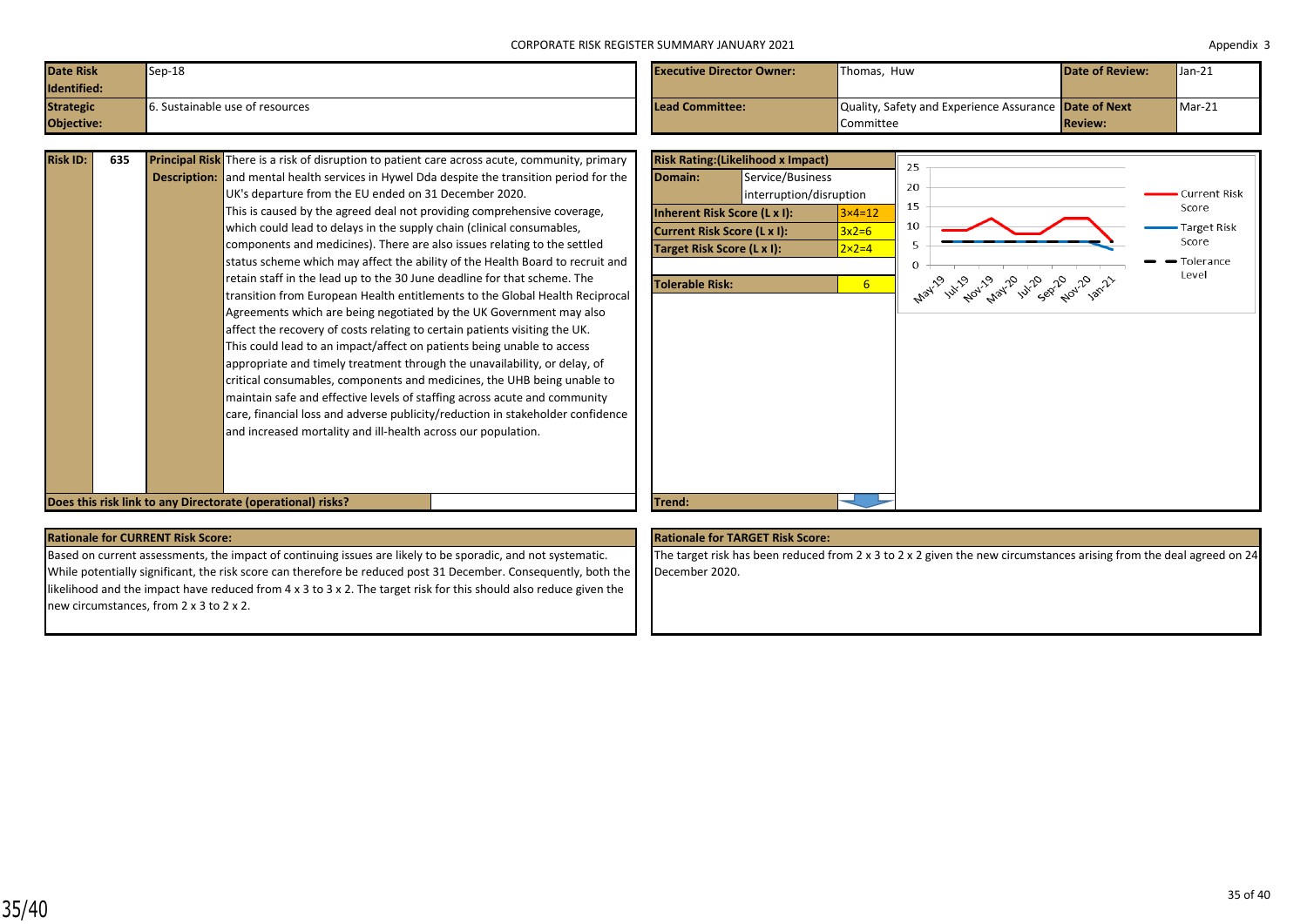| <b>Date Risk</b><br>Identified: | $Sep-18$                        | <b>Executive Director Owner:</b> | Thomas, Huw                                                  | <b>Date of Review:</b> | $Jan-21$ |
|---------------------------------|---------------------------------|----------------------------------|--------------------------------------------------------------|------------------------|----------|
| <b>Strategic</b>                | 6. Sustainable use of resources | Lead Committee:                  | Quality, Safety and Experience Assurance <b>Date of Next</b> |                        | $Mar-21$ |
| <b>Objective:</b>               |                                 |                                  | Committee                                                    | <b>Review:</b>         |          |

| <b>Risk ID:</b> | 635 | <b>Principal Risk</b> There is a risk of disruption to patient care across acute, community, primary | <b>Risk Rating: (Likelihood x Impact)</b>      | 25                                   |                     |
|-----------------|-----|------------------------------------------------------------------------------------------------------|------------------------------------------------|--------------------------------------|---------------------|
|                 |     | <b>Description:</b> and mental health services in Hywel Dda despite the transition period for the    | Service/Business<br>Domain:                    |                                      |                     |
|                 |     | UK's departure from the EU ended on 31 December 2020.                                                | interruption/disruption                        | 20                                   | <b>Current Risk</b> |
|                 |     | This is caused by the agreed deal not providing comprehensive coverage,                              | Inherent Risk Score (L x I):<br>$3\times 4=12$ | 15                                   | Score               |
|                 |     | which could lead to delays in the supply chain (clinical consumables,                                | Current Risk Score (L x I):<br>$3x2=6$         | 10                                   | Target Risk         |
|                 |     | components and medicines). There are also issues relating to the settled                             | $2 \times 2 = 4$<br>Target Risk Score (L x I): |                                      | Score               |
|                 |     | status scheme which may affect the ability of the Health Board to recruit and                        |                                                |                                      | Tolerance           |
|                 |     | retain staff in the lead up to the 30 June deadline for that scheme. The                             | <b>Tolerable Risk:</b><br>6 <sup>1</sup>       |                                      | Level               |
|                 |     | transition from European Health entitlements to the Global Health Reciprocal                         |                                                | May 1 14 204 - May 12 12 20 12 12 12 |                     |
|                 |     | Agreements which are being negotiated by the UK Government may also                                  |                                                |                                      |                     |
|                 |     | affect the recovery of costs relating to certain patients visiting the UK.                           |                                                |                                      |                     |
|                 |     | This could lead to an impact/affect on patients being unable to access                               |                                                |                                      |                     |
|                 |     | appropriate and timely treatment through the unavailability, or delay, of                            |                                                |                                      |                     |
|                 |     | critical consumables, components and medicines, the UHB being unable to                              |                                                |                                      |                     |
|                 |     | maintain safe and effective levels of staffing across acute and community                            |                                                |                                      |                     |
|                 |     | care, financial loss and adverse publicity/reduction in stakeholder confidence                       |                                                |                                      |                     |
|                 |     | and increased mortality and ill-health across our population.                                        |                                                |                                      |                     |
|                 |     |                                                                                                      |                                                |                                      |                     |
|                 |     |                                                                                                      |                                                |                                      |                     |
|                 |     |                                                                                                      |                                                |                                      |                     |
|                 |     | Does this risk link to any Directorate (operational) risks?                                          | Trend:                                         |                                      |                     |
|                 |     |                                                                                                      |                                                |                                      |                     |

## **Rationale for CURRENT Risk Score: Rationale for TARGET Risk Score:**

Based on current assessments, the impact of continuing issues are likely to be sporadic, and not systematic. While potentially significant, the risk score can therefore be reduced post 31 December. Consequently, both the likelihood and the impact have reduced from 4 x 3 to 3 x 2. The target risk for this should also reduce given the new circumstances, from 2 x 3 to 2 x 2.

The target risk has been reduced from 2 x 3 to 2 x 2 given the new circumstances arising from the deal agreed on 24 December 2020.

35/40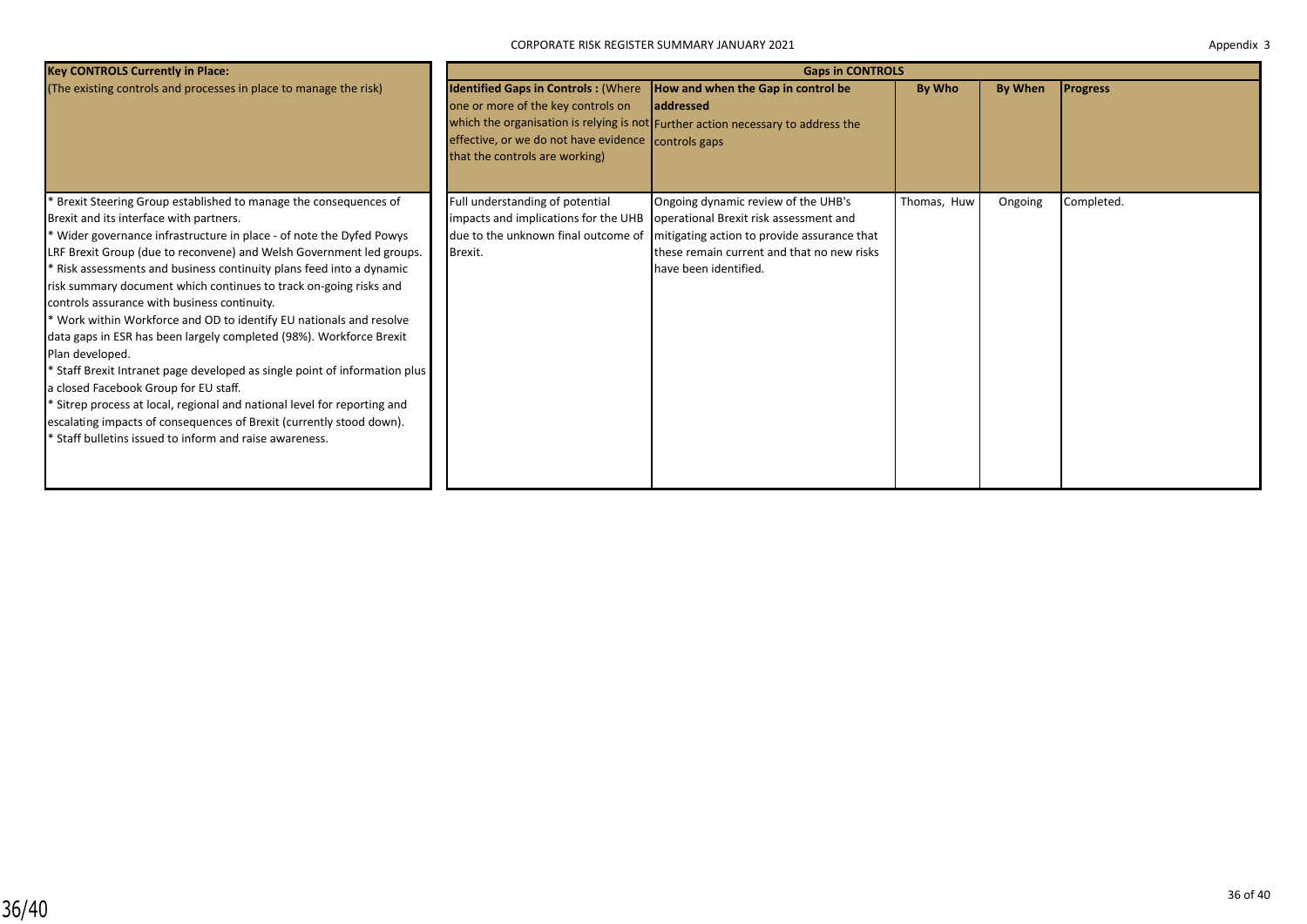| <b>Key CONTROLS Currently in Place:</b>                                                                                                                                                                                                                                                                                                                                                                                                                                                                                                                                                                                                                                                                                                                                                                                                                                                                                                                                                                      |                                                                                                                                                                           | <b>Gaps in CONTROLS</b>                                                                                                                                                                                                                                                        |             |         |                 |
|--------------------------------------------------------------------------------------------------------------------------------------------------------------------------------------------------------------------------------------------------------------------------------------------------------------------------------------------------------------------------------------------------------------------------------------------------------------------------------------------------------------------------------------------------------------------------------------------------------------------------------------------------------------------------------------------------------------------------------------------------------------------------------------------------------------------------------------------------------------------------------------------------------------------------------------------------------------------------------------------------------------|---------------------------------------------------------------------------------------------------------------------------------------------------------------------------|--------------------------------------------------------------------------------------------------------------------------------------------------------------------------------------------------------------------------------------------------------------------------------|-------------|---------|-----------------|
| (The existing controls and processes in place to manage the risk)                                                                                                                                                                                                                                                                                                                                                                                                                                                                                                                                                                                                                                                                                                                                                                                                                                                                                                                                            | <b>Identified Gaps in Controls: (Where</b><br>one or more of the key controls on<br>effective, or we do not have evidence controls gaps<br>that the controls are working) | How and when the Gap in control be<br><b>laddressed</b><br>which the organisation is relying is not Further action necessary to address the                                                                                                                                    | By Who      | By When | <b>Progress</b> |
| <sup>*</sup> Brexit Steering Group established to manage the consequences of<br>Brexit and its interface with partners.<br>* Wider governance infrastructure in place - of note the Dyfed Powys<br>LRF Brexit Group (due to reconvene) and Welsh Government led groups.<br>* Risk assessments and business continuity plans feed into a dynamic<br>risk summary document which continues to track on-going risks and<br>controls assurance with business continuity.<br>* Work within Workforce and OD to identify EU nationals and resolve<br>data gaps in ESR has been largely completed (98%). Workforce Brexit<br>Plan developed.<br><sup>*</sup> Staff Brexit Intranet page developed as single point of information plus<br>a closed Facebook Group for EU staff.<br><sup>*</sup> Sitrep process at local, regional and national level for reporting and<br>escalating impacts of consequences of Brexit (currently stood down).<br><sup>*</sup> Staff bulletins issued to inform and raise awareness. | Full understanding of potential<br>Brexit.                                                                                                                                | Ongoing dynamic review of the UHB's<br>impacts and implications for the UHB   operational Brexit risk assessment and<br>due to the unknown final outcome of mitigating action to provide assurance that<br>these remain current and that no new risks<br>have been identified. | Thomas, Huw | Ongoing | Completed.      |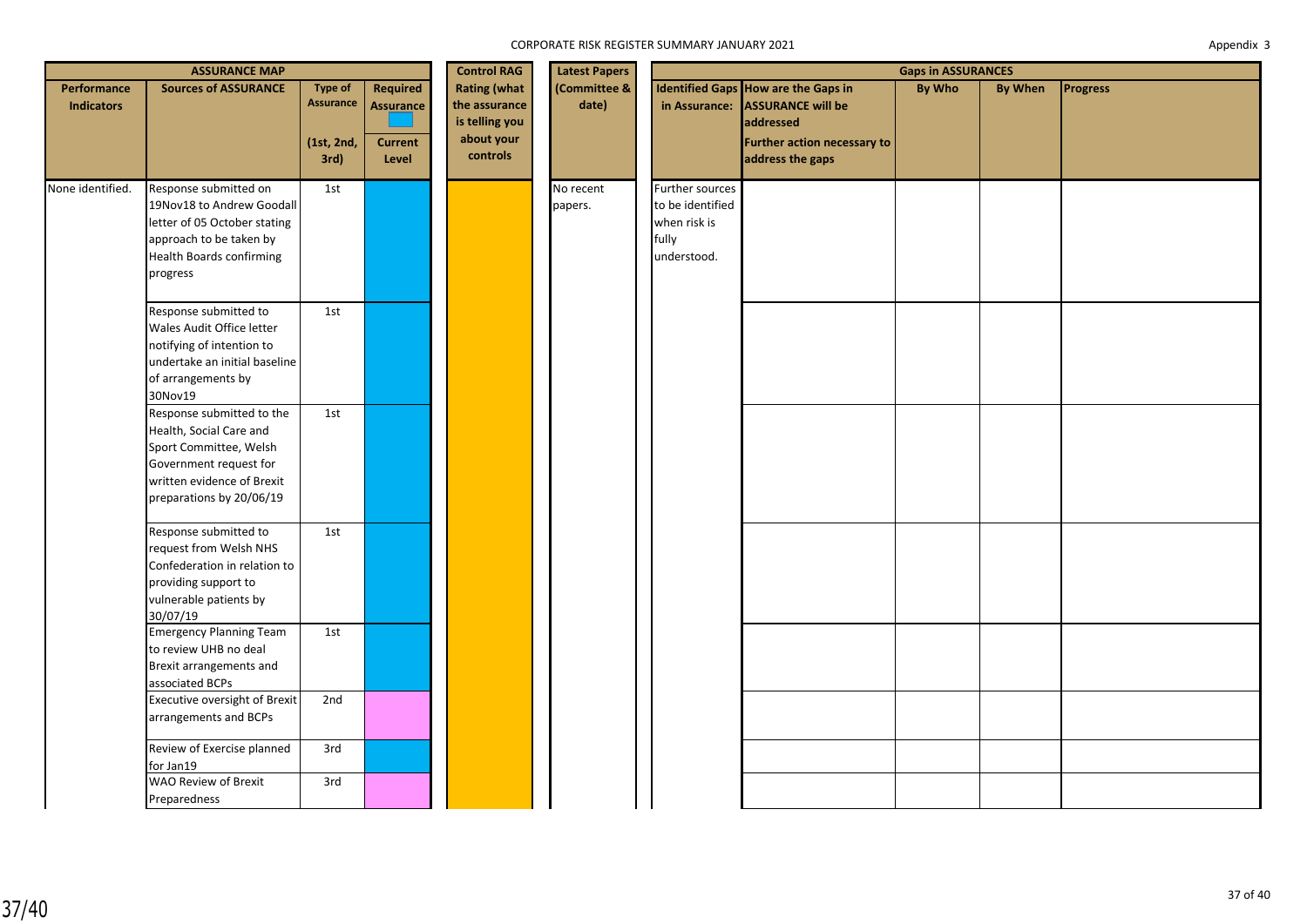|                                  | <b>ASSURANCE MAP</b>                                                                                                                                               |                                                   |                                                                | <b>Control RAG</b>                                                               | <b>Latest Papers</b>  |                                                                             | <b>Gaps in ASSURANCES</b>                                                                                                               |               |         |                 |  |
|----------------------------------|--------------------------------------------------------------------------------------------------------------------------------------------------------------------|---------------------------------------------------|----------------------------------------------------------------|----------------------------------------------------------------------------------|-----------------------|-----------------------------------------------------------------------------|-----------------------------------------------------------------------------------------------------------------------------------------|---------------|---------|-----------------|--|
| Performance<br><b>Indicators</b> | <b>Sources of ASSURANCE</b>                                                                                                                                        | <b>Type of</b><br>Assurance<br>(1st, 2nd,<br>3rd) | <b>Required</b><br><b>Assurance</b><br><b>Current</b><br>Level | <b>Rating (what</b><br>the assurance<br>is telling you<br>about your<br>controls | (Committee &<br>date) |                                                                             | Identified Gaps How are the Gaps in<br>in Assurance: ASSURANCE will be<br>laddressed<br>Further action necessary to<br>address the gaps | <b>By Who</b> | By When | <b>Progress</b> |  |
| None identified.                 | Response submitted on<br>19Nov18 to Andrew Goodall<br>letter of 05 October stating<br>approach to be taken by<br><b>Health Boards confirming</b><br>progress       | 1st                                               |                                                                |                                                                                  | No recent<br>papers.  | Further sources<br>to be identified<br>when risk is<br>fully<br>understood. |                                                                                                                                         |               |         |                 |  |
|                                  | Response submitted to<br>Wales Audit Office letter<br>notifying of intention to<br>undertake an initial baseline<br>of arrangements by<br>30Nov19                  | 1st                                               |                                                                |                                                                                  |                       |                                                                             |                                                                                                                                         |               |         |                 |  |
|                                  | Response submitted to the<br>Health, Social Care and<br>Sport Committee, Welsh<br>Government request for<br>written evidence of Brexit<br>preparations by 20/06/19 | 1st                                               |                                                                |                                                                                  |                       |                                                                             |                                                                                                                                         |               |         |                 |  |
|                                  | Response submitted to<br>request from Welsh NHS<br>Confederation in relation to<br>providing support to<br>vulnerable patients by<br>30/07/19                      | 1st                                               |                                                                |                                                                                  |                       |                                                                             |                                                                                                                                         |               |         |                 |  |
|                                  | <b>Emergency Planning Team</b><br>to review UHB no deal<br>Brexit arrangements and<br>associated BCPs                                                              | 1st                                               |                                                                |                                                                                  |                       |                                                                             |                                                                                                                                         |               |         |                 |  |
|                                  | Executive oversight of Brexit<br>arrangements and BCPs                                                                                                             | 2nd                                               |                                                                |                                                                                  |                       |                                                                             |                                                                                                                                         |               |         |                 |  |
|                                  | Review of Exercise planned<br>for Jan19<br><b>WAO Review of Brexit</b>                                                                                             | 3rd<br>3rd                                        |                                                                |                                                                                  |                       |                                                                             |                                                                                                                                         |               |         |                 |  |
|                                  | Preparedness                                                                                                                                                       |                                                   |                                                                |                                                                                  |                       |                                                                             |                                                                                                                                         |               |         |                 |  |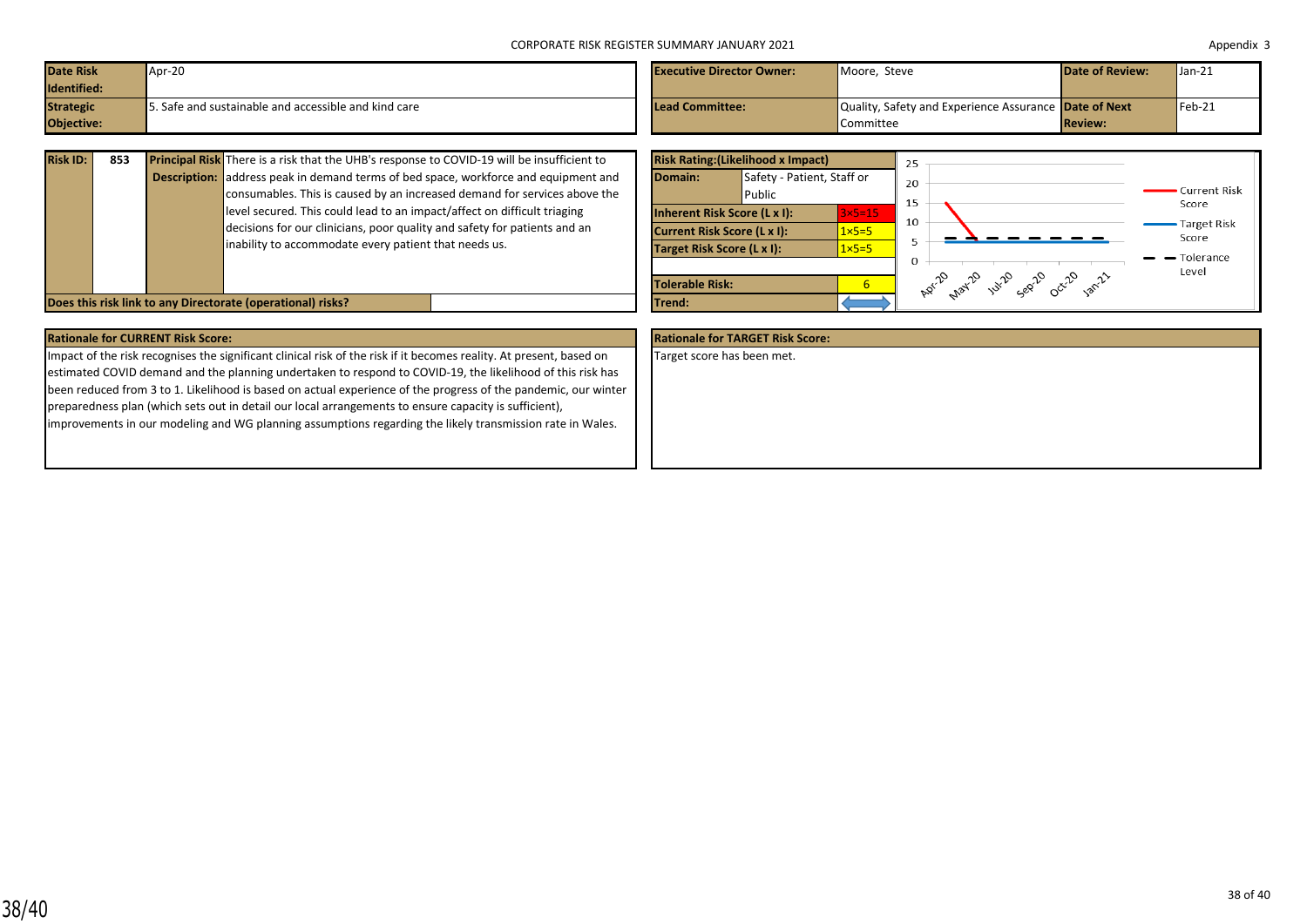| Date Risk         | Apr-20                                                 | <b>Executive Director Owner:</b> | Moore. Steve                                                 | <b>Date of Review:</b> | $\mathsf{Uan-21}$ |
|-------------------|--------------------------------------------------------|----------------------------------|--------------------------------------------------------------|------------------------|-------------------|
| Identified:       |                                                        |                                  |                                                              |                        |                   |
| <b>Strategic</b>  | $5.$ Safe and sustainable and accessible and kind care | Lead Committee:                  | <b>Quality, Safety and Experience Assurance Date of Next</b> |                        | $Feb-21$          |
| <b>Objective:</b> |                                                        |                                  | <b>Committee</b>                                             | <b>Review:</b>         |                   |

| <b>Risk ID:</b> | 853 | <b>Principal Risk</b> There is a risk that the UHB's response to COVID-19 will be insufficient to | <b>Risk Ratin</b> |
|-----------------|-----|---------------------------------------------------------------------------------------------------|-------------------|
|                 |     | <b>Description:</b> address peak in demand terms of bed space, workforce and equipment and        | Domain:           |
|                 |     | consumables. This is caused by an increased demand for services above the                         |                   |
|                 |     | level secured. This could lead to an impact/affect on difficult triaging                          | Inherent I        |
|                 |     | decisions for our clinicians, poor quality and safety for patients and an                         | <b>Current R</b>  |
|                 |     | inability to accommodate every patient that needs us.                                             | <b>Target Ris</b> |
|                 |     |                                                                                                   | Tolerable         |
|                 |     | Does this risk link to any Directorate (operational) risks?                                       | Trend:            |

|                                                        | <b>Risk Rating: (Likelihood x Impact)</b> |                  | 25                                 |                                 |
|--------------------------------------------------------|-------------------------------------------|------------------|------------------------------------|---------------------------------|
| Domain:                                                | Safety - Patient, Staff or<br>Public      |                  | 20<br>15                           | Current Risk<br>Score           |
| Inherent Risk Score (L x I):<br>$3\times 5=15$         |                                           |                  | 10                                 | <b>Target Risk</b>              |
| <b>Current Risk Score (L x I):</b><br>$1 \times 5 = 5$ |                                           |                  |                                    | Score                           |
| Target Risk Score (L x I):                             |                                           | $1 \times 5 = 5$ | 5                                  | $\blacktriangleright$ Tolerance |
|                                                        |                                           |                  | $\Omega$                           | Level                           |
| <b>Tolerable Risk:</b>                                 |                                           | 6                | Apr-2 nat-2 unip cent rat-20 an-21 |                                 |
| Trend:                                                 |                                           |                  |                                    |                                 |

| <b>Rationale for CURRENT Risk Score:</b>                                                                            | <b>Rationale for TARGET Risk Score:</b> |
|---------------------------------------------------------------------------------------------------------------------|-----------------------------------------|
| Impact of the risk recognises the significant clinical risk of the risk if it becomes reality. At present, based on | Target score has been met.              |
| estimated COVID demand and the planning undertaken to respond to COVID-19, the likelihood of this risk has          |                                         |
| been reduced from 3 to 1. Likelihood is based on actual experience of the progress of the pandemic, our winter      |                                         |
| preparedness plan (which sets out in detail our local arrangements to ensure capacity is sufficient),               |                                         |
| improvements in our modeling and WG planning assumptions regarding the likely transmission rate in Wales.           |                                         |
|                                                                                                                     |                                         |
|                                                                                                                     |                                         |
|                                                                                                                     |                                         |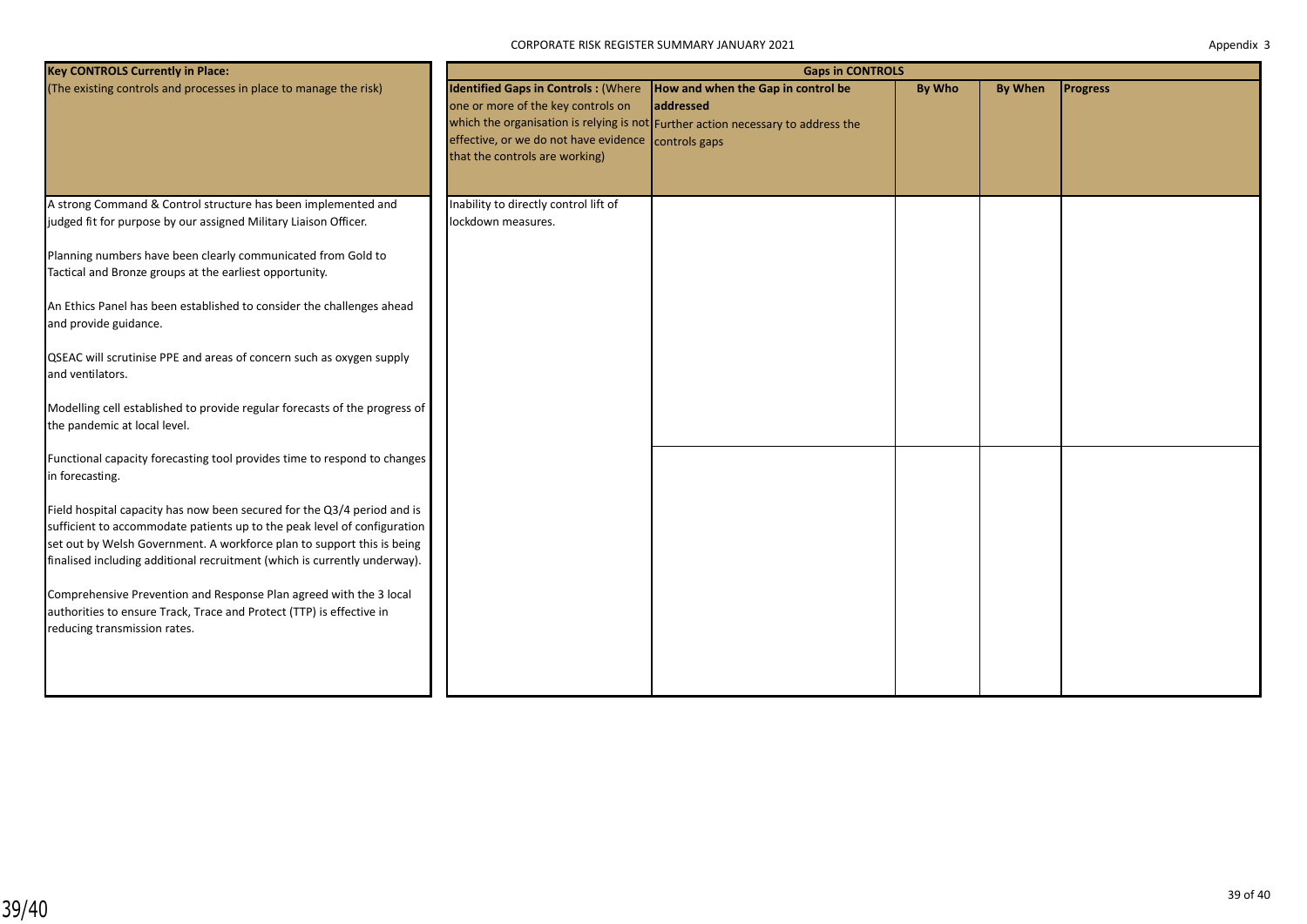| Appendix 3 |  |
|------------|--|
|------------|--|

| <b>Key CONTROLS Currently in Place:</b>                                    | <b>Gaps in CONTROLS</b>                             |                                                                                              |        |                |                 |  |  |  |
|----------------------------------------------------------------------------|-----------------------------------------------------|----------------------------------------------------------------------------------------------|--------|----------------|-----------------|--|--|--|
| (The existing controls and processes in place to manage the risk)          | one or more of the key controls on                  | Identified Gaps in Controls : (Where  How and when the Gap in control be<br><b>addressed</b> | By Who | <b>By When</b> | <b>Progress</b> |  |  |  |
|                                                                            |                                                     | which the organisation is relying is not Further action necessary to address the             |        |                |                 |  |  |  |
|                                                                            | effective, or we do not have evidence controls gaps |                                                                                              |        |                |                 |  |  |  |
|                                                                            | that the controls are working)                      |                                                                                              |        |                |                 |  |  |  |
|                                                                            |                                                     |                                                                                              |        |                |                 |  |  |  |
| A strong Command & Control structure has been implemented and              | Inability to directly control lift of               |                                                                                              |        |                |                 |  |  |  |
| judged fit for purpose by our assigned Military Liaison Officer.           | lockdown measures.                                  |                                                                                              |        |                |                 |  |  |  |
| Planning numbers have been clearly communicated from Gold to               |                                                     |                                                                                              |        |                |                 |  |  |  |
| Tactical and Bronze groups at the earliest opportunity.                    |                                                     |                                                                                              |        |                |                 |  |  |  |
| An Ethics Panel has been established to consider the challenges ahead      |                                                     |                                                                                              |        |                |                 |  |  |  |
| and provide guidance.                                                      |                                                     |                                                                                              |        |                |                 |  |  |  |
| QSEAC will scrutinise PPE and areas of concern such as oxygen supply       |                                                     |                                                                                              |        |                |                 |  |  |  |
| and ventilators.                                                           |                                                     |                                                                                              |        |                |                 |  |  |  |
| Modelling cell established to provide regular forecasts of the progress of |                                                     |                                                                                              |        |                |                 |  |  |  |
| the pandemic at local level.                                               |                                                     |                                                                                              |        |                |                 |  |  |  |
| Functional capacity forecasting tool provides time to respond to changes   |                                                     |                                                                                              |        |                |                 |  |  |  |
| in forecasting.                                                            |                                                     |                                                                                              |        |                |                 |  |  |  |
| Field hospital capacity has now been secured for the Q3/4 period and is    |                                                     |                                                                                              |        |                |                 |  |  |  |
| sufficient to accommodate patients up to the peak level of configuration   |                                                     |                                                                                              |        |                |                 |  |  |  |
| set out by Welsh Government. A workforce plan to support this is being     |                                                     |                                                                                              |        |                |                 |  |  |  |
| finalised including additional recruitment (which is currently underway).  |                                                     |                                                                                              |        |                |                 |  |  |  |
| Comprehensive Prevention and Response Plan agreed with the 3 local         |                                                     |                                                                                              |        |                |                 |  |  |  |
| authorities to ensure Track, Trace and Protect (TTP) is effective in       |                                                     |                                                                                              |        |                |                 |  |  |  |
| reducing transmission rates.                                               |                                                     |                                                                                              |        |                |                 |  |  |  |
|                                                                            |                                                     |                                                                                              |        |                |                 |  |  |  |
|                                                                            |                                                     |                                                                                              |        |                |                 |  |  |  |